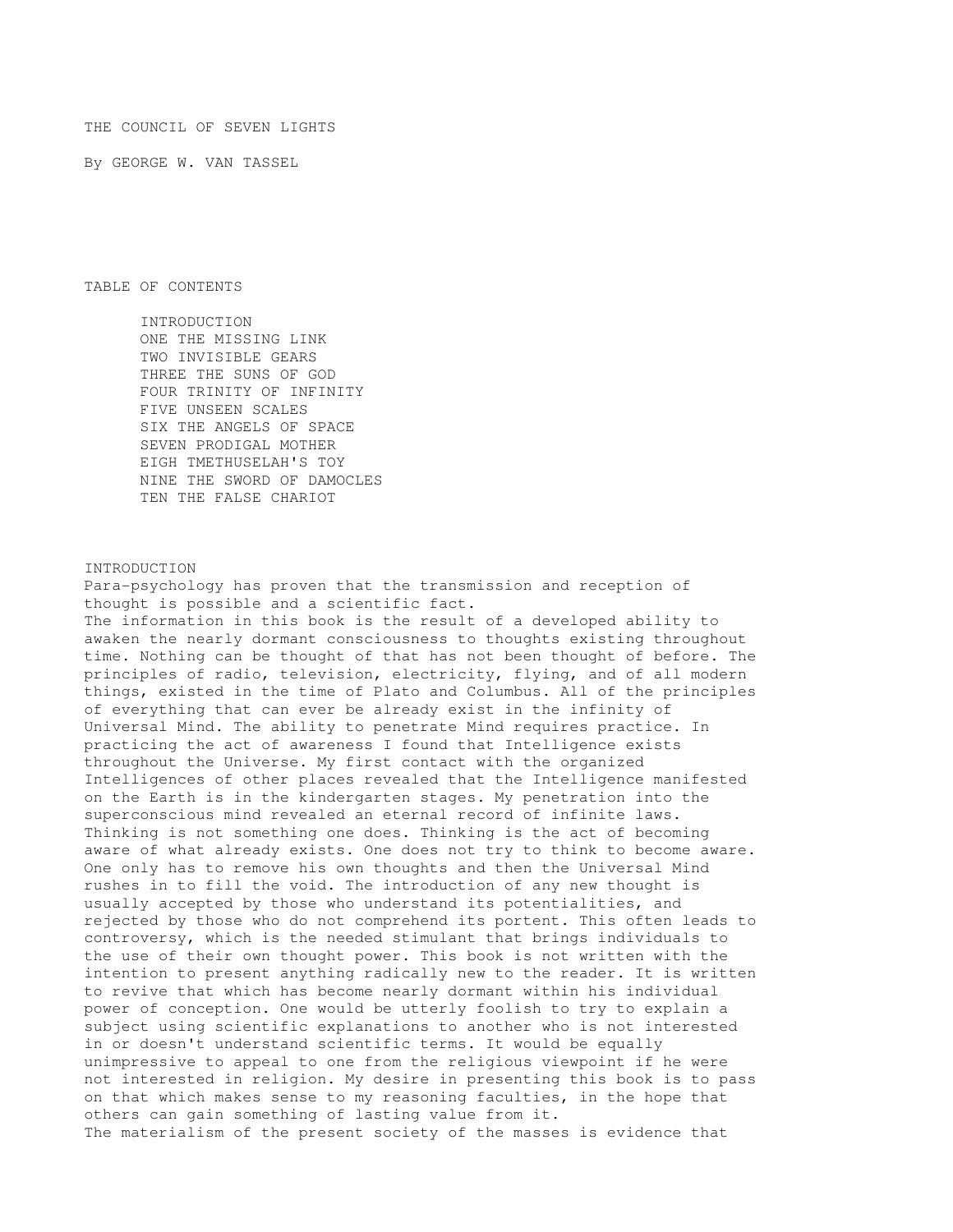THE COUNCIL OF SEVEN LIGHTS

By GEORGE W. VAN TASSEL

TABLE OF CONTENTS

 INTRODUCTION ONE THE MISSING LINK TWO INVISIBLE GEARS THREE THE SUNS OF GOD FOUR TRINITY OF INFINITY FIVE UNSEEN SCALES SIX THE ANGELS OF SPACE SEVEN PRODIGAL MOTHER EIGH TMETHUSELAH'S TOY NINE THE SWORD OF DAMOCLES TEN THE FALSE CHARIOT

### INTRODUCTION

Para-psychology has proven that the transmission and reception of thought is possible and a scientific fact. The information in this book is the result of a developed ability to awaken the nearly dormant consciousness to thoughts existing throughout time. Nothing can be thought of that has not been thought of before. The principles of radio, television, electricity, flying, and of all modern things, existed in the time of Plato and Columbus. All of the principles of everything that can ever be already exist in the infinity of Universal Mind. The ability to penetrate Mind requires practice. In practicing the act of awareness I found that Intelligence exists throughout the Universe. My first contact with the organized Intelligences of other places revealed that the Intelligence manifested on the Earth is in the kindergarten stages. My penetration into the superconscious mind revealed an eternal record of infinite laws. Thinking is not something one does. Thinking is the act of becoming aware of what already exists. One does not try to think to become aware. One only has to remove his own thoughts and then the Universal Mind rushes in to fill the void. The introduction of any new thought is usually accepted by those who understand its potentialities, and rejected by those who do not comprehend its portent. This often leads to controversy, which is the needed stimulant that brings individuals to the use of their own thought power. This book is not written with the intention to present anything radically new to the reader. It is written to revive that which has become nearly dormant within his individual power of conception. One would be utterly foolish to try to explain a subject using scientific explanations to another who is not interested in or doesn't understand scientific terms. It would be equally unimpressive to appeal to one from the religious viewpoint if he were not interested in religion. My desire in presenting this book is to pass on that which makes sense to my reasoning faculties, in the hope that others can gain something of lasting value from it. The materialism of the present society of the masses is evidence that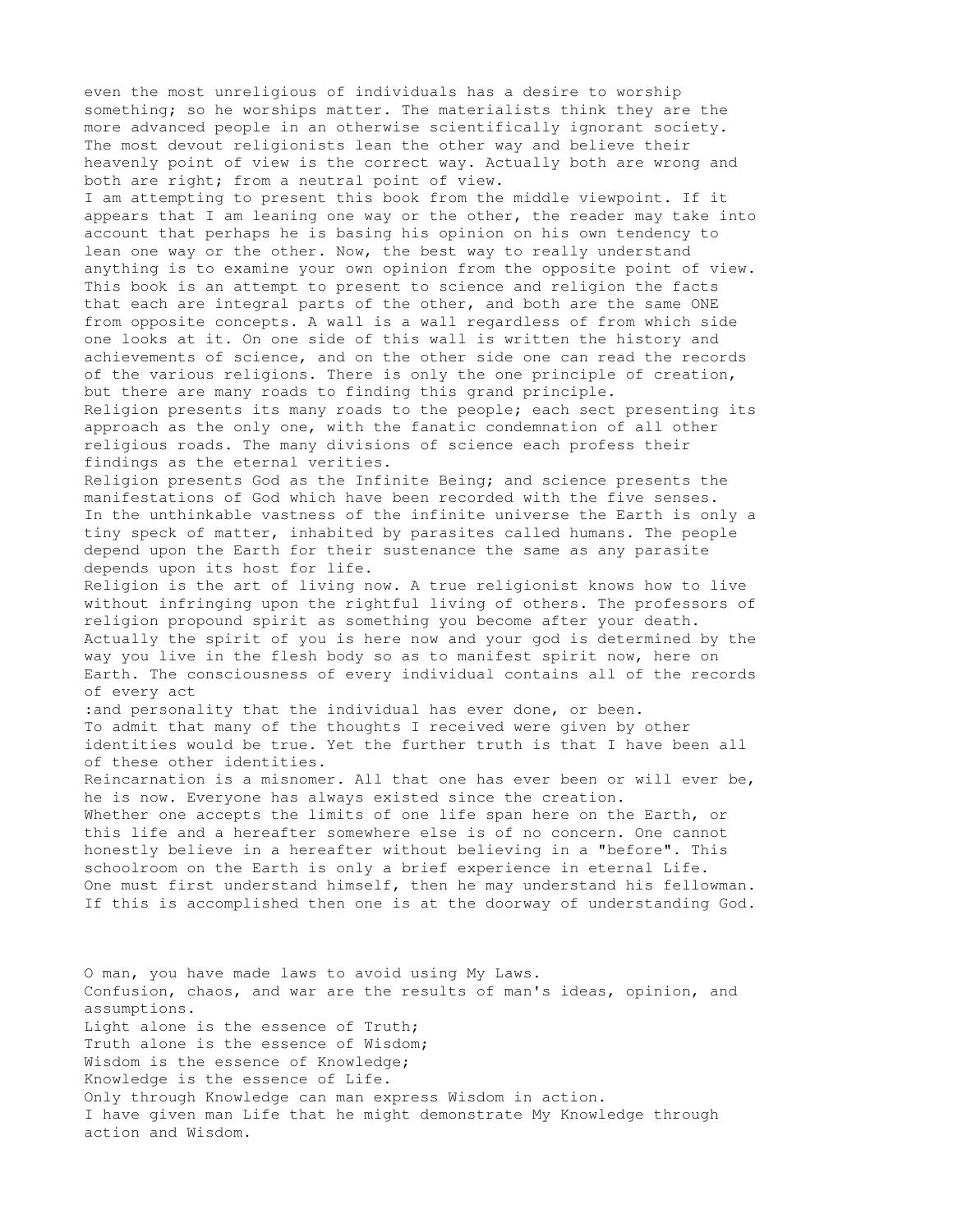even the most unreligious of individuals has a desire to worship something; so he worships matter. The materialists think they are the more advanced people in an otherwise scientifically ignorant society. The most devout religionists lean the other way and believe their heavenly point of view is the correct way. Actually both are wrong and both are right; from a neutral point of view. I am attempting to present this book from the middle viewpoint. If it appears that I am leaning one way or the other, the reader may take into account that perhaps he is basing his opinion on his own tendency to lean one way or the other. Now, the best way to really understand anything is to examine your own opinion from the opposite point of view. This book is an attempt to present to science and religion the facts that each are integral parts of the other, and both are the same ONE from opposite concepts. A wall is a wall regardless of from which side one looks at it. On one side of this wall is written the history and achievements of science, and on the other side one can read the records of the various religions. There is only the one principle of creation, but there are many roads to finding this grand principle. Religion presents its many roads to the people; each sect presenting its approach as the only one, with the fanatic condemnation of all other religious roads. The many divisions of science each profess their findings as the eternal verities. Religion presents God as the Infinite Being; and science presents the manifestations of God which have been recorded with the five senses. In the unthinkable vastness of the infinite universe the Earth is only a tiny speck of matter, inhabited by parasites called humans. The people depend upon the Earth for their sustenance the same as any parasite depends upon its host for life. Religion is the art of living now. A true religionist knows how to live without infringing upon the rightful living of others. The professors of religion propound spirit as something you become after your death. Actually the spirit of you is here now and your god is determined by the way you live in the flesh body so as to manifest spirit now, here on Earth. The consciousness of every individual contains all of the records of every act :and personality that the individual has ever done, or been. To admit that many of the thoughts I received were given by other identities would be true. Yet the further truth is that I have been all of these other identities. Reincarnation is a misnomer. All that one has ever been or will ever be, he is now. Everyone has always existed since the creation. Whether one accepts the limits of one life span here on the Earth, or this life and a hereafter somewhere else is of no concern. One cannot honestly believe in a hereafter without believing in a "before". This schoolroom on the Earth is only a brief experience in eternal Life. One must first understand himself, then he may understand his fellowman. If this is accomplished then one is at the doorway of understanding God.

O man, you have made laws to avoid using My Laws. Confusion, chaos, and war are the results of man's ideas, opinion, and assumptions. Light alone is the essence of Truth; Truth alone is the essence of Wisdom; Wisdom is the essence of Knowledge; Knowledge is the essence of Life. Only through Knowledge can man express Wisdom in action. I have given man Life that he might demonstrate My Knowledge through action and Wisdom.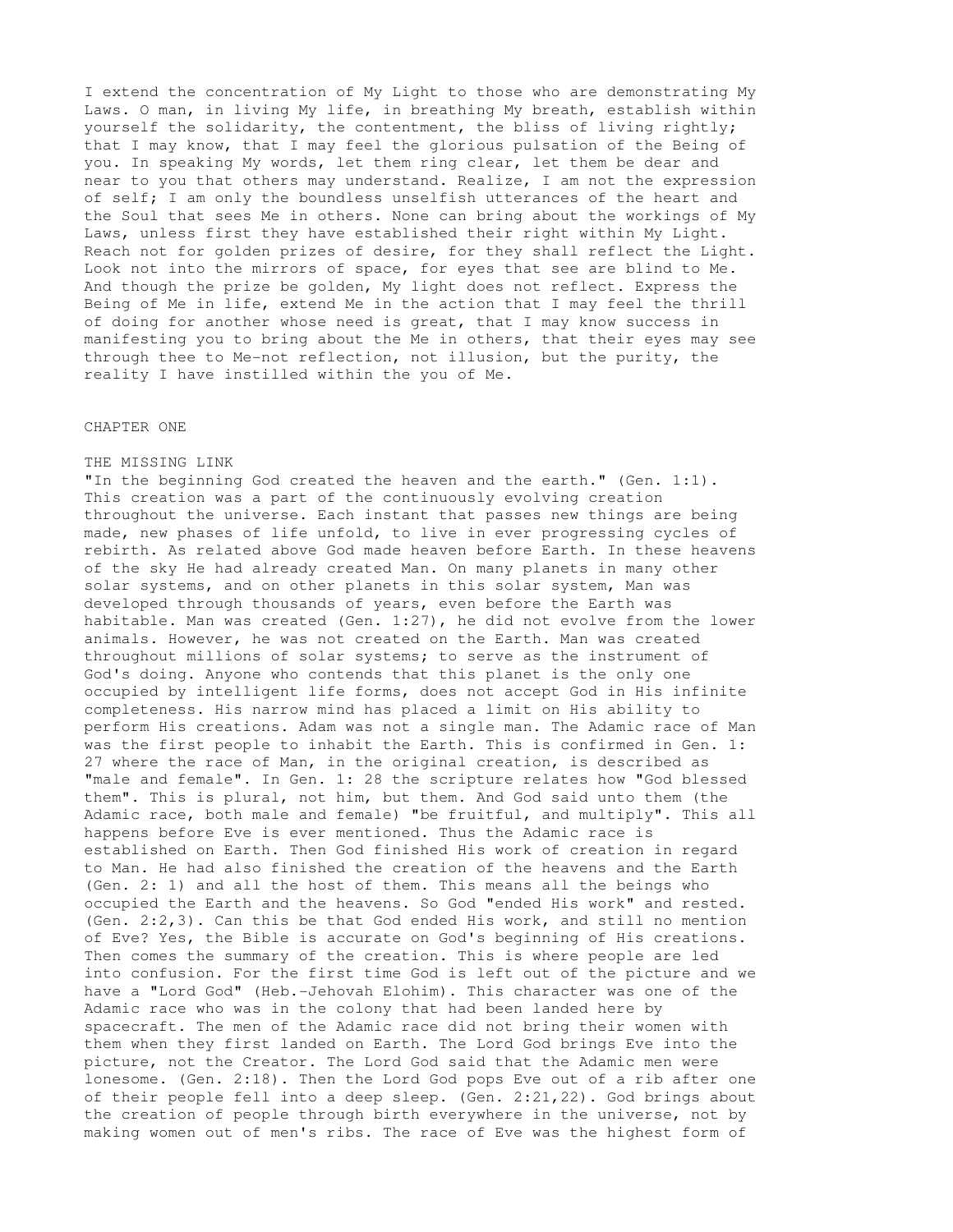I extend the concentration of My Light to those who are demonstrating My Laws. O man, in living My life, in breathing My breath, establish within yourself the solidarity, the contentment, the bliss of living rightly; that I may know, that I may feel the glorious pulsation of the Being of you. In speaking My words, let them ring clear, let them be dear and near to you that others may understand. Realize, I am not the expression of self; I am only the boundless unselfish utterances of the heart and the Soul that sees Me in others. None can bring about the workings of My Laws, unless first they have established their right within My Light. Reach not for golden prizes of desire, for they shall reflect the Light. Look not into the mirrors of space, for eyes that see are blind to Me. And though the prize be golden, My light does not reflect. Express the Being of Me in life, extend Me in the action that I may feel the thrill of doing for another whose need is great, that I may know success in manifesting you to bring about the Me in others, that their eyes may see through thee to Me-not reflection, not illusion, but the purity, the reality I have instilled within the you of Me.

## CHAPTER ONE

# THE MISSING LINK

"In the beginning God created the heaven and the earth." (Gen. 1:1). This creation was a part of the continuously evolving creation throughout the universe. Each instant that passes new things are being made, new phases of life unfold, to live in ever progressing cycles of rebirth. As related above God made heaven before Earth. In these heavens of the sky He had already created Man. On many planets in many other solar systems, and on other planets in this solar system, Man was developed through thousands of years, even before the Earth was habitable. Man was created (Gen. 1:27), he did not evolve from the lower animals. However, he was not created on the Earth. Man was created throughout millions of solar systems; to serve as the instrument of God's doing. Anyone who contends that this planet is the only one occupied by intelligent life forms, does not accept God in His infinite completeness. His narrow mind has placed a limit on His ability to perform His creations. Adam was not a single man. The Adamic race of Man was the first people to inhabit the Earth. This is confirmed in Gen. 1: 27 where the race of Man, in the original creation, is described as "male and female". In Gen. 1: 28 the scripture relates how "God blessed them". This is plural, not him, but them. And God said unto them (the Adamic race, both male and female) "be fruitful, and multiply". This all happens before Eve is ever mentioned. Thus the Adamic race is established on Earth. Then God finished His work of creation in regard to Man. He had also finished the creation of the heavens and the Earth (Gen. 2: 1) and all the host of them. This means all the beings who occupied the Earth and the heavens. So God "ended His work" and rested. (Gen. 2:2,3). Can this be that God ended His work, and still no mention of Eve? Yes, the Bible is accurate on God's beginning of His creations. Then comes the summary of the creation. This is where people are led into confusion. For the first time God is left out of the picture and we have a "Lord God" (Heb.-Jehovah Elohim). This character was one of the Adamic race who was in the colony that had been landed here by spacecraft. The men of the Adamic race did not bring their women with them when they first landed on Earth. The Lord God brings Eve into the picture, not the Creator. The Lord God said that the Adamic men were lonesome. (Gen. 2:18). Then the Lord God pops Eve out of a rib after one of their people fell into a deep sleep. (Gen. 2:21,22). God brings about the creation of people through birth everywhere in the universe, not by making women out of men's ribs. The race of Eve was the highest form of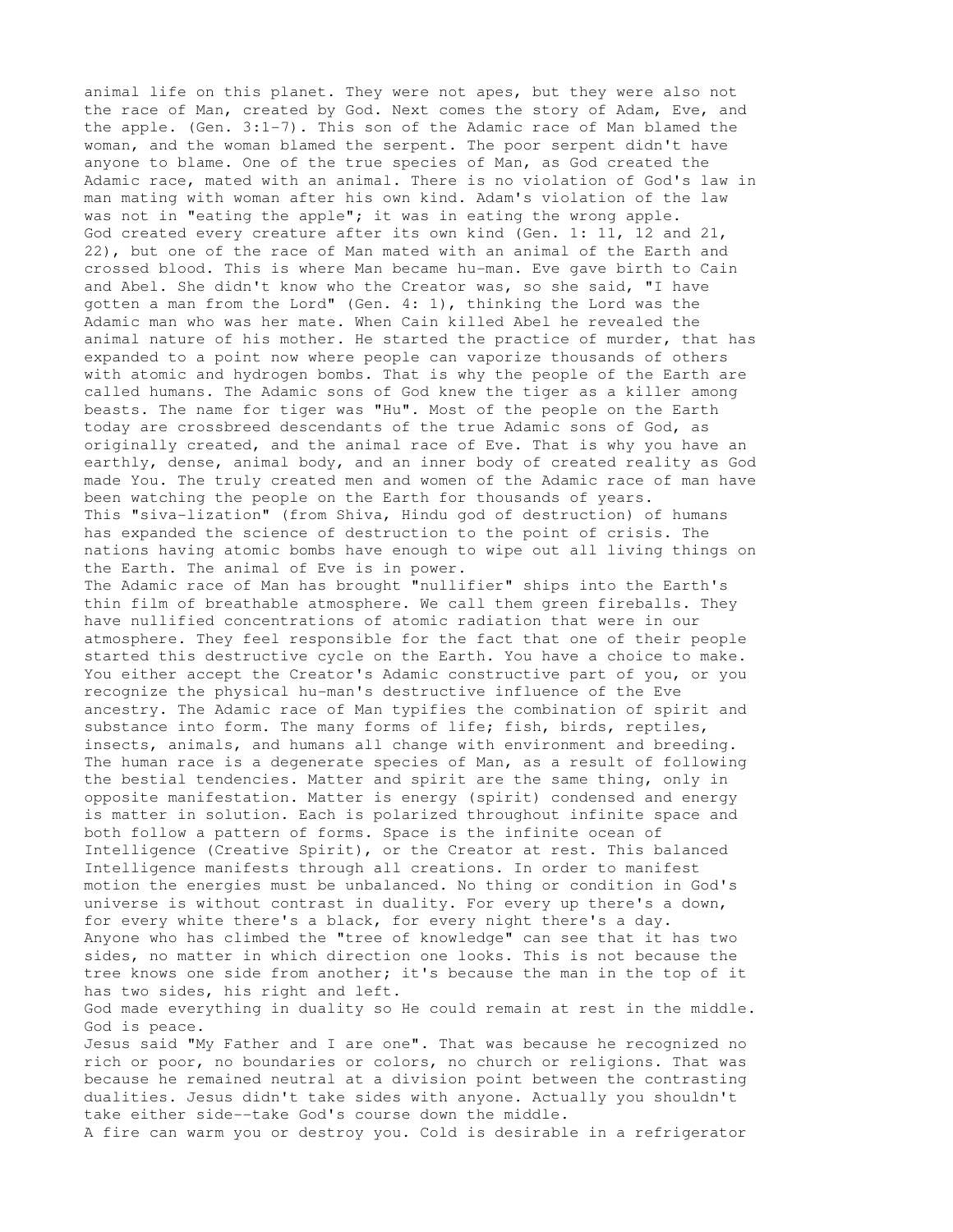animal life on this planet. They were not apes, but they were also not the race of Man, created by God. Next comes the story of Adam, Eve, and the apple. (Gen.  $3:1-7$ ). This son of the Adamic race of Man blamed the woman, and the woman blamed the serpent. The poor serpent didn't have anyone to blame. One of the true species of Man, as God created the Adamic race, mated with an animal. There is no violation of God's law in man mating with woman after his own kind. Adam's violation of the law was not in "eating the apple"; it was in eating the wrong apple. God created every creature after its own kind (Gen. 1: 11, 12 and 21, 22), but one of the race of Man mated with an animal of the Earth and crossed blood. This is where Man became hu-man. Eve gave birth to Cain and Abel. She didn't know who the Creator was, so she said, "I have gotten a man from the Lord" (Gen. 4: 1), thinking the Lord was the Adamic man who was her mate. When Cain killed Abel he revealed the animal nature of his mother. He started the practice of murder, that has expanded to a point now where people can vaporize thousands of others with atomic and hydrogen bombs. That is why the people of the Earth are called humans. The Adamic sons of God knew the tiger as a killer among beasts. The name for tiger was "Hu". Most of the people on the Earth today are crossbreed descendants of the true Adamic sons of God, as originally created, and the animal race of Eve. That is why you have an earthly, dense, animal body, and an inner body of created reality as God made You. The truly created men and women of the Adamic race of man have been watching the people on the Earth for thousands of years. This "siva-lization" (from Shiva, Hindu god of destruction) of humans has expanded the science of destruction to the point of crisis. The nations having atomic bombs have enough to wipe out all living things on the Earth. The animal of Eve is in power. The Adamic race of Man has brought "nullifier" ships into the Earth's thin film of breathable atmosphere. We call them green fireballs. They have nullified concentrations of atomic radiation that were in our atmosphere. They feel responsible for the fact that one of their people started this destructive cycle on the Earth. You have a choice to make. You either accept the Creator's Adamic constructive part of you, or you recognize the physical hu-man's destructive influence of the Eve ancestry. The Adamic race of Man typifies the combination of spirit and substance into form. The many forms of life; fish, birds, reptiles, insects, animals, and humans all change with environment and breeding. The human race is a degenerate species of Man, as a result of following the bestial tendencies. Matter and spirit are the same thing, only in opposite manifestation. Matter is energy (spirit) condensed and energy is matter in solution. Each is polarized throughout infinite space and both follow a pattern of forms. Space is the infinite ocean of Intelligence (Creative Spirit), or the Creator at rest. This balanced Intelligence manifests through all creations. In order to manifest motion the energies must be unbalanced. No thing or condition in God's universe is without contrast in duality. For every up there's a down, for every white there's a black, for every night there's a day. Anyone who has climbed the "tree of knowledge" can see that it has two sides, no matter in which direction one looks. This is not because the tree knows one side from another; it's because the man in the top of it has two sides, his right and left. God made everything in duality so He could remain at rest in the middle. God is peace. Jesus said "My Father and I are one". That was because he recognized no rich or poor, no boundaries or colors, no church or religions. That was

because he remained neutral at a division point between the contrasting dualities. Jesus didn't take sides with anyone. Actually you shouldn't take either side--take God's course down the middle.

A fire can warm you or destroy you. Cold is desirable in a refrigerator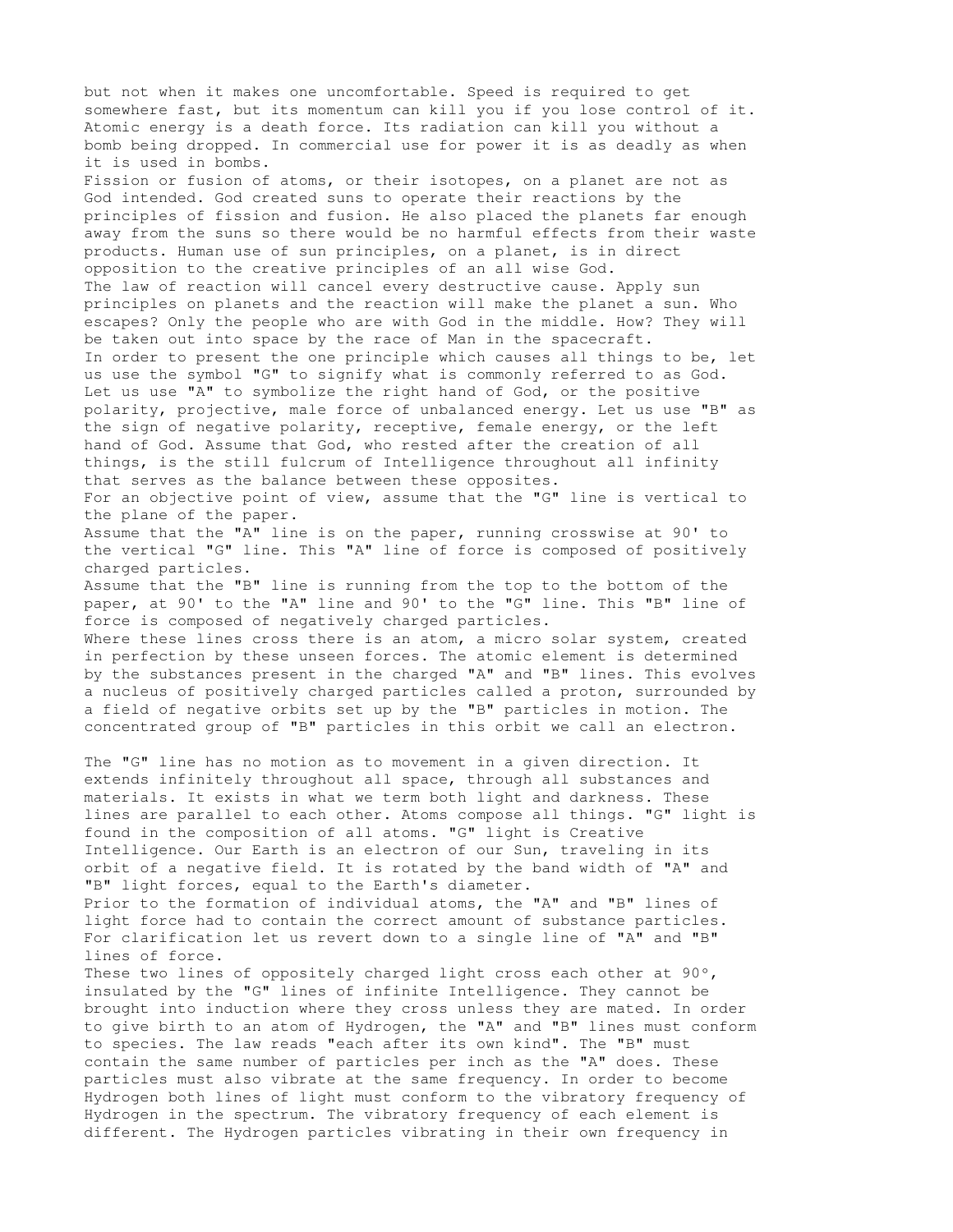but not when it makes one uncomfortable. Speed is required to get somewhere fast, but its momentum can kill you if you lose control of it. Atomic energy is a death force. Its radiation can kill you without a bomb being dropped. In commercial use for power it is as deadly as when it is used in bombs. Fission or fusion of atoms, or their isotopes, on a planet are not as God intended. God created suns to operate their reactions by the principles of fission and fusion. He also placed the planets far enough away from the suns so there would be no harmful effects from their waste products. Human use of sun principles, on a planet, is in direct opposition to the creative principles of an all wise God. The law of reaction will cancel every destructive cause. Apply sun principles on planets and the reaction will make the planet a sun. Who escapes? Only the people who are with God in the middle. How? They will be taken out into space by the race of Man in the spacecraft. In order to present the one principle which causes all things to be, let us use the symbol "G" to signify what is commonly referred to as God. Let us use "A" to symbolize the right hand of God, or the positive polarity, projective, male force of unbalanced energy. Let us use "B" as the sign of negative polarity, receptive, female energy, or the left hand of God. Assume that God, who rested after the creation of all things, is the still fulcrum of Intelligence throughout all infinity that serves as the balance between these opposites. For an objective point of view, assume that the "G" line is vertical to the plane of the paper. Assume that the "A" line is on the paper, running crosswise at 90' to the vertical "G" line. This "A" line of force is composed of positively charged particles. Assume that the "B" line is running from the top to the bottom of the paper, at 90' to the "A" line and 90' to the "G" line. This "B" line of force is composed of negatively charged particles. Where these lines cross there is an atom, a micro solar system, created in perfection by these unseen forces. The atomic element is determined by the substances present in the charged "A" and "B" lines. This evolves a nucleus of positively charged particles called a proton, surrounded by a field of negative orbits set up by the "B" particles in motion. The concentrated group of "B" particles in this orbit we call an electron. The "G" line has no motion as to movement in a given direction. It extends infinitely throughout all space, through all substances and materials. It exists in what we term both light and darkness. These lines are parallel to each other. Atoms compose all things. "G" light is found in the composition of all atoms. "G" light is Creative Intelligence. Our Earth is an electron of our Sun, traveling in its orbit of a negative field. It is rotated by the band width of "A" and "B" light forces, equal to the Earth's diameter. Prior to the formation of individual atoms, the "A" and "B" lines of light force had to contain the correct amount of substance particles. For clarification let us revert down to a single line of "A" and "B" lines of force. These two lines of oppositely charged light cross each other at 90º, insulated by the "G" lines of infinite Intelligence. They cannot be brought into induction where they cross unless they are mated. In order to give birth to an atom of Hydrogen, the "A" and "B" lines must conform to species. The law reads "each after its own kind". The "B" must contain the same number of particles per inch as the "A" does. These particles must also vibrate at the same frequency. In order to become Hydrogen both lines of light must conform to the vibratory frequency of Hydrogen in the spectrum. The vibratory frequency of each element is different. The Hydrogen particles vibrating in their own frequency in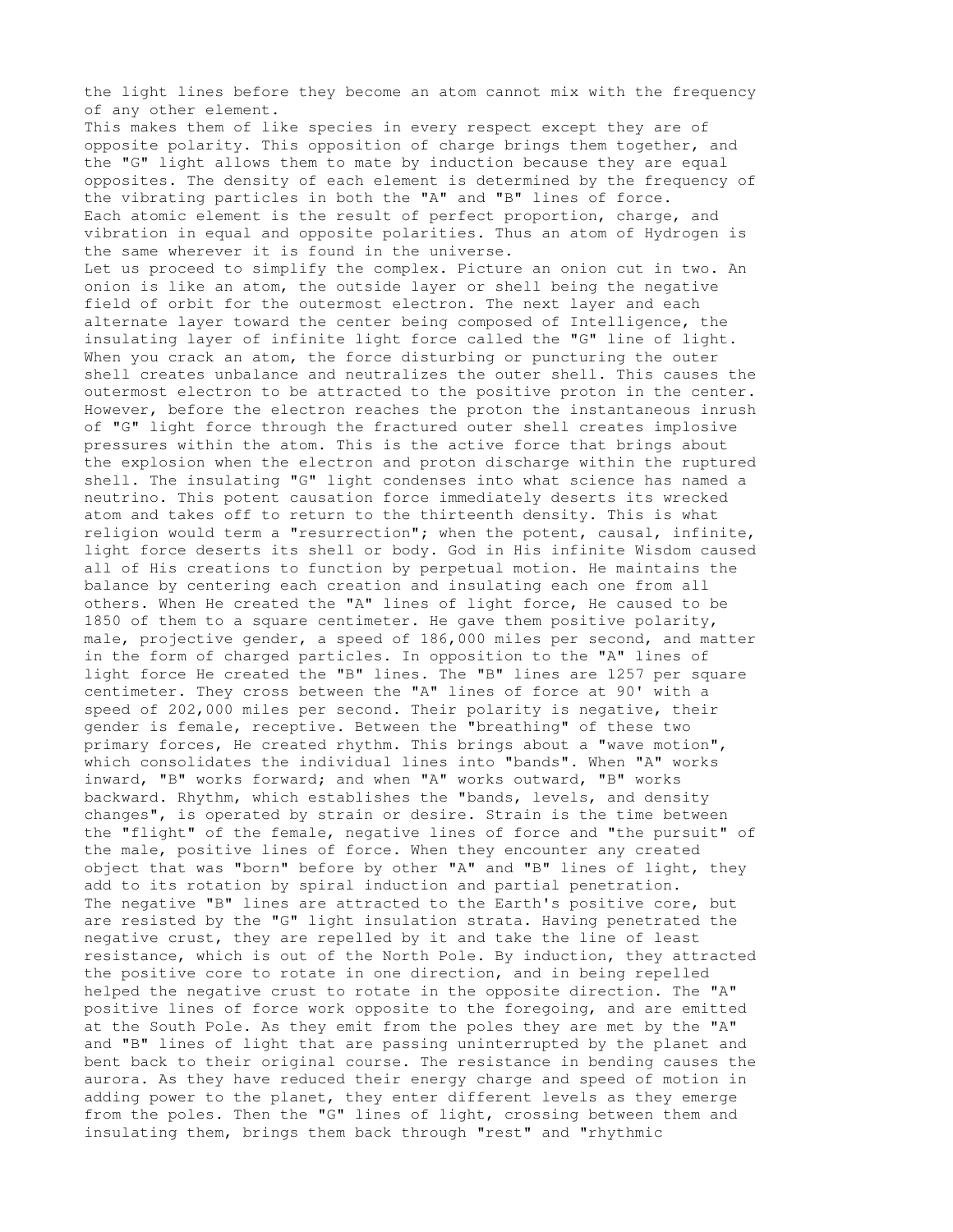the light lines before they become an atom cannot mix with the frequency of any other element.

This makes them of like species in every respect except they are of opposite polarity. This opposition of charge brings them together, and the "G" light allows them to mate by induction because they are equal opposites. The density of each element is determined by the frequency of the vibrating particles in both the "A" and "B" lines of force. Each atomic element is the result of perfect proportion, charge, and vibration in equal and opposite polarities. Thus an atom of Hydrogen is the same wherever it is found in the universe. Let us proceed to simplify the complex. Picture an onion cut in two. An onion is like an atom, the outside layer or shell being the negative field of orbit for the outermost electron. The next layer and each alternate layer toward the center being composed of Intelligence, the insulating layer of infinite light force called the "G" line of light. When you crack an atom, the force disturbing or puncturing the outer shell creates unbalance and neutralizes the outer shell. This causes the outermost electron to be attracted to the positive proton in the center. However, before the electron reaches the proton the instantaneous inrush of "G" light force through the fractured outer shell creates implosive pressures within the atom. This is the active force that brings about the explosion when the electron and proton discharge within the ruptured shell. The insulating "G" light condenses into what science has named a neutrino. This potent causation force immediately deserts its wrecked atom and takes off to return to the thirteenth density. This is what religion would term a "resurrection"; when the potent, causal, infinite, light force deserts its shell or body. God in His infinite Wisdom caused all of His creations to function by perpetual motion. He maintains the balance by centering each creation and insulating each one from all others. When He created the "A" lines of light force, He caused to be 1850 of them to a square centimeter. He gave them positive polarity, male, projective gender, a speed of 186,000 miles per second, and matter in the form of charged particles. In opposition to the "A" lines of light force He created the "B" lines. The "B" lines are 1257 per square centimeter. They cross between the "A" lines of force at 90' with a speed of 202,000 miles per second. Their polarity is negative, their gender is female, receptive. Between the "breathing" of these two primary forces, He created rhythm. This brings about a "wave motion", which consolidates the individual lines into "bands". When "A" works inward, "B" works forward; and when "A" works outward, "B" works backward. Rhythm, which establishes the "bands, levels, and density changes", is operated by strain or desire. Strain is the time between the "flight" of the female, negative lines of force and "the pursuit" of the male, positive lines of force. When they encounter any created object that was "born" before by other "A" and "B" lines of light, they add to its rotation by spiral induction and partial penetration. The negative "B" lines are attracted to the Earth's positive core, but are resisted by the "G" light insulation strata. Having penetrated the negative crust, they are repelled by it and take the line of least resistance, which is out of the North Pole. By induction, they attracted the positive core to rotate in one direction, and in being repelled helped the negative crust to rotate in the opposite direction. The "A" positive lines of force work opposite to the foregoing, and are emitted at the South Pole. As they emit from the poles they are met by the "A" and "B" lines of light that are passing uninterrupted by the planet and bent back to their original course. The resistance in bending causes the aurora. As they have reduced their energy charge and speed of motion in adding power to the planet, they enter different levels as they emerge from the poles. Then the "G" lines of light, crossing between them and insulating them, brings them back through "rest" and "rhythmic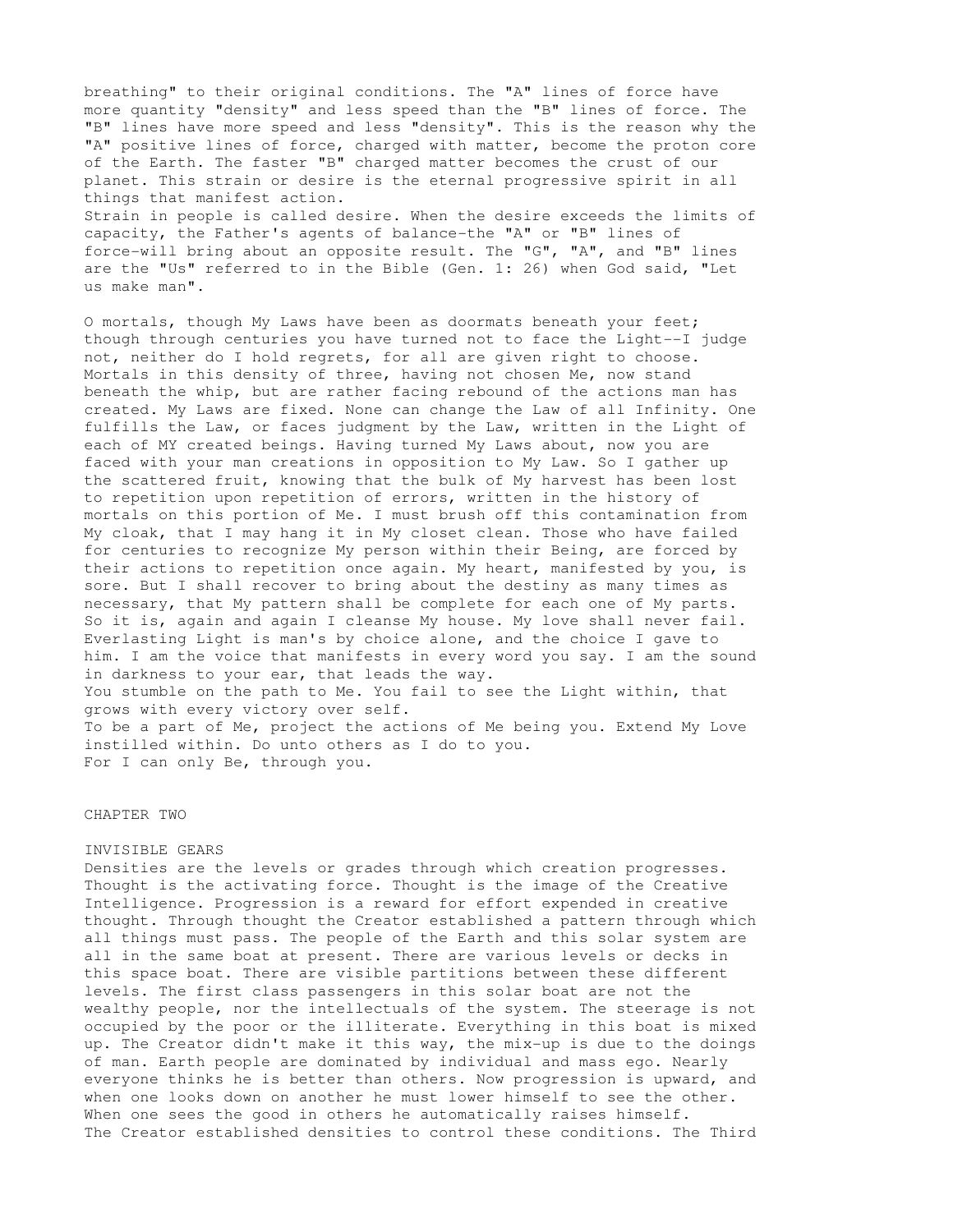breathing" to their original conditions. The "A" lines of force have more quantity "density" and less speed than the "B" lines of force. The "B" lines have more speed and less "density". This is the reason why the "A" positive lines of force, charged with matter, become the proton core of the Earth. The faster "B" charged matter becomes the crust of our planet. This strain or desire is the eternal progressive spirit in all things that manifest action. Strain in people is called desire. When the desire exceeds the limits of capacity, the Father's agents of balance-the "A" or "B" lines of force-will bring about an opposite result. The "G", "A", and "B" lines are the "Us" referred to in the Bible (Gen. 1: 26) when God said, "Let us make man".

O mortals, though My Laws have been as doormats beneath your feet; though through centuries you have turned not to face the Light--I judge not, neither do I hold regrets, for all are given right to choose. Mortals in this density of three, having not chosen Me, now stand beneath the whip, but are rather facing rebound of the actions man has created. My Laws are fixed. None can change the Law of all Infinity. One fulfills the Law, or faces judgment by the Law, written in the Light of each of MY created beings. Having turned My Laws about, now you are faced with your man creations in opposition to My Law. So I gather up the scattered fruit, knowing that the bulk of My harvest has been lost to repetition upon repetition of errors, written in the history of mortals on this portion of Me. I must brush off this contamination from My cloak, that I may hang it in My closet clean. Those who have failed for centuries to recognize My person within their Being, are forced by their actions to repetition once again. My heart, manifested by you, is sore. But I shall recover to bring about the destiny as many times as necessary, that My pattern shall be complete for each one of My parts. So it is, again and again I cleanse My house. My love shall never fail. Everlasting Light is man's by choice alone, and the choice I gave to him. I am the voice that manifests in every word you say. I am the sound in darkness to your ear, that leads the way. You stumble on the path to Me. You fail to see the Light within, that grows with every victory over self. To be a part of Me, project the actions of Me being you. Extend My Love instilled within. Do unto others as I do to you. For I can only Be, through you.

# CHAPTER TWO

# INVISIBLE GEARS

Densities are the levels or grades through which creation progresses. Thought is the activating force. Thought is the image of the Creative Intelligence. Progression is a reward for effort expended in creative thought. Through thought the Creator established a pattern through which all things must pass. The people of the Earth and this solar system are all in the same boat at present. There are various levels or decks in this space boat. There are visible partitions between these different levels. The first class passengers in this solar boat are not the wealthy people, nor the intellectuals of the system. The steerage is not occupied by the poor or the illiterate. Everything in this boat is mixed up. The Creator didn't make it this way, the mix-up is due to the doings of man. Earth people are dominated by individual and mass ego. Nearly everyone thinks he is better than others. Now progression is upward, and when one looks down on another he must lower himself to see the other. When one sees the good in others he automatically raises himself. The Creator established densities to control these conditions. The Third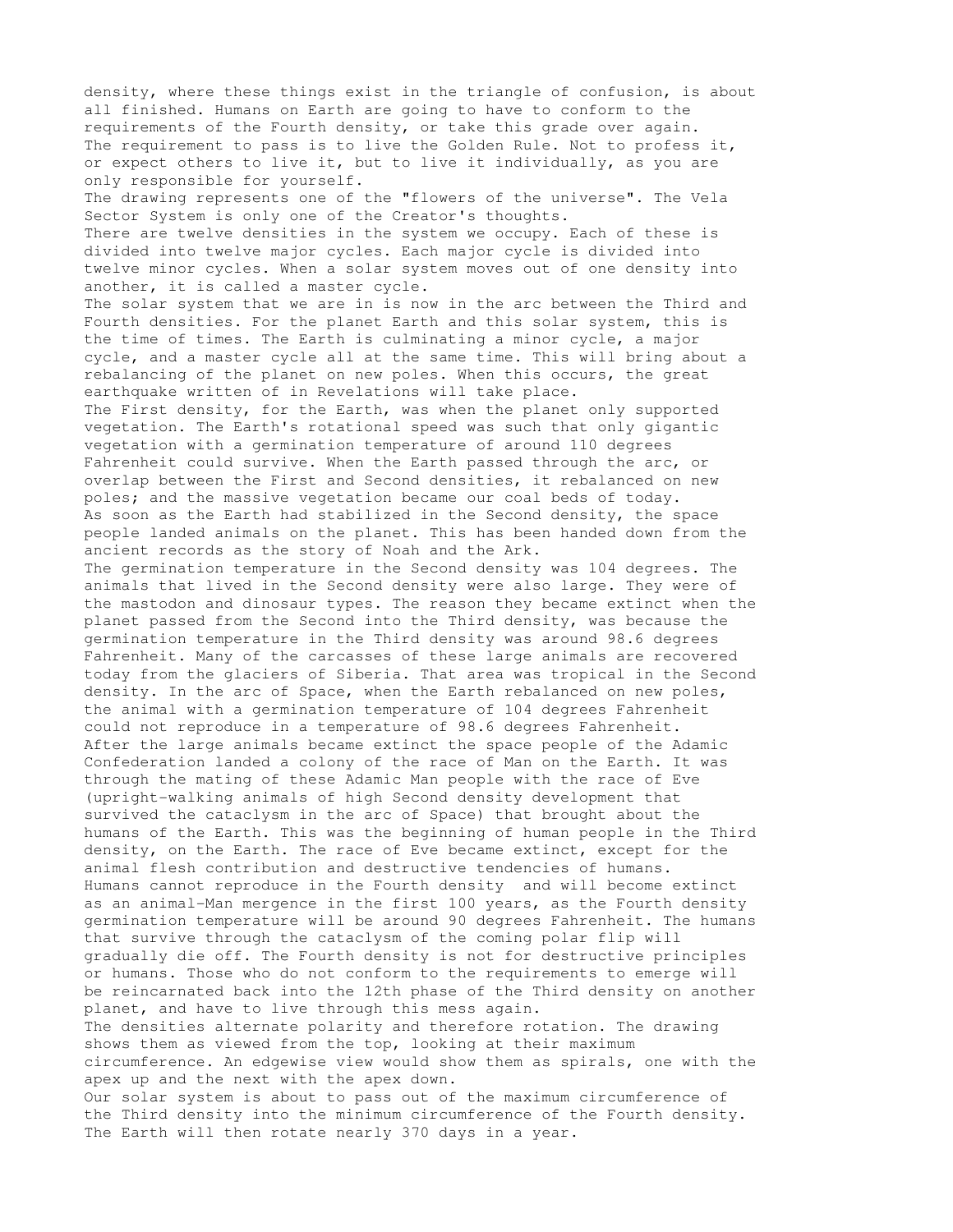density, where these things exist in the triangle of confusion, is about all finished. Humans on Earth are going to have to conform to the requirements of the Fourth density, or take this grade over again. The requirement to pass is to live the Golden Rule. Not to profess it, or expect others to live it, but to live it individually, as you are only responsible for yourself. The drawing represents one of the "flowers of the universe". The Vela Sector System is only one of the Creator's thoughts. There are twelve densities in the system we occupy. Each of these is divided into twelve major cycles. Each major cycle is divided into twelve minor cycles. When a solar system moves out of one density into another, it is called a master cycle. The solar system that we are in is now in the arc between the Third and Fourth densities. For the planet Earth and this solar system, this is the time of times. The Earth is culminating a minor cycle, a major cycle, and a master cycle all at the same time. This will bring about a rebalancing of the planet on new poles. When this occurs, the great earthquake written of in Revelations will take place. The First density, for the Earth, was when the planet only supported vegetation. The Earth's rotational speed was such that only gigantic vegetation with a germination temperature of around 110 degrees Fahrenheit could survive. When the Earth passed through the arc, or overlap between the First and Second densities, it rebalanced on new poles; and the massive vegetation became our coal beds of today. As soon as the Earth had stabilized in the Second density, the space people landed animals on the planet. This has been handed down from the ancient records as the story of Noah and the Ark. The germination temperature in the Second density was 104 degrees. The animals that lived in the Second density were also large. They were of the mastodon and dinosaur types. The reason they became extinct when the planet passed from the Second into the Third density, was because the germination temperature in the Third density was around 98.6 degrees Fahrenheit. Many of the carcasses of these large animals are recovered today from the glaciers of Siberia. That area was tropical in the Second density. In the arc of Space, when the Earth rebalanced on new poles, the animal with a germination temperature of 104 degrees Fahrenheit could not reproduce in a temperature of 98.6 degrees Fahrenheit. After the large animals became extinct the space people of the Adamic Confederation landed a colony of the race of Man on the Earth. It was through the mating of these Adamic Man people with the race of Eve (upright-walking animals of high Second density development that survived the cataclysm in the arc of Space) that brought about the humans of the Earth. This was the beginning of human people in the Third density, on the Earth. The race of Eve became extinct, except for the animal flesh contribution and destructive tendencies of humans. Humans cannot reproduce in the Fourth density and will become extinct as an animal-Man mergence in the first 100 years, as the Fourth density germination temperature will be around 90 degrees Fahrenheit. The humans that survive through the cataclysm of the coming polar flip will gradually die off. The Fourth density is not for destructive principles or humans. Those who do not conform to the requirements to emerge will be reincarnated back into the 12th phase of the Third density on another planet, and have to live through this mess again. The densities alternate polarity and therefore rotation. The drawing shows them as viewed from the top, looking at their maximum circumference. An edgewise view would show them as spirals, one with the apex up and the next with the apex down. Our solar system is about to pass out of the maximum circumference of the Third density into the minimum circumference of the Fourth density. The Earth will then rotate nearly 370 days in a year.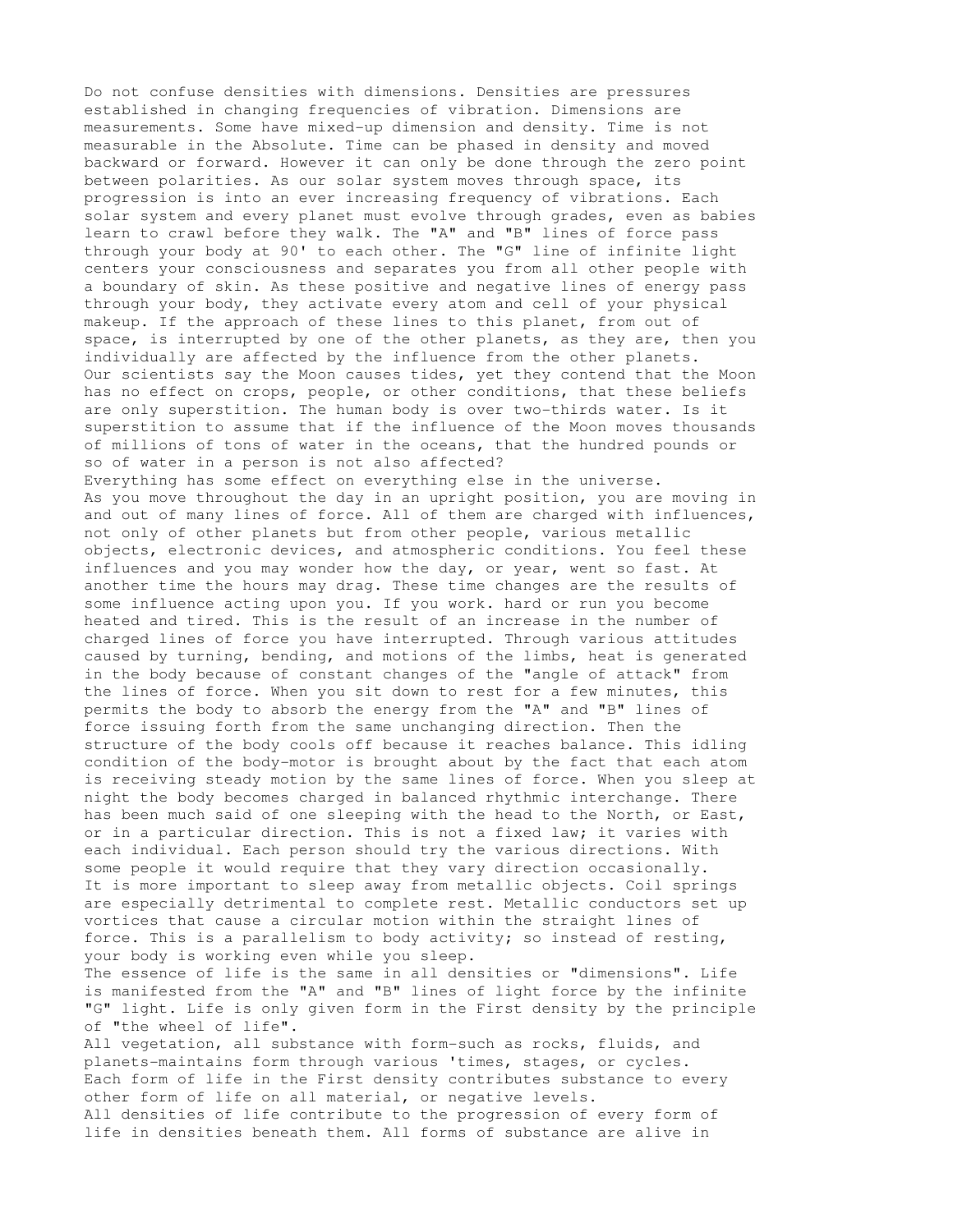Do not confuse densities with dimensions. Densities are pressures established in changing frequencies of vibration. Dimensions are measurements. Some have mixed-up dimension and density. Time is not measurable in the Absolute. Time can be phased in density and moved backward or forward. However it can only be done through the zero point between polarities. As our solar system moves through space, its progression is into an ever increasing frequency of vibrations. Each solar system and every planet must evolve through grades, even as babies learn to crawl before they walk. The "A" and "B" lines of force pass through your body at 90' to each other. The "G" line of infinite light centers your consciousness and separates you from all other people with a boundary of skin. As these positive and negative lines of energy pass through your body, they activate every atom and cell of your physical makeup. If the approach of these lines to this planet, from out of space, is interrupted by one of the other planets, as they are, then you individually are affected by the influence from the other planets. Our scientists say the Moon causes tides, yet they contend that the Moon has no effect on crops, people, or other conditions, that these beliefs are only superstition. The human body is over two-thirds water. Is it superstition to assume that if the influence of the Moon moves thousands of millions of tons of water in the oceans, that the hundred pounds or so of water in a person is not also affected? Everything has some effect on everything else in the universe. As you move throughout the day in an upright position, you are moving in and out of many lines of force. All of them are charged with influences, not only of other planets but from other people, various metallic objects, electronic devices, and atmospheric conditions. You feel these influences and you may wonder how the day, or year, went so fast. At another time the hours may drag. These time changes are the results of some influence acting upon you. If you work. hard or run you become heated and tired. This is the result of an increase in the number of charged lines of force you have interrupted. Through various attitudes caused by turning, bending, and motions of the limbs, heat is generated in the body because of constant changes of the "angle of attack" from the lines of force. When you sit down to rest for a few minutes, this permits the body to absorb the energy from the "A" and "B" lines of force issuing forth from the same unchanging direction. Then the structure of the body cools off because it reaches balance. This idling condition of the body-motor is brought about by the fact that each atom is receiving steady motion by the same lines of force. When you sleep at night the body becomes charged in balanced rhythmic interchange. There has been much said of one sleeping with the head to the North, or East, or in a particular direction. This is not a fixed law; it varies with each individual. Each person should try the various directions. With some people it would require that they vary direction occasionally. It is more important to sleep away from metallic objects. Coil springs are especially detrimental to complete rest. Metallic conductors set up vortices that cause a circular motion within the straight lines of force. This is a parallelism to body activity; so instead of resting, your body is working even while you sleep. The essence of life is the same in all densities or "dimensions". Life is manifested from the "A" and "B" lines of light force by the infinite "G" light. Life is only given form in the First density by the principle of "the wheel of life". All vegetation, all substance with form-such as rocks, fluids, and planets-maintains form through various 'times, stages, or cycles.

Each form of life in the First density contributes substance to every other form of life on all material, or negative levels. All densities of life contribute to the progression of every form of life in densities beneath them. All forms of substance are alive in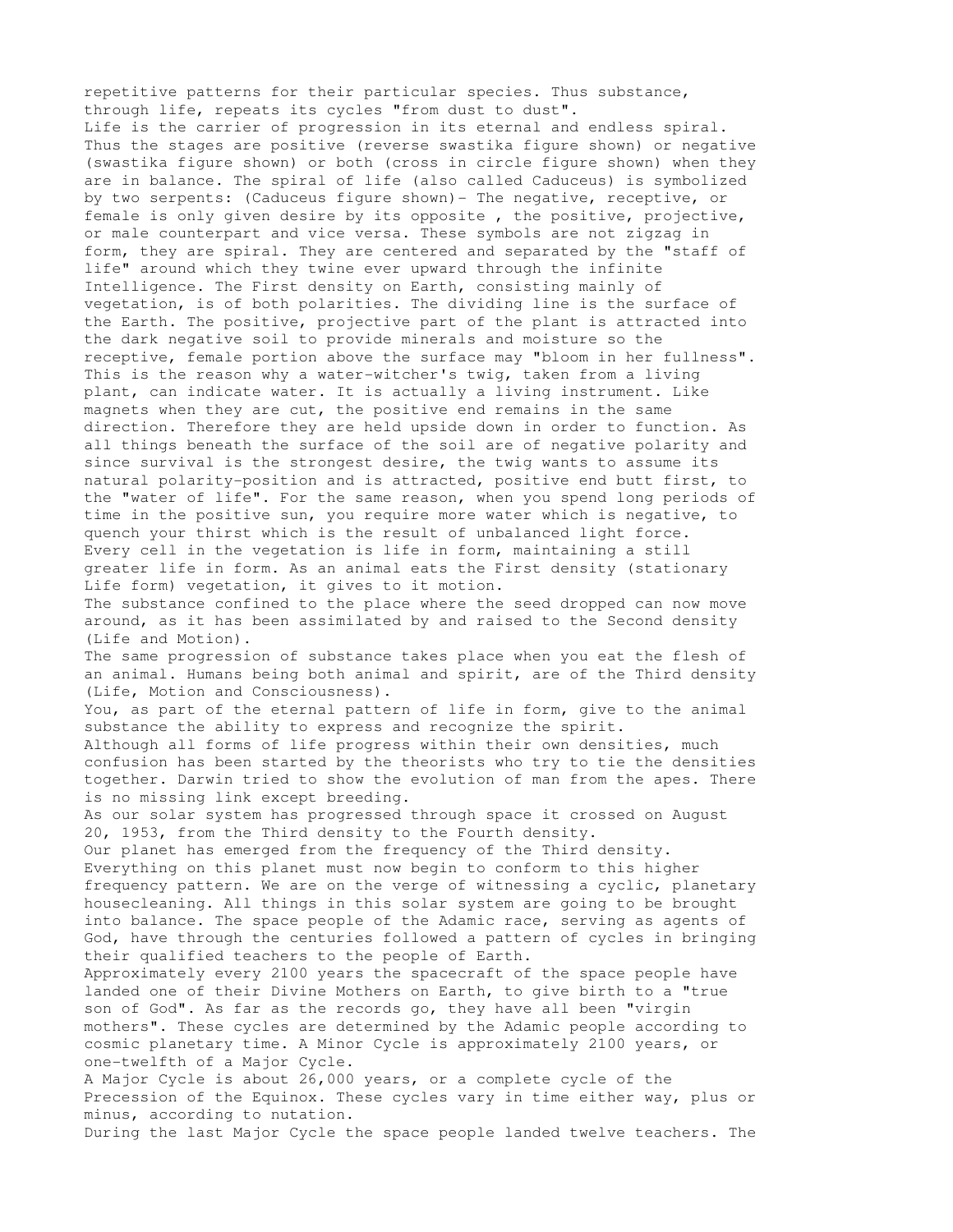repetitive patterns for their particular species. Thus substance, through life, repeats its cycles "from dust to dust". Life is the carrier of progression in its eternal and endless spiral. Thus the stages are positive (reverse swastika figure shown) or negative (swastika figure shown) or both (cross in circle figure shown) when they are in balance. The spiral of life (also called Caduceus) is symbolized by two serpents: (Caduceus figure shown) - The negative, receptive, or female is only given desire by its opposite , the positive, projective, or male counterpart and vice versa. These symbols are not zigzag in form, they are spiral. They are centered and separated by the "staff of life" around which they twine ever upward through the infinite Intelligence. The First density on Earth, consisting mainly of vegetation, is of both polarities. The dividing line is the surface of the Earth. The positive, projective part of the plant is attracted into the dark negative soil to provide minerals and moisture so the receptive, female portion above the surface may "bloom in her fullness". This is the reason why a water-witcher's twig, taken from a living plant, can indicate water. It is actually a living instrument. Like magnets when they are cut, the positive end remains in the same direction. Therefore they are held upside down in order to function. As all things beneath the surface of the soil are of negative polarity and since survival is the strongest desire, the twig wants to assume its natural polarity-position and is attracted, positive end butt first, to the "water of life". For the same reason, when you spend long periods of time in the positive sun, you require more water which is negative, to quench your thirst which is the result of unbalanced light force. Every cell in the vegetation is life in form, maintaining a still greater life in form. As an animal eats the First density (stationary Life form) vegetation, it gives to it motion. The substance confined to the place where the seed dropped can now move around, as it has been assimilated by and raised to the Second density (Life and Motion). The same progression of substance takes place when you eat the flesh of an animal. Humans being both animal and spirit, are of the Third density (Life, Motion and Consciousness). You, as part of the eternal pattern of life in form, give to the animal substance the ability to express and recognize the spirit. Although all forms of life progress within their own densities, much confusion has been started by the theorists who try to tie the densities together. Darwin tried to show the evolution of man from the apes. There is no missing link except breeding. As our solar system has progressed through space it crossed on August 20, 1953, from the Third density to the Fourth density. Our planet has emerged from the frequency of the Third density. Everything on this planet must now begin to conform to this higher frequency pattern. We are on the verge of witnessing a cyclic, planetary housecleaning. All things in this solar system are going to be brought into balance. The space people of the Adamic race, serving as agents of God, have through the centuries followed a pattern of cycles in bringing their qualified teachers to the people of Earth. Approximately every 2100 years the spacecraft of the space people have landed one of their Divine Mothers on Earth, to give birth to a "true son of God". As far as the records go, they have all been "virgin mothers". These cycles are determined by the Adamic people according to cosmic planetary time. A Minor Cycle is approximately 2100 years, or one-twelfth of a Major Cycle. A Major Cycle is about 26,000 years, or a complete cycle of the Precession of the Equinox. These cycles vary in time either way, plus or minus, according to nutation.

During the last Major Cycle the space people landed twelve teachers. The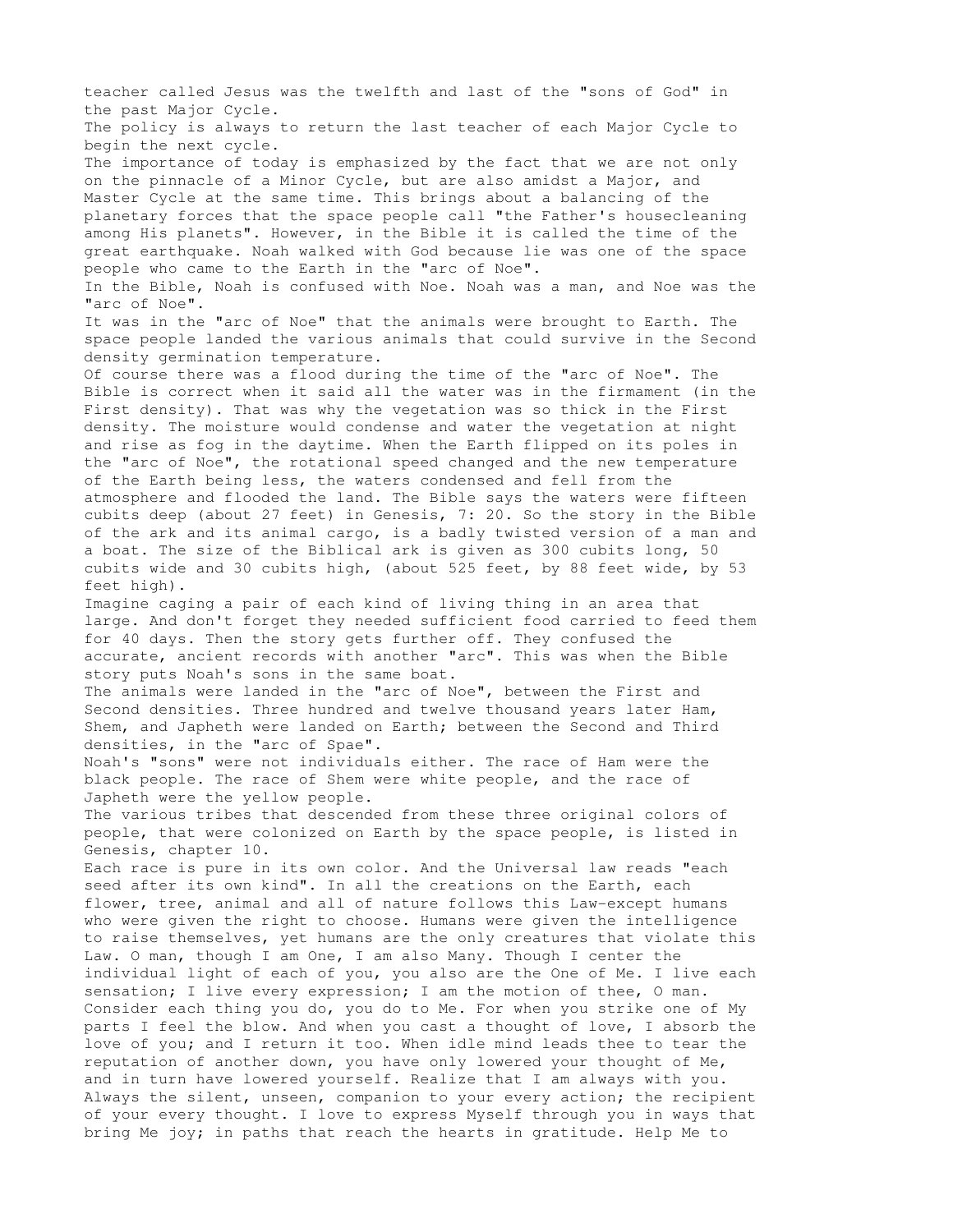teacher called Jesus was the twelfth and last of the "sons of God" in the past Major Cycle. The policy is always to return the last teacher of each Major Cycle to begin the next cycle. The importance of today is emphasized by the fact that we are not only on the pinnacle of a Minor Cycle, but are also amidst a Major, and Master Cycle at the same time. This brings about a balancing of the planetary forces that the space people call "the Father's housecleaning among His planets". However, in the Bible it is called the time of the great earthquake. Noah walked with God because lie was one of the space people who came to the Earth in the "arc of Noe". In the Bible, Noah is confused with Noe. Noah was a man, and Noe was the "arc of Noe". It was in the "arc of Noe" that the animals were brought to Earth. The space people landed the various animals that could survive in the Second density germination temperature. Of course there was a flood during the time of the "arc of Noe". The Bible is correct when it said all the water was in the firmament (in the First density). That was why the vegetation was so thick in the First density. The moisture would condense and water the vegetation at night and rise as fog in the daytime. When the Earth flipped on its poles in the "arc of Noe", the rotational speed changed and the new temperature of the Earth being less, the waters condensed and fell from the atmosphere and flooded the land. The Bible says the waters were fifteen cubits deep (about 27 feet) in Genesis, 7: 20. So the story in the Bible of the ark and its animal cargo, is a badly twisted version of a man and a boat. The size of the Biblical ark is given as 300 cubits long, 50 cubits wide and 30 cubits high, (about 525 feet, by 88 feet wide, by 53 feet high). Imagine caging a pair of each kind of living thing in an area that large. And don't forget they needed sufficient food carried to feed them for 40 days. Then the story gets further off. They confused the accurate, ancient records with another "arc". This was when the Bible story puts Noah's sons in the same boat. The animals were landed in the "arc of Noe", between the First and Second densities. Three hundred and twelve thousand years later Ham, Shem, and Japheth were landed on Earth; between the Second and Third densities, in the "arc of Spae". Noah's "sons" were not individuals either. The race of Ham were the black people. The race of Shem were white people, and the race of Japheth were the yellow people. The various tribes that descended from these three original colors of people, that were colonized on Earth by the space people, is listed in Genesis, chapter 10. Each race is pure in its own color. And the Universal law reads "each seed after its own kind". In all the creations on the Earth, each flower, tree, animal and all of nature follows this Law-except humans who were given the right to choose. Humans were given the intelligence to raise themselves, yet humans are the only creatures that violate this Law. O man, though I am One, I am also Many. Though I center the individual light of each of you, you also are the One of Me. I live each sensation; I live every expression; I am the motion of thee, O man. Consider each thing you do, you do to Me. For when you strike one of My parts I feel the blow. And when you cast a thought of love, I absorb the love of you; and I return it too. When idle mind leads thee to tear the reputation of another down, you have only lowered your thought of Me, and in turn have lowered yourself. Realize that I am always with you. Always the silent, unseen, companion to your every action; the recipient of your every thought. I love to express Myself through you in ways that bring Me joy; in paths that reach the hearts in gratitude. Help Me to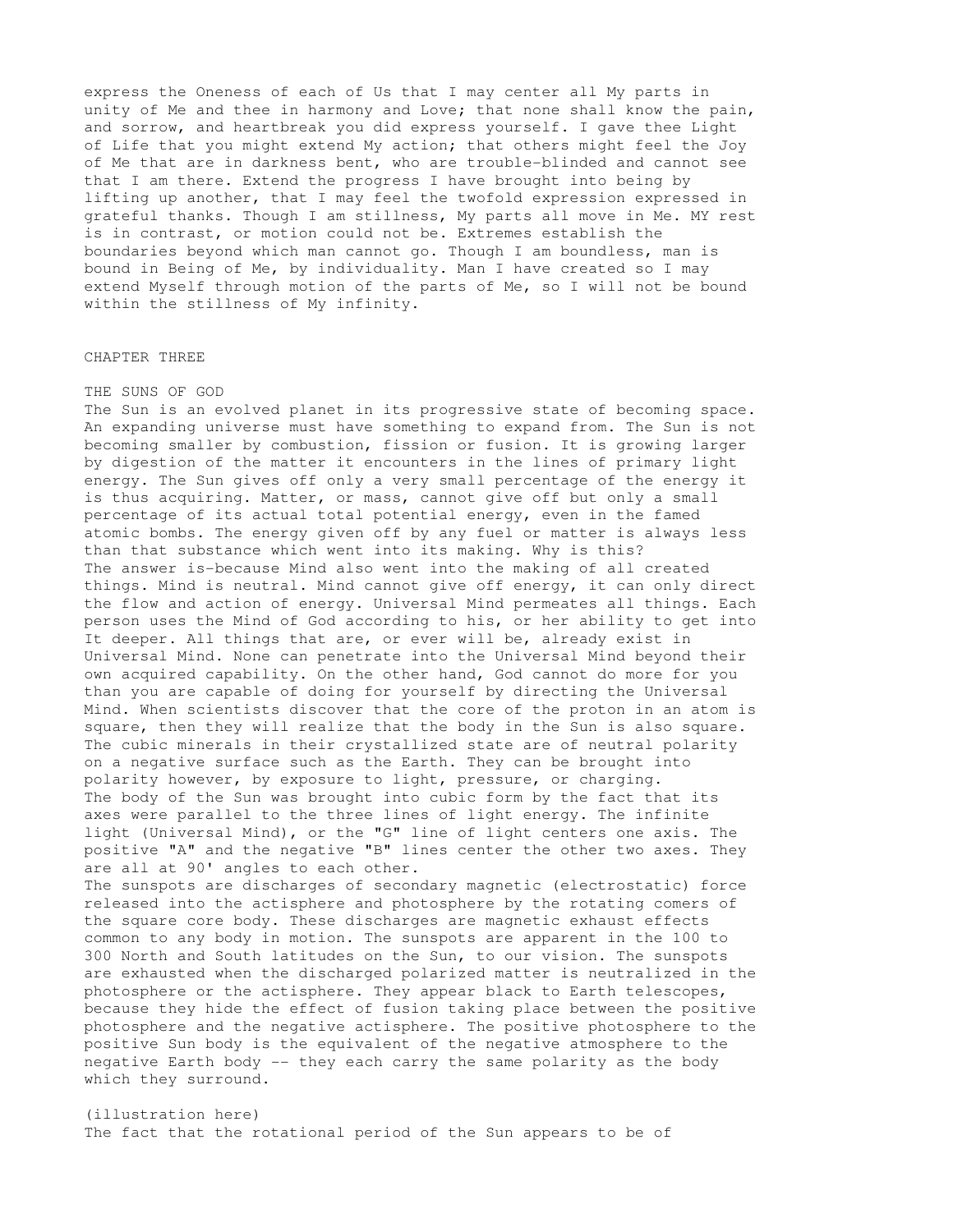express the Oneness of each of Us that I may center all My parts in unity of Me and thee in harmony and Love; that none shall know the pain, and sorrow, and heartbreak you did express yourself. I gave thee Light of Life that you might extend My action; that others might feel the Joy of Me that are in darkness bent, who are trouble-blinded and cannot see that I am there. Extend the progress I have brought into being by lifting up another, that I may feel the twofold expression expressed in grateful thanks. Though I am stillness, My parts all move in Me. MY rest is in contrast, or motion could not be. Extremes establish the boundaries beyond which man cannot go. Though I am boundless, man is bound in Being of Me, by individuality. Man I have created so I may extend Myself through motion of the parts of Me, so I will not be bound within the stillness of My infinity.

# CHAPTER THREE

## THE SUNS OF GOD

The Sun is an evolved planet in its progressive state of becoming space. An expanding universe must have something to expand from. The Sun is not becoming smaller by combustion, fission or fusion. It is growing larger by digestion of the matter it encounters in the lines of primary light energy. The Sun gives off only a very small percentage of the energy it is thus acquiring. Matter, or mass, cannot give off but only a small percentage of its actual total potential energy, even in the famed atomic bombs. The energy given off by any fuel or matter is always less than that substance which went into its making. Why is this? The answer is-because Mind also went into the making of all created things. Mind is neutral. Mind cannot give off energy, it can only direct the flow and action of energy. Universal Mind permeates all things. Each person uses the Mind of God according to his, or her ability to get into It deeper. All things that are, or ever will be, already exist in Universal Mind. None can penetrate into the Universal Mind beyond their own acquired capability. On the other hand, God cannot do more for you than you are capable of doing for yourself by directing the Universal Mind. When scientists discover that the core of the proton in an atom is square, then they will realize that the body in the Sun is also square. The cubic minerals in their crystallized state are of neutral polarity on a negative surface such as the Earth. They can be brought into polarity however, by exposure to light, pressure, or charging. The body of the Sun was brought into cubic form by the fact that its axes were parallel to the three lines of light energy. The infinite light (Universal Mind), or the "G" line of light centers one axis. The positive "A" and the negative "B" lines center the other two axes. They are all at 90' angles to each other. The sunspots are discharges of secondary magnetic (electrostatic) force released into the actisphere and photosphere by the rotating comers of the square core body. These discharges are magnetic exhaust effects common to any body in motion. The sunspots are apparent in the 100 to 300 North and South latitudes on the Sun, to our vision. The sunspots are exhausted when the discharged polarized matter is neutralized in the photosphere or the actisphere. They appear black to Earth telescopes,

because they hide the effect of fusion taking place between the positive photosphere and the negative actisphere. The positive photosphere to the positive Sun body is the equivalent of the negative atmosphere to the negative Earth body -- they each carry the same polarity as the body which they surround.

(illustration here) The fact that the rotational period of the Sun appears to be of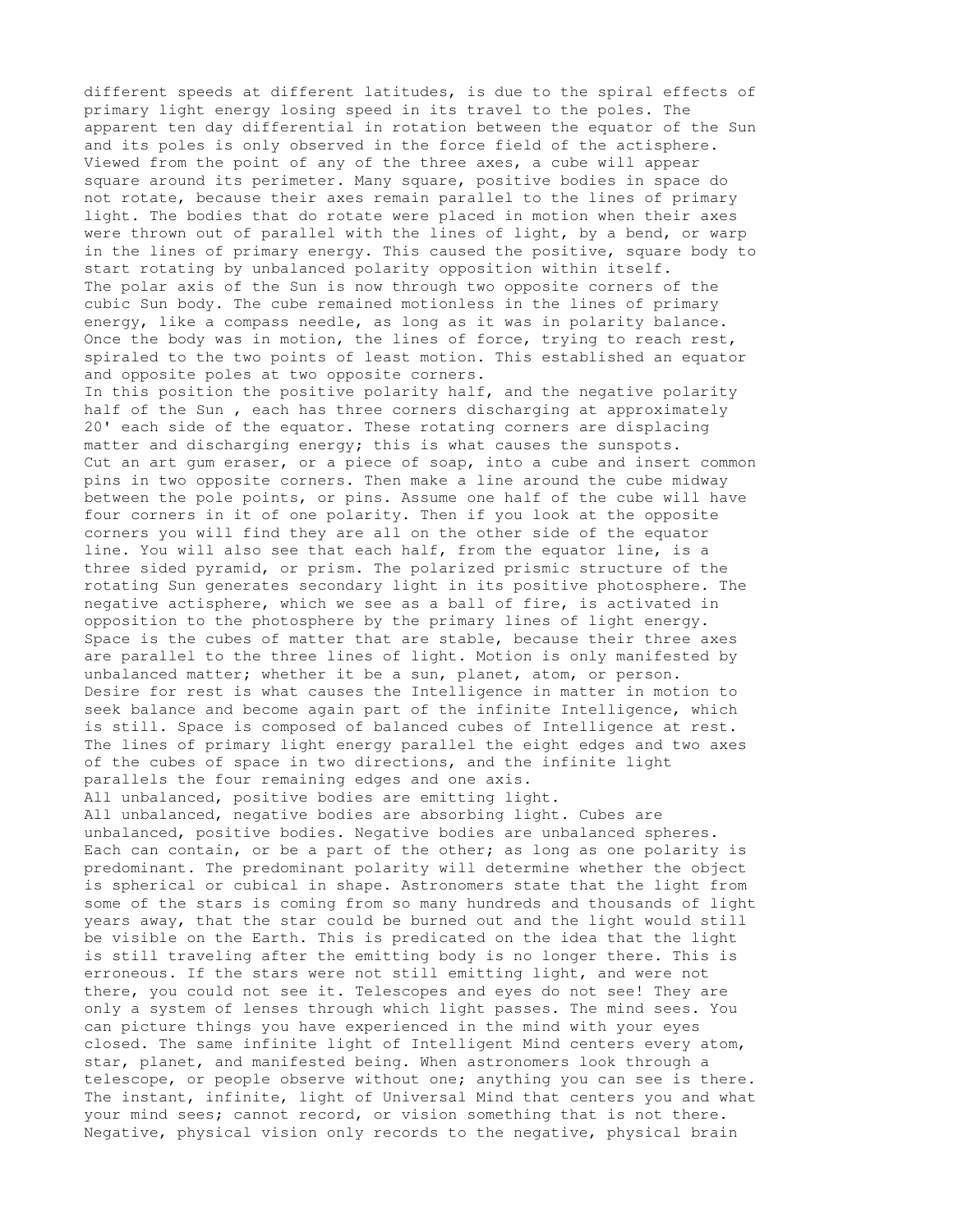different speeds at different latitudes, is due to the spiral effects of primary light energy losing speed in its travel to the poles. The apparent ten day differential in rotation between the equator of the Sun and its poles is only observed in the force field of the actisphere. Viewed from the point of any of the three axes, a cube will appear square around its perimeter. Many square, positive bodies in space do not rotate, because their axes remain parallel to the lines of primary light. The bodies that do rotate were placed in motion when their axes were thrown out of parallel with the lines of light, by a bend, or warp in the lines of primary energy. This caused the positive, square body to start rotating by unbalanced polarity opposition within itself. The polar axis of the Sun is now through two opposite corners of the cubic Sun body. The cube remained motionless in the lines of primary energy, like a compass needle, as long as it was in polarity balance. Once the body was in motion, the lines of force, trying to reach rest, spiraled to the two points of least motion. This established an equator and opposite poles at two opposite corners. In this position the positive polarity half, and the negative polarity half of the Sun , each has three corners discharging at approximately 20' each side of the equator. These rotating corners are displacing matter and discharging energy; this is what causes the sunspots. Cut an art gum eraser, or a piece of soap, into a cube and insert common pins in two opposite corners. Then make a line around the cube midway between the pole points, or pins. Assume one half of the cube will have four corners in it of one polarity. Then if you look at the opposite corners you will find they are all on the other side of the equator line. You will also see that each half, from the equator line, is a three sided pyramid, or prism. The polarized prismic structure of the rotating Sun generates secondary light in its positive photosphere. The negative actisphere, which we see as a ball of fire, is activated in opposition to the photosphere by the primary lines of light energy. Space is the cubes of matter that are stable, because their three axes are parallel to the three lines of light. Motion is only manifested by unbalanced matter; whether it be a sun, planet, atom, or person. Desire for rest is what causes the Intelligence in matter in motion to seek balance and become again part of the infinite Intelligence, which is still. Space is composed of balanced cubes of Intelligence at rest. The lines of primary light energy parallel the eight edges and two axes of the cubes of space in two directions, and the infinite light parallels the four remaining edges and one axis. All unbalanced, positive bodies are emitting light. All unbalanced, negative bodies are absorbing light. Cubes are unbalanced, positive bodies. Negative bodies are unbalanced spheres. Each can contain, or be a part of the other; as long as one polarity is predominant. The predominant polarity will determine whether the object is spherical or cubical in shape. Astronomers state that the light from some of the stars is coming from so many hundreds and thousands of light years away, that the star could be burned out and the light would still be visible on the Earth. This is predicated on the idea that the light is still traveling after the emitting body is no longer there. This is erroneous. If the stars were not still emitting light, and were not there, you could not see it. Telescopes and eyes do not see! They are only a system of lenses through which light passes. The mind sees. You can picture things you have experienced in the mind with your eyes closed. The same infinite light of Intelligent Mind centers every atom, star, planet, and manifested being. When astronomers look through a telescope, or people observe without one; anything you can see is there. The instant, infinite, light of Universal Mind that centers you and what your mind sees; cannot record, or vision something that is not there. Negative, physical vision only records to the negative, physical brain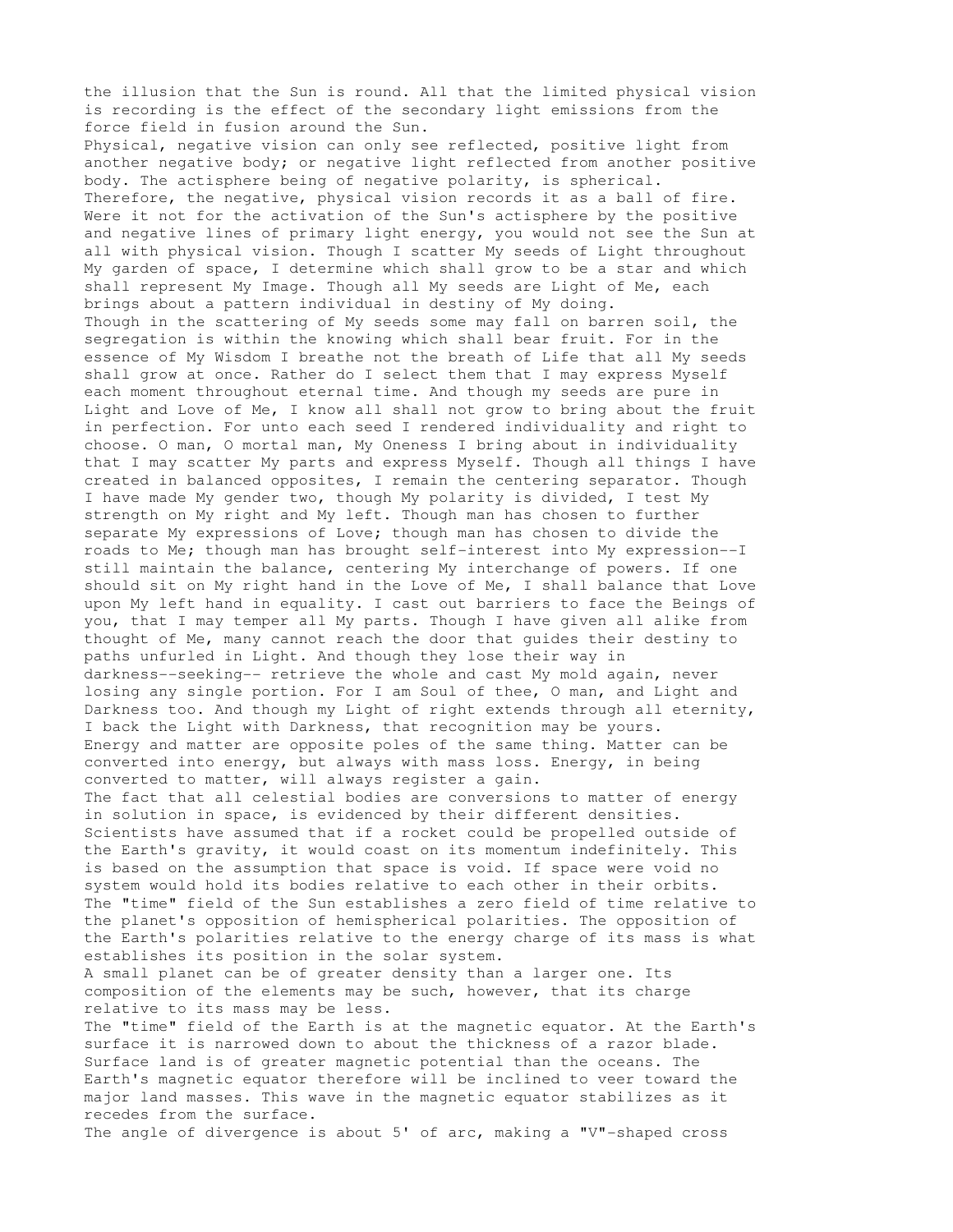the illusion that the Sun is round. All that the limited physical vision is recording is the effect of the secondary light emissions from the force field in fusion around the Sun. Physical, negative vision can only see reflected, positive light from another negative body; or negative light reflected from another positive body. The actisphere being of negative polarity, is spherical. Therefore, the negative, physical vision records it as a ball of fire. Were it not for the activation of the Sun's actisphere by the positive and negative lines of primary light energy, you would not see the Sun at all with physical vision. Though I scatter My seeds of Light throughout My garden of space, I determine which shall grow to be a star and which shall represent My Image. Though all My seeds are Light of Me, each brings about a pattern individual in destiny of My doing. Though in the scattering of My seeds some may fall on barren soil, the segregation is within the knowing which shall bear fruit. For in the essence of My Wisdom I breathe not the breath of Life that all My seeds shall grow at once. Rather do I select them that I may express Myself each moment throughout eternal time. And though my seeds are pure in Light and Love of Me, I know all shall not grow to bring about the fruit in perfection. For unto each seed I rendered individuality and right to choose. O man, O mortal man, My Oneness I bring about in individuality that I may scatter My parts and express Myself. Though all things I have created in balanced opposites, I remain the centering separator. Though I have made My gender two, though My polarity is divided, I test My strength on My right and My left. Though man has chosen to further separate My expressions of Love; though man has chosen to divide the roads to Me; though man has brought self-interest into My expression--I still maintain the balance, centering My interchange of powers. If one should sit on My right hand in the Love of Me, I shall balance that Love upon My left hand in equality. I cast out barriers to face the Beings of you, that I may temper all My parts. Though I have given all alike from thought of Me, many cannot reach the door that guides their destiny to paths unfurled in Light. And though they lose their way in darkness--seeking-- retrieve the whole and cast My mold again, never losing any single portion. For I am Soul of thee, O man, and Light and Darkness too. And though my Light of right extends through all eternity, I back the Light with Darkness, that recognition may be yours. Energy and matter are opposite poles of the same thing. Matter can be converted into energy, but always with mass loss. Energy, in being converted to matter, will always register a gain. The fact that all celestial bodies are conversions to matter of energy in solution in space, is evidenced by their different densities. Scientists have assumed that if a rocket could be propelled outside of the Earth's gravity, it would coast on its momentum indefinitely. This is based on the assumption that space is void. If space were void no system would hold its bodies relative to each other in their orbits. The "time" field of the Sun establishes a zero field of time relative to the planet's opposition of hemispherical polarities. The opposition of the Earth's polarities relative to the energy charge of its mass is what establishes its position in the solar system. A small planet can be of greater density than a larger one. Its composition of the elements may be such, however, that its charge relative to its mass may be less. The "time" field of the Earth is at the magnetic equator. At the Earth's surface it is narrowed down to about the thickness of a razor blade. Surface land is of greater magnetic potential than the oceans. The Earth's magnetic equator therefore will be inclined to veer toward the major land masses. This wave in the magnetic equator stabilizes as it recedes from the surface. The angle of divergence is about 5' of arc, making a "V"-shaped cross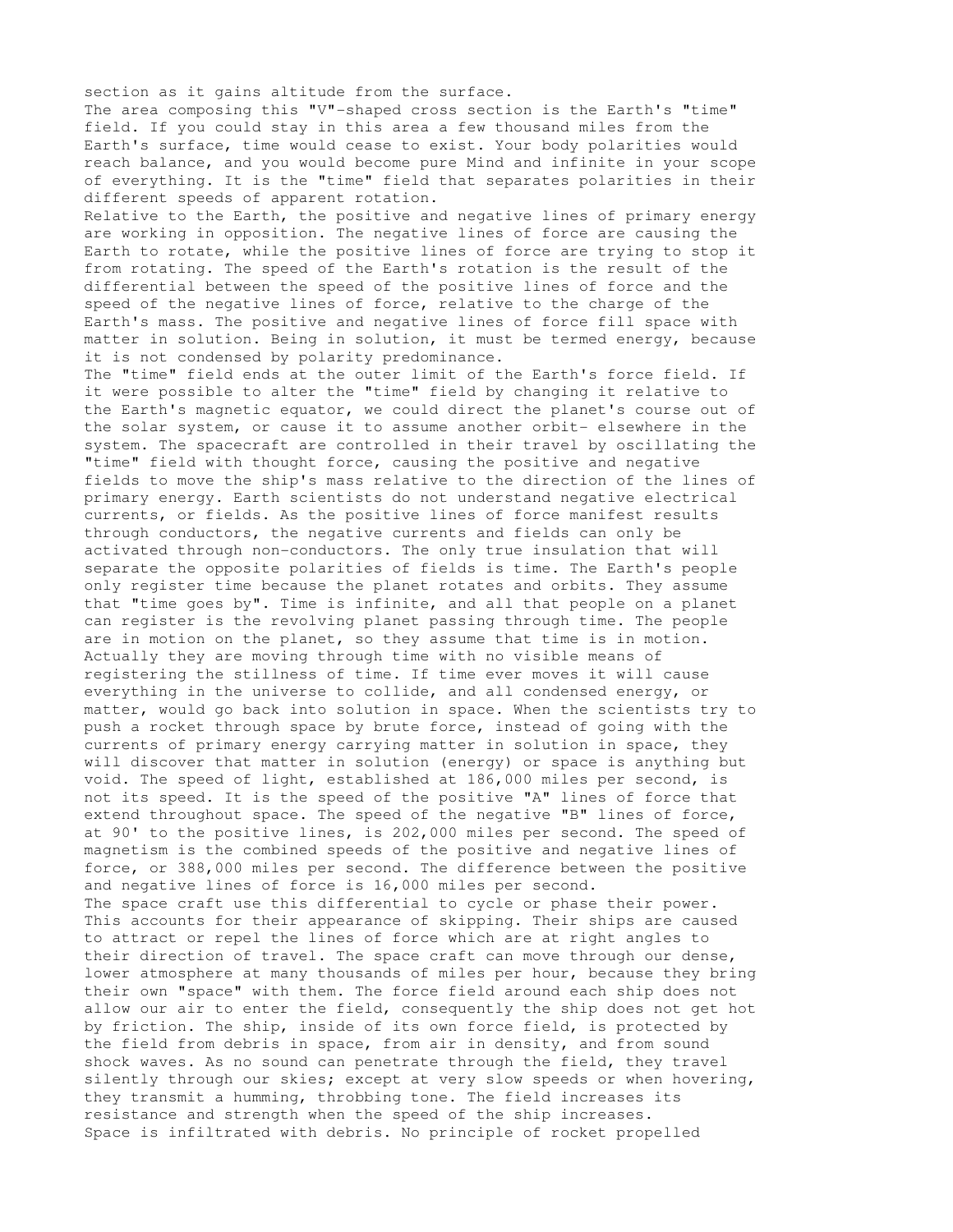section as it gains altitude from the surface. The area composing this "V"-shaped cross section is the Earth's "time" field. If you could stay in this area a few thousand miles from the Earth's surface, time would cease to exist. Your body polarities would reach balance, and you would become pure Mind and infinite in your scope of everything. It is the "time" field that separates polarities in their different speeds of apparent rotation. Relative to the Earth, the positive and negative lines of primary energy are working in opposition. The negative lines of force are causing the Earth to rotate, while the positive lines of force are trying to stop it from rotating. The speed of the Earth's rotation is the result of the differential between the speed of the positive lines of force and the speed of the negative lines of force, relative to the charge of the Earth's mass. The positive and negative lines of force fill space with matter in solution. Being in solution, it must be termed energy, because it is not condensed by polarity predominance. The "time" field ends at the outer limit of the Earth's force field. If it were possible to alter the "time" field by changing it relative to the Earth's magnetic equator, we could direct the planet's course out of the solar system, or cause it to assume another orbit- elsewhere in the system. The spacecraft are controlled in their travel by oscillating the "time" field with thought force, causing the positive and negative fields to move the ship's mass relative to the direction of the lines of primary energy. Earth scientists do not understand negative electrical currents, or fields. As the positive lines of force manifest results through conductors, the negative currents and fields can only be activated through non-conductors. The only true insulation that will separate the opposite polarities of fields is time. The Earth's people only register time because the planet rotates and orbits. They assume that "time goes by". Time is infinite, and all that people on a planet can register is the revolving planet passing through time. The people are in motion on the planet, so they assume that time is in motion. Actually they are moving through time with no visible means of registering the stillness of time. If time ever moves it will cause everything in the universe to collide, and all condensed energy, or matter, would go back into solution in space. When the scientists try to push a rocket through space by brute force, instead of going with the currents of primary energy carrying matter in solution in space, they will discover that matter in solution (energy) or space is anything but void. The speed of light, established at 186,000 miles per second, is not its speed. It is the speed of the positive "A" lines of force that extend throughout space. The speed of the negative "B" lines of force, at 90' to the positive lines, is 202,000 miles per second. The speed of magnetism is the combined speeds of the positive and negative lines of force, or 388,000 miles per second. The difference between the positive and negative lines of force is 16,000 miles per second. The space craft use this differential to cycle or phase their power. This accounts for their appearance of skipping. Their ships are caused to attract or repel the lines of force which are at right angles to their direction of travel. The space craft can move through our dense, lower atmosphere at many thousands of miles per hour, because they bring their own "space" with them. The force field around each ship does not allow our air to enter the field, consequently the ship does not get hot by friction. The ship, inside of its own force field, is protected by the field from debris in space, from air in density, and from sound shock waves. As no sound can penetrate through the field, they travel silently through our skies; except at very slow speeds or when hovering, they transmit a humming, throbbing tone. The field increases its resistance and strength when the speed of the ship increases. Space is infiltrated with debris. No principle of rocket propelled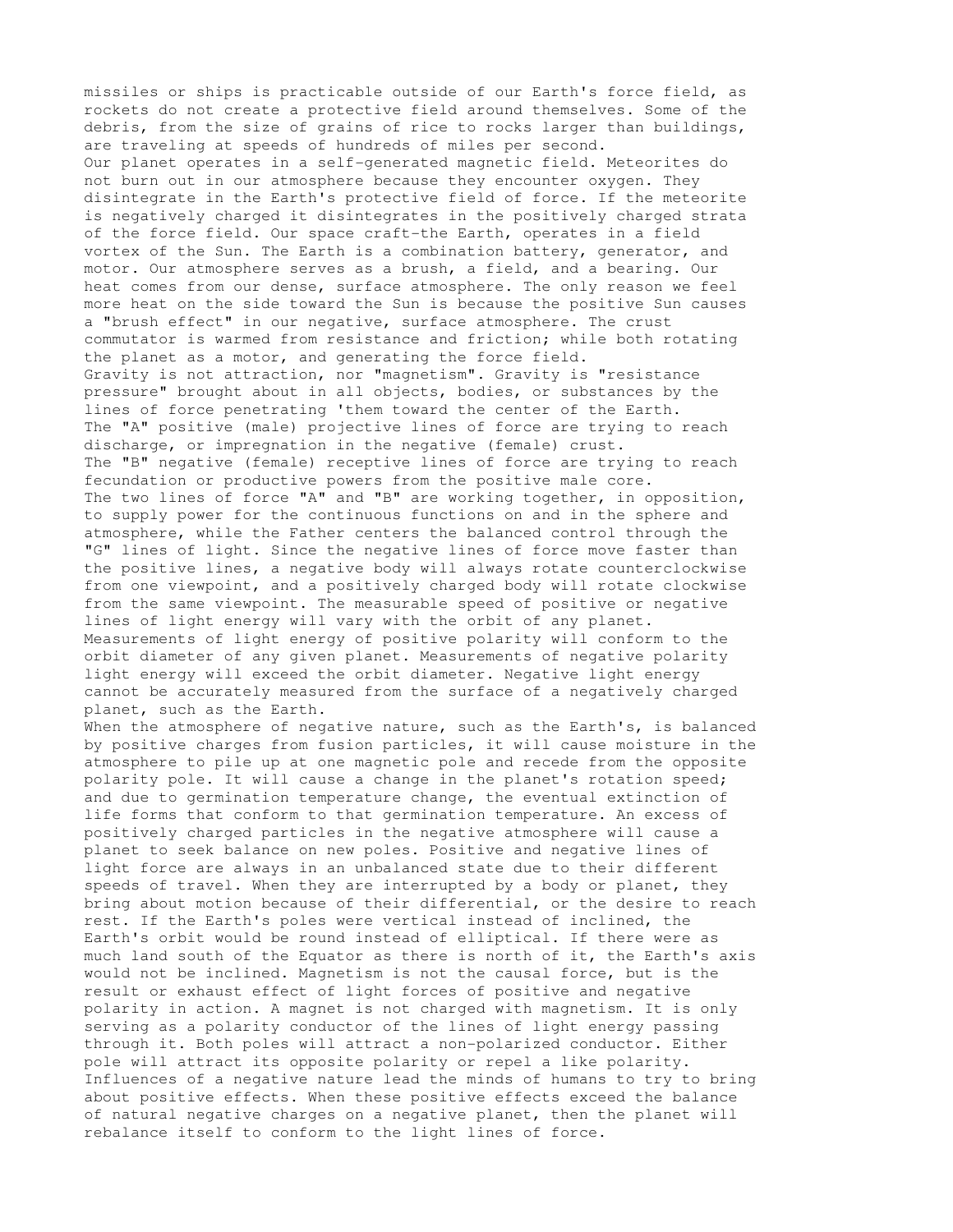missiles or ships is practicable outside of our Earth's force field, as rockets do not create a protective field around themselves. Some of the debris, from the size of grains of rice to rocks larger than buildings, are traveling at speeds of hundreds of miles per second. Our planet operates in a self-generated magnetic field. Meteorites do not burn out in our atmosphere because they encounter oxygen. They disintegrate in the Earth's protective field of force. If the meteorite is negatively charged it disintegrates in the positively charged strata of the force field. Our space craft-the Earth, operates in a field vortex of the Sun. The Earth is a combination battery, generator, and motor. Our atmosphere serves as a brush, a field, and a bearing. Our heat comes from our dense, surface atmosphere. The only reason we feel more heat on the side toward the Sun is because the positive Sun causes a "brush effect" in our negative, surface atmosphere. The crust commutator is warmed from resistance and friction; while both rotating the planet as a motor, and generating the force field. Gravity is not attraction, nor "magnetism". Gravity is "resistance pressure" brought about in all objects, bodies, or substances by the lines of force penetrating 'them toward the center of the Earth. The "A" positive (male) projective lines of force are trying to reach discharge, or impregnation in the negative (female) crust. The "B" negative (female) receptive lines of force are trying to reach fecundation or productive powers from the positive male core. The two lines of force "A" and "B" are working together, in opposition, to supply power for the continuous functions on and in the sphere and atmosphere, while the Father centers the balanced control through the "G" lines of light. Since the negative lines of force move faster than the positive lines, a negative body will always rotate counterclockwise from one viewpoint, and a positively charged body will rotate clockwise from the same viewpoint. The measurable speed of positive or negative lines of light energy will vary with the orbit of any planet. Measurements of light energy of positive polarity will conform to the orbit diameter of any given planet. Measurements of negative polarity light energy will exceed the orbit diameter. Negative light energy cannot be accurately measured from the surface of a negatively charged planet, such as the Earth. When the atmosphere of negative nature, such as the Earth's, is balanced

by positive charges from fusion particles, it will cause moisture in the atmosphere to pile up at one magnetic pole and recede from the opposite polarity pole. It will cause a change in the planet's rotation speed; and due to germination temperature change, the eventual extinction of life forms that conform to that germination temperature. An excess of positively charged particles in the negative atmosphere will cause a planet to seek balance on new poles. Positive and negative lines of light force are always in an unbalanced state due to their different speeds of travel. When they are interrupted by a body or planet, they bring about motion because of their differential, or the desire to reach rest. If the Earth's poles were vertical instead of inclined, the Earth's orbit would be round instead of elliptical. If there were as much land south of the Equator as there is north of it, the Earth's axis would not be inclined. Magnetism is not the causal force, but is the result or exhaust effect of light forces of positive and negative polarity in action. A magnet is not charged with magnetism. It is only serving as a polarity conductor of the lines of light energy passing through it. Both poles will attract a non-polarized conductor. Either pole will attract its opposite polarity or repel a like polarity. Influences of a negative nature lead the minds of humans to try to bring about positive effects. When these positive effects exceed the balance of natural negative charges on a negative planet, then the planet will rebalance itself to conform to the light lines of force.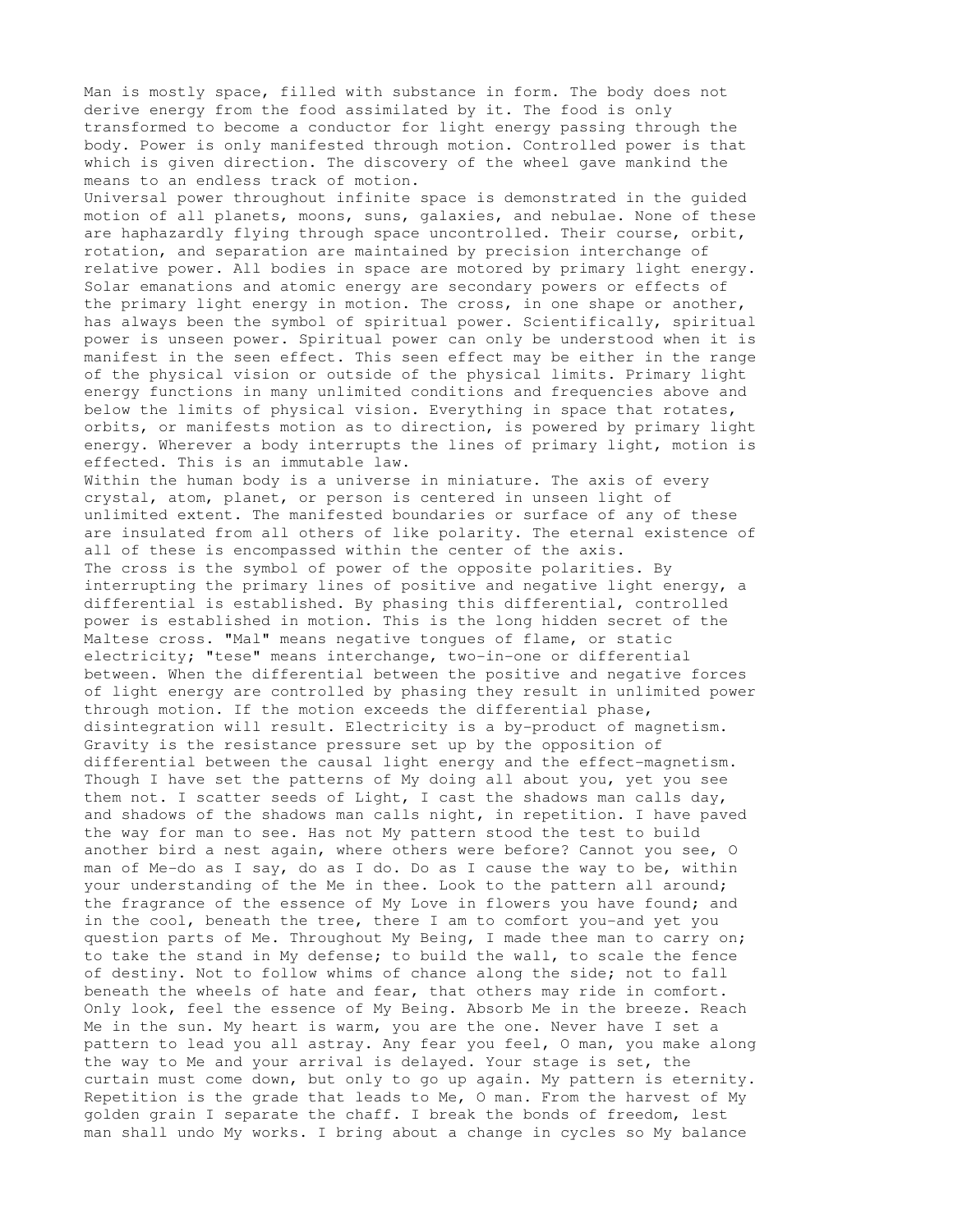Man is mostly space, filled with substance in form. The body does not derive energy from the food assimilated by it. The food is only transformed to become a conductor for light energy passing through the body. Power is only manifested through motion. Controlled power is that which is given direction. The discovery of the wheel gave mankind the means to an endless track of motion.

Universal power throughout infinite space is demonstrated in the guided motion of all planets, moons, suns, galaxies, and nebulae. None of these are haphazardly flying through space uncontrolled. Their course, orbit, rotation, and separation are maintained by precision interchange of relative power. All bodies in space are motored by primary light energy. Solar emanations and atomic energy are secondary powers or effects of the primary light energy in motion. The cross, in one shape or another, has always been the symbol of spiritual power. Scientifically, spiritual power is unseen power. Spiritual power can only be understood when it is manifest in the seen effect. This seen effect may be either in the range of the physical vision or outside of the physical limits. Primary light energy functions in many unlimited conditions and frequencies above and below the limits of physical vision. Everything in space that rotates, orbits, or manifests motion as to direction, is powered by primary light energy. Wherever a body interrupts the lines of primary light, motion is effected. This is an immutable law.

Within the human body is a universe in miniature. The axis of every crystal, atom, planet, or person is centered in unseen light of unlimited extent. The manifested boundaries or surface of any of these are insulated from all others of like polarity. The eternal existence of all of these is encompassed within the center of the axis. The cross is the symbol of power of the opposite polarities. By interrupting the primary lines of positive and negative light energy, a differential is established. By phasing this differential, controlled power is established in motion. This is the long hidden secret of the Maltese cross. "Mal" means negative tongues of flame, or static electricity; "tese" means interchange, two-in-one or differential between. When the differential between the positive and negative forces of light energy are controlled by phasing they result in unlimited power through motion. If the motion exceeds the differential phase, disintegration will result. Electricity is a by-product of magnetism. Gravity is the resistance pressure set up by the opposition of differential between the causal light energy and the effect-magnetism. Though I have set the patterns of My doing all about you, yet you see them not. I scatter seeds of Light, I cast the shadows man calls day, and shadows of the shadows man calls night, in repetition. I have paved the way for man to see. Has not My pattern stood the test to build another bird a nest again, where others were before? Cannot you see, O man of Me-do as I say, do as I do. Do as I cause the way to be, within your understanding of the Me in thee. Look to the pattern all around; the fragrance of the essence of My Love in flowers you have found; and in the cool, beneath the tree, there I am to comfort you-and yet you question parts of Me. Throughout My Being, I made thee man to carry on; to take the stand in My defense; to build the wall, to scale the fence of destiny. Not to follow whims of chance along the side; not to fall beneath the wheels of hate and fear, that others may ride in comfort. Only look, feel the essence of My Being. Absorb Me in the breeze. Reach Me in the sun. My heart is warm, you are the one. Never have I set a pattern to lead you all astray. Any fear you feel, O man, you make along the way to Me and your arrival is delayed. Your stage is set, the curtain must come down, but only to go up again. My pattern is eternity. Repetition is the grade that leads to Me, O man. From the harvest of My golden grain I separate the chaff. I break the bonds of freedom, lest man shall undo My works. I bring about a change in cycles so My balance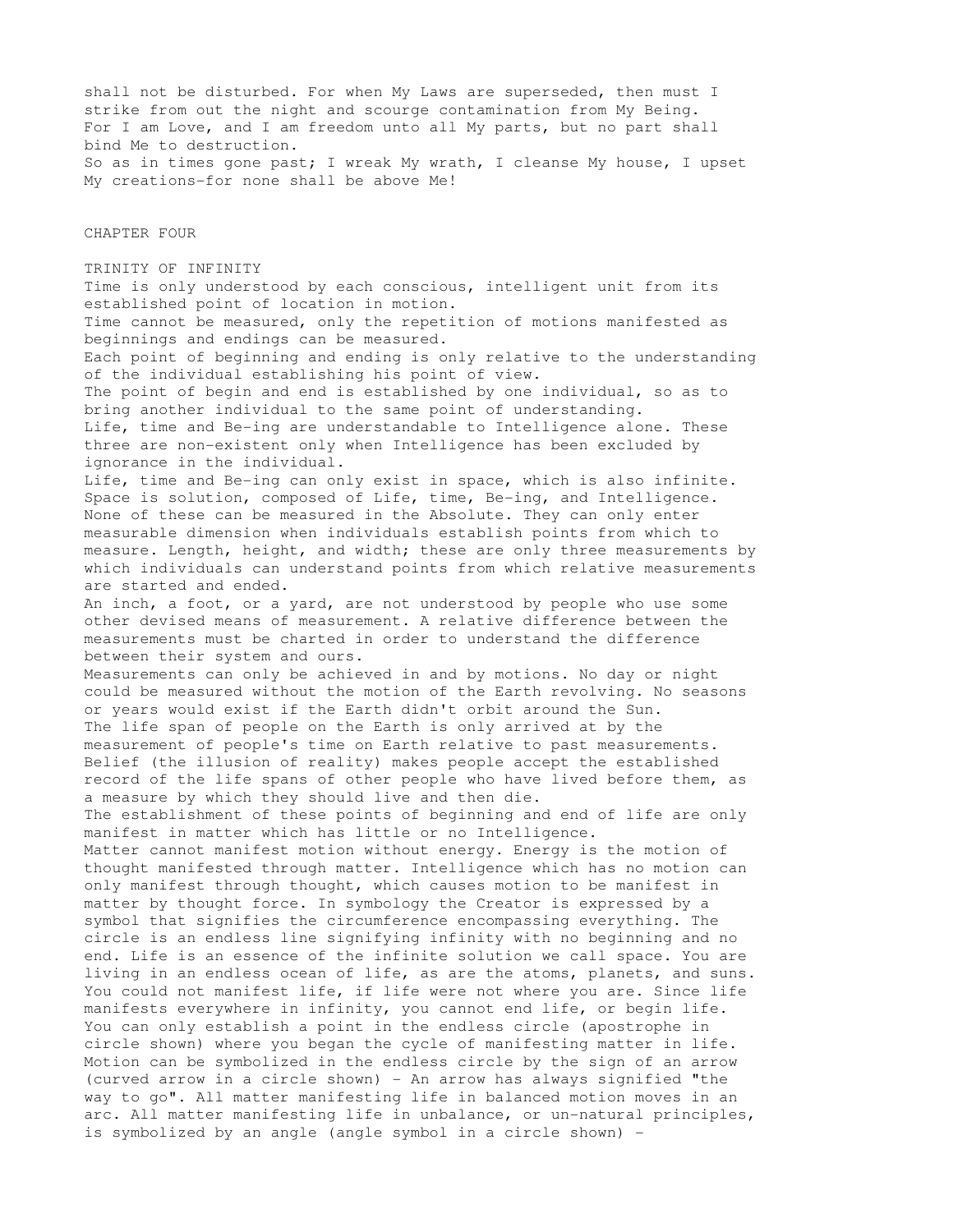shall not be disturbed. For when My Laws are superseded, then must I strike from out the night and scourge contamination from My Being. For I am Love, and I am freedom unto all My parts, but no part shall bind Me to destruction. So as in times gone past; I wreak My wrath, I cleanse My house, I upset My creations-for none shall be above Me!

CHAPTER FOUR

### TRINITY OF INFINITY

Time is only understood by each conscious, intelligent unit from its established point of location in motion.

Time cannot be measured, only the repetition of motions manifested as beginnings and endings can be measured.

Each point of beginning and ending is only relative to the understanding of the individual establishing his point of view.

The point of begin and end is established by one individual, so as to bring another individual to the same point of understanding. Life, time and Be-ing are understandable to Intelligence alone. These three are non-existent only when Intelligence has been excluded by ignorance in the individual.

Life, time and Be-ing can only exist in space, which is also infinite. Space is solution, composed of Life, time, Be-ing, and Intelligence. None of these can be measured in the Absolute. They can only enter measurable dimension when individuals establish points from which to measure. Length, height, and width; these are only three measurements by which individuals can understand points from which relative measurements are started and ended.

An inch, a foot, or a yard, are not understood by people who use some other devised means of measurement. A relative difference between the measurements must be charted in order to understand the difference between their system and ours.

Measurements can only be achieved in and by motions. No day or night could be measured without the motion of the Earth revolving. No seasons or years would exist if the Earth didn't orbit around the Sun. The life span of people on the Earth is only arrived at by the measurement of people's time on Earth relative to past measurements. Belief (the illusion of reality) makes people accept the established record of the life spans of other people who have lived before them, as a measure by which they should live and then die.

The establishment of these points of beginning and end of life are only manifest in matter which has little or no Intelligence.

Matter cannot manifest motion without energy. Energy is the motion of thought manifested through matter. Intelligence which has no motion can only manifest through thought, which causes motion to be manifest in matter by thought force. In symbology the Creator is expressed by a symbol that signifies the circumference encompassing everything. The circle is an endless line signifying infinity with no beginning and no end. Life is an essence of the infinite solution we call space. You are living in an endless ocean of life, as are the atoms, planets, and suns. You could not manifest life, if life were not where you are. Since life manifests everywhere in infinity, you cannot end life, or begin life. You can only establish a point in the endless circle (apostrophe in circle shown) where you began the cycle of manifesting matter in life. Motion can be symbolized in the endless circle by the sign of an arrow (curved arrow in a circle shown) - An arrow has always signified "the way to go". All matter manifesting life in balanced motion moves in an arc. All matter manifesting life in unbalance, or un-natural principles, is symbolized by an angle (angle symbol in a circle shown) -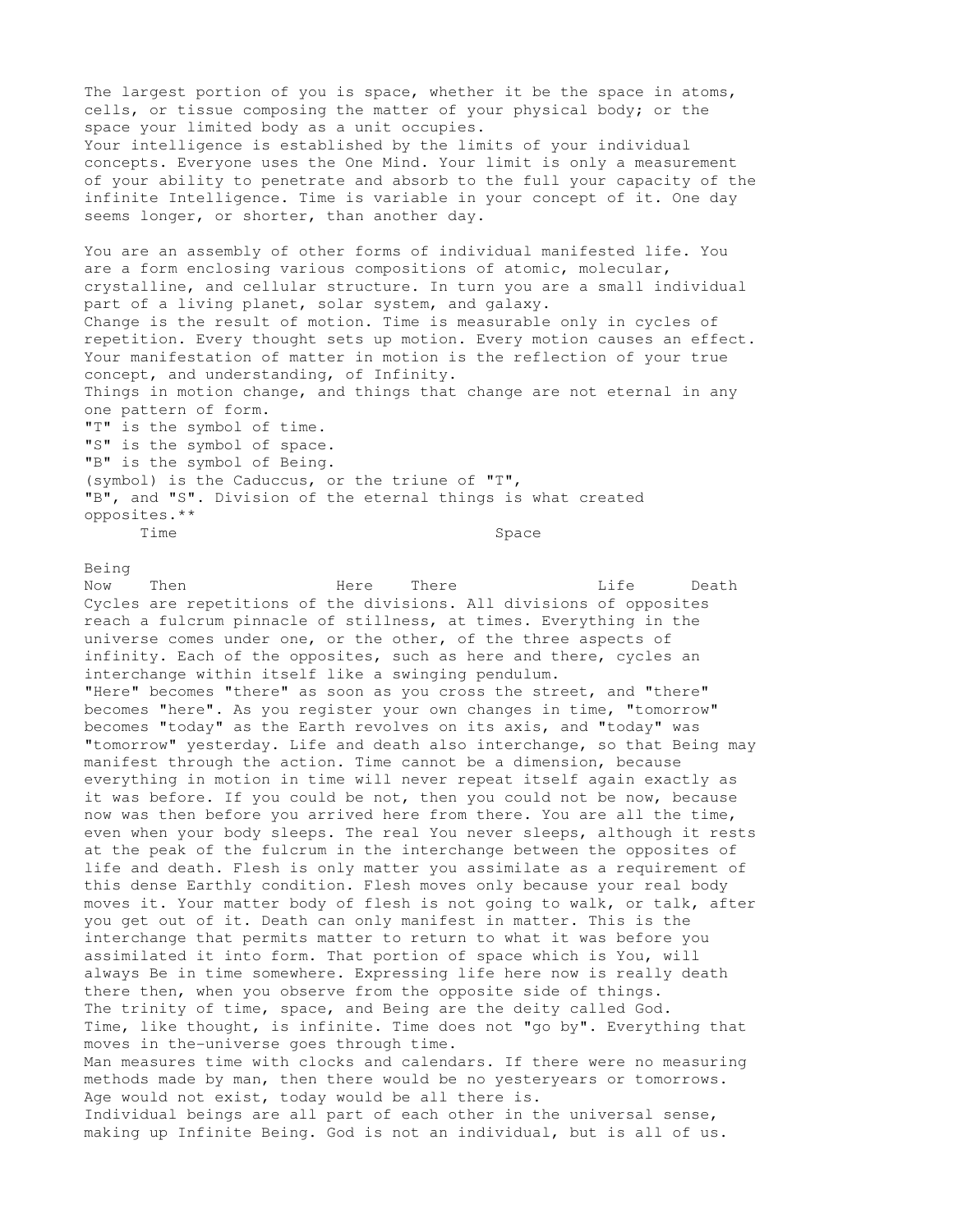The largest portion of you is space, whether it be the space in atoms, cells, or tissue composing the matter of your physical body; or the space your limited body as a unit occupies. Your intelligence is established by the limits of your individual concepts. Everyone uses the One Mind. Your limit is only a measurement of your ability to penetrate and absorb to the full your capacity of the infinite Intelligence. Time is variable in your concept of it. One day seems longer, or shorter, than another day.

You are an assembly of other forms of individual manifested life. You are a form enclosing various compositions of atomic, molecular, crystalline, and cellular structure. In turn you are a small individual part of a living planet, solar system, and galaxy. Change is the result of motion. Time is measurable only in cycles of repetition. Every thought sets up motion. Every motion causes an effect. Your manifestation of matter in motion is the reflection of your true concept, and understanding, of Infinity. Things in motion change, and things that change are not eternal in any one pattern of form. "T" is the symbol of time. "S" is the symbol of space. "B" is the symbol of Being. (symbol) is the Caduccus, or the triune of "T", "B", and "S". Division of the eternal things is what created opposites.\*\* Time Space Space Space

Being

Now Then **Here** There **Example 1** and Then Death Cycles are repetitions of the divisions. All divisions of opposites reach a fulcrum pinnacle of stillness, at times. Everything in the universe comes under one, or the other, of the three aspects of infinity. Each of the opposites, such as here and there, cycles an interchange within itself like a swinging pendulum. "Here" becomes "there" as soon as you cross the street, and "there" becomes "here". As you register your own changes in time, "tomorrow" becomes "today" as the Earth revolves on its axis, and "today" was "tomorrow" yesterday. Life and death also interchange, so that Being may manifest through the action. Time cannot be a dimension, because everything in motion in time will never repeat itself again exactly as it was before. If you could be not, then you could not be now, because now was then before you arrived here from there. You are all the time, even when your body sleeps. The real You never sleeps, although it rests at the peak of the fulcrum in the interchange between the opposites of life and death. Flesh is only matter you assimilate as a requirement of this dense Earthly condition. Flesh moves only because your real body moves it. Your matter body of flesh is not going to walk, or talk, after you get out of it. Death can only manifest in matter. This is the interchange that permits matter to return to what it was before you assimilated it into form. That portion of space which is You, will always Be in time somewhere. Expressing life here now is really death there then, when you observe from the opposite side of things. The trinity of time, space, and Being are the deity called God. Time, like thought, is infinite. Time does not "go by". Everything that moves in the-universe goes through time. Man measures time with clocks and calendars. If there were no measuring methods made by man, then there would be no yesteryears or tomorrows. Age would not exist, today would be all there is. Individual beings are all part of each other in the universal sense, making up Infinite Being. God is not an individual, but is all of us.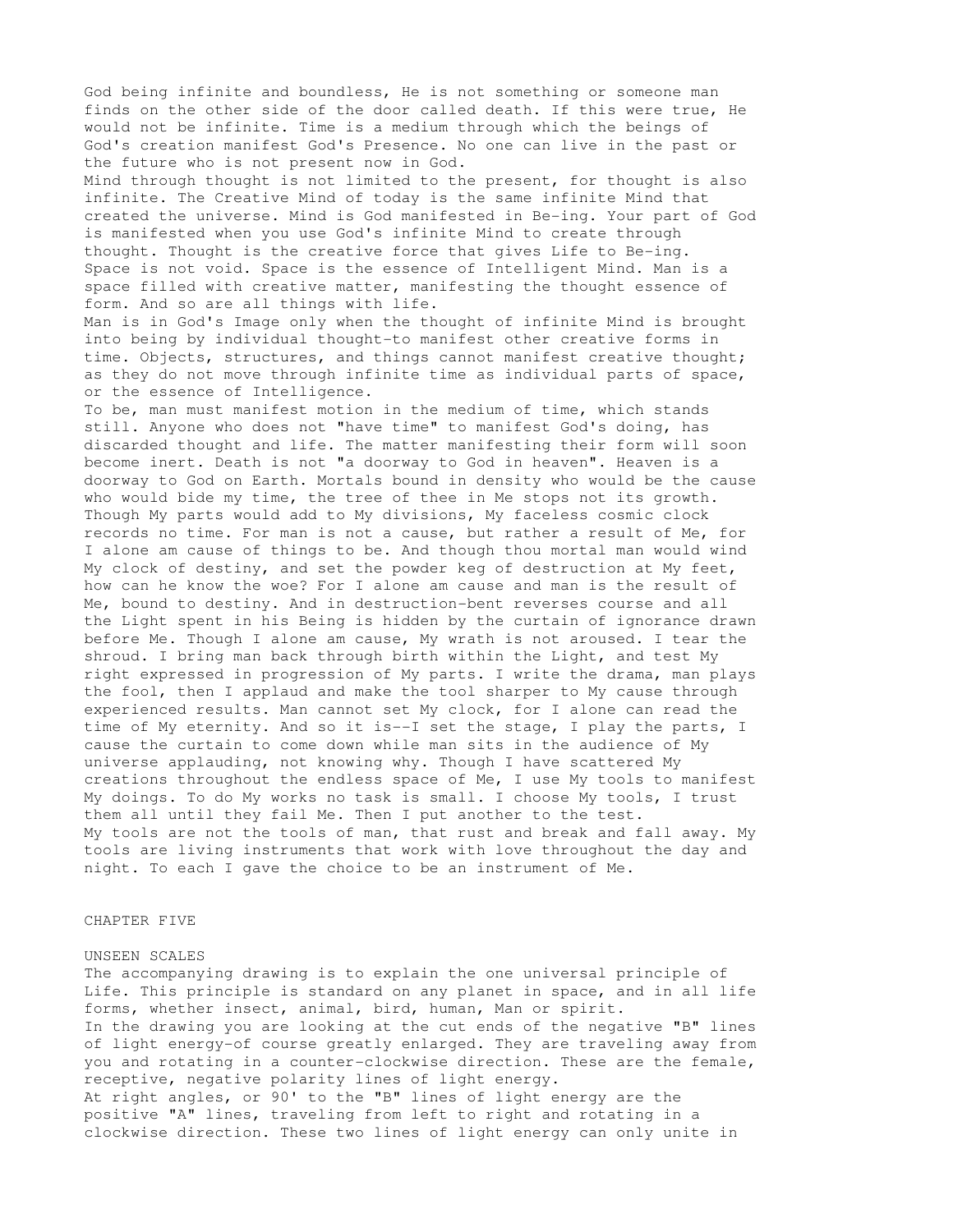God being infinite and boundless, He is not something or someone man finds on the other side of the door called death. If this were true, He would not be infinite. Time is a medium through which the beings of God's creation manifest God's Presence. No one can live in the past or the future who is not present now in God. Mind through thought is not limited to the present, for thought is also infinite. The Creative Mind of today is the same infinite Mind that created the universe. Mind is God manifested in Be-ing. Your part of God is manifested when you use God's infinite Mind to create through thought. Thought is the creative force that gives Life to Be-ing. Space is not void. Space is the essence of Intelligent Mind. Man is a space filled with creative matter, manifesting the thought essence of form. And so are all things with life. Man is in God's Image only when the thought of infinite Mind is brought into being by individual thought-to manifest other creative forms in time. Objects, structures, and things cannot manifest creative thought; as they do not move through infinite time as individual parts of space, or the essence of Intelligence. To be, man must manifest motion in the medium of time, which stands still. Anyone who does not "have time" to manifest God's doing, has discarded thought and life. The matter manifesting their form will soon become inert. Death is not "a doorway to God in heaven". Heaven is a doorway to God on Earth. Mortals bound in density who would be the cause who would bide my time, the tree of thee in Me stops not its growth. Though My parts would add to My divisions, My faceless cosmic clock records no time. For man is not a cause, but rather a result of Me, for I alone am cause of things to be. And though thou mortal man would wind My clock of destiny, and set the powder keg of destruction at My feet, how can he know the woe? For I alone am cause and man is the result of Me, bound to destiny. And in destruction-bent reverses course and all the Light spent in his Being is hidden by the curtain of ignorance drawn before Me. Though I alone am cause, My wrath is not aroused. I tear the shroud. I bring man back through birth within the Light, and test My right expressed in progression of My parts. I write the drama, man plays the fool, then I applaud and make the tool sharper to My cause through experienced results. Man cannot set My clock, for I alone can read the time of My eternity. And so it is--I set the stage, I play the parts, I cause the curtain to come down while man sits in the audience of My universe applauding, not knowing why. Though I have scattered My creations throughout the endless space of Me, I use My tools to manifest My doings. To do My works no task is small. I choose My tools, I trust them all until they fail Me. Then I put another to the test. My tools are not the tools of man, that rust and break and fall away. My tools are living instruments that work with love throughout the day and night. To each I gave the choice to be an instrument of Me.

## CHAPTER FIVE

### UNSEEN SCALES

The accompanying drawing is to explain the one universal principle of Life. This principle is standard on any planet in space, and in all life forms, whether insect, animal, bird, human, Man or spirit. In the drawing you are looking at the cut ends of the negative "B" lines of light energy-of course greatly enlarged. They are traveling away from you and rotating in a counter-clockwise direction. These are the female, receptive, negative polarity lines of light energy. At right angles, or 90' to the "B" lines of light energy are the positive "A" lines, traveling from left to right and rotating in a clockwise direction. These two lines of light energy can only unite in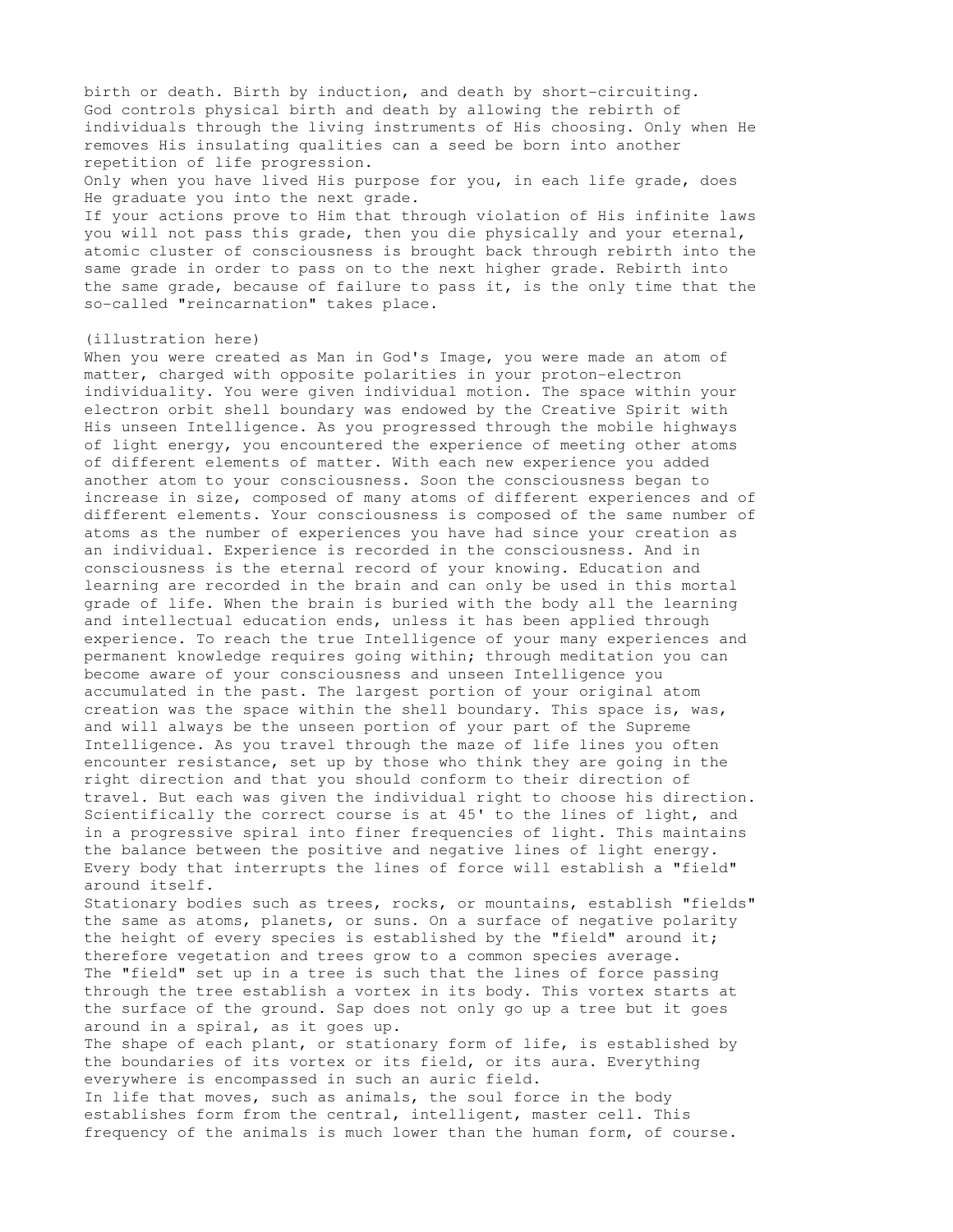birth or death. Birth by induction, and death by short-circuiting. God controls physical birth and death by allowing the rebirth of individuals through the living instruments of His choosing. Only when He removes His insulating qualities can a seed be born into another repetition of life progression.

Only when you have lived His purpose for you, in each life grade, does He graduate you into the next grade.

If your actions prove to Him that through violation of His infinite laws you will not pass this grade, then you die physically and your eternal, atomic cluster of consciousness is brought back through rebirth into the same grade in order to pass on to the next higher grade. Rebirth into the same grade, because of failure to pass it, is the only time that the so-called "reincarnation" takes place.

# (illustration here)

When you were created as Man in God's Image, you were made an atom of matter, charged with opposite polarities in your proton-electron individuality. You were given individual motion. The space within your electron orbit shell boundary was endowed by the Creative Spirit with His unseen Intelligence. As you progressed through the mobile highways of light energy, you encountered the experience of meeting other atoms of different elements of matter. With each new experience you added another atom to your consciousness. Soon the consciousness began to increase in size, composed of many atoms of different experiences and of different elements. Your consciousness is composed of the same number of atoms as the number of experiences you have had since your creation as an individual. Experience is recorded in the consciousness. And in consciousness is the eternal record of your knowing. Education and learning are recorded in the brain and can only be used in this mortal grade of life. When the brain is buried with the body all the learning and intellectual education ends, unless it has been applied through experience. To reach the true Intelligence of your many experiences and permanent knowledge requires going within; through meditation you can become aware of your consciousness and unseen Intelligence you accumulated in the past. The largest portion of your original atom creation was the space within the shell boundary. This space is, was, and will always be the unseen portion of your part of the Supreme Intelligence. As you travel through the maze of life lines you often encounter resistance, set up by those who think they are going in the right direction and that you should conform to their direction of travel. But each was given the individual right to choose his direction. Scientifically the correct course is at 45' to the lines of light, and in a progressive spiral into finer frequencies of light. This maintains the balance between the positive and negative lines of light energy. Every body that interrupts the lines of force will establish a "field" around itself.

Stationary bodies such as trees, rocks, or mountains, establish "fields" the same as atoms, planets, or suns. On a surface of negative polarity the height of every species is established by the "field" around it; therefore vegetation and trees grow to a common species average. The "field" set up in a tree is such that the lines of force passing through the tree establish a vortex in its body. This vortex starts at the surface of the ground. Sap does not only go up a tree but it goes around in a spiral, as it goes up.

The shape of each plant, or stationary form of life, is established by the boundaries of its vortex or its field, or its aura. Everything everywhere is encompassed in such an auric field. In life that moves, such as animals, the soul force in the body establishes form from the central, intelligent, master cell. This

frequency of the animals is much lower than the human form, of course.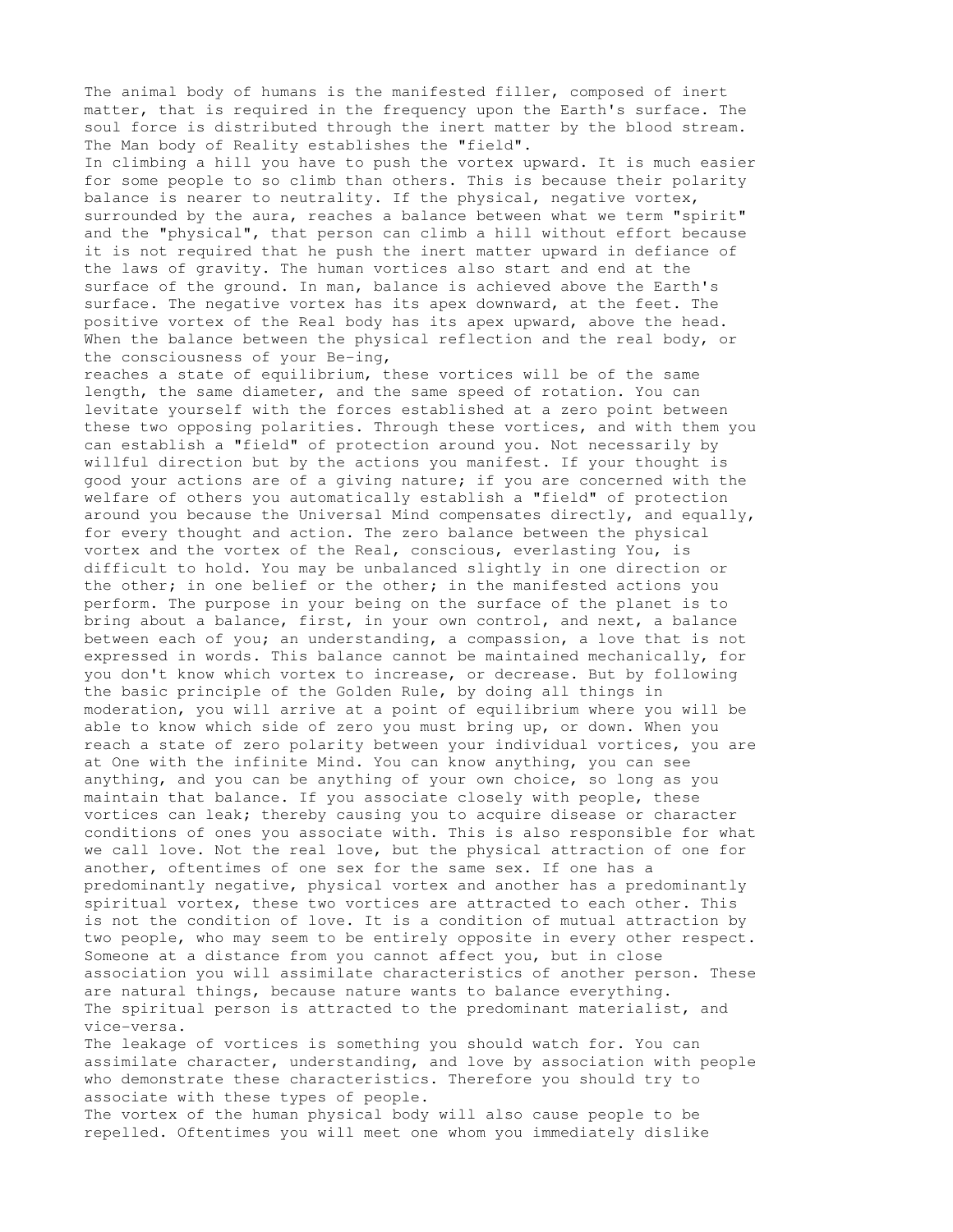The animal body of humans is the manifested filler, composed of inert matter, that is required in the frequency upon the Earth's surface. The soul force is distributed through the inert matter by the blood stream. The Man body of Reality establishes the "field".

In climbing a hill you have to push the vortex upward. It is much easier for some people to so climb than others. This is because their polarity balance is nearer to neutrality. If the physical, negative vortex, surrounded by the aura, reaches a balance between what we term "spirit" and the "physical", that person can climb a hill without effort because it is not required that he push the inert matter upward in defiance of the laws of gravity. The human vortices also start and end at the surface of the ground. In man, balance is achieved above the Earth's surface. The negative vortex has its apex downward, at the feet. The positive vortex of the Real body has its apex upward, above the head. When the balance between the physical reflection and the real body, or the consciousness of your Be-ing,

reaches a state of equilibrium, these vortices will be of the same length, the same diameter, and the same speed of rotation. You can levitate yourself with the forces established at a zero point between these two opposing polarities. Through these vortices, and with them you can establish a "field" of protection around you. Not necessarily by willful direction but by the actions you manifest. If your thought is good your actions are of a giving nature; if you are concerned with the welfare of others you automatically establish a "field" of protection around you because the Universal Mind compensates directly, and equally, for every thought and action. The zero balance between the physical vortex and the vortex of the Real, conscious, everlasting You, is difficult to hold. You may be unbalanced slightly in one direction or the other; in one belief or the other; in the manifested actions you perform. The purpose in your being on the surface of the planet is to bring about a balance, first, in your own control, and next, a balance between each of you; an understanding, a compassion, a love that is not expressed in words. This balance cannot be maintained mechanically, for you don't know which vortex to increase, or decrease. But by following the basic principle of the Golden Rule, by doing all things in moderation, you will arrive at a point of equilibrium where you will be able to know which side of zero you must bring up, or down. When you reach a state of zero polarity between your individual vortices, you are at One with the infinite Mind. You can know anything, you can see anything, and you can be anything of your own choice, so long as you maintain that balance. If you associate closely with people, these vortices can leak; thereby causing you to acquire disease or character conditions of ones you associate with. This is also responsible for what we call love. Not the real love, but the physical attraction of one for another, oftentimes of one sex for the same sex. If one has a predominantly negative, physical vortex and another has a predominantly spiritual vortex, these two vortices are attracted to each other. This is not the condition of love. It is a condition of mutual attraction by two people, who may seem to be entirely opposite in every other respect. Someone at a distance from you cannot affect you, but in close association you will assimilate characteristics of another person. These are natural things, because nature wants to balance everything. The spiritual person is attracted to the predominant materialist, and vice-versa.

The leakage of vortices is something you should watch for. You can assimilate character, understanding, and love by association with people who demonstrate these characteristics. Therefore you should try to associate with these types of people.

The vortex of the human physical body will also cause people to be repelled. Oftentimes you will meet one whom you immediately dislike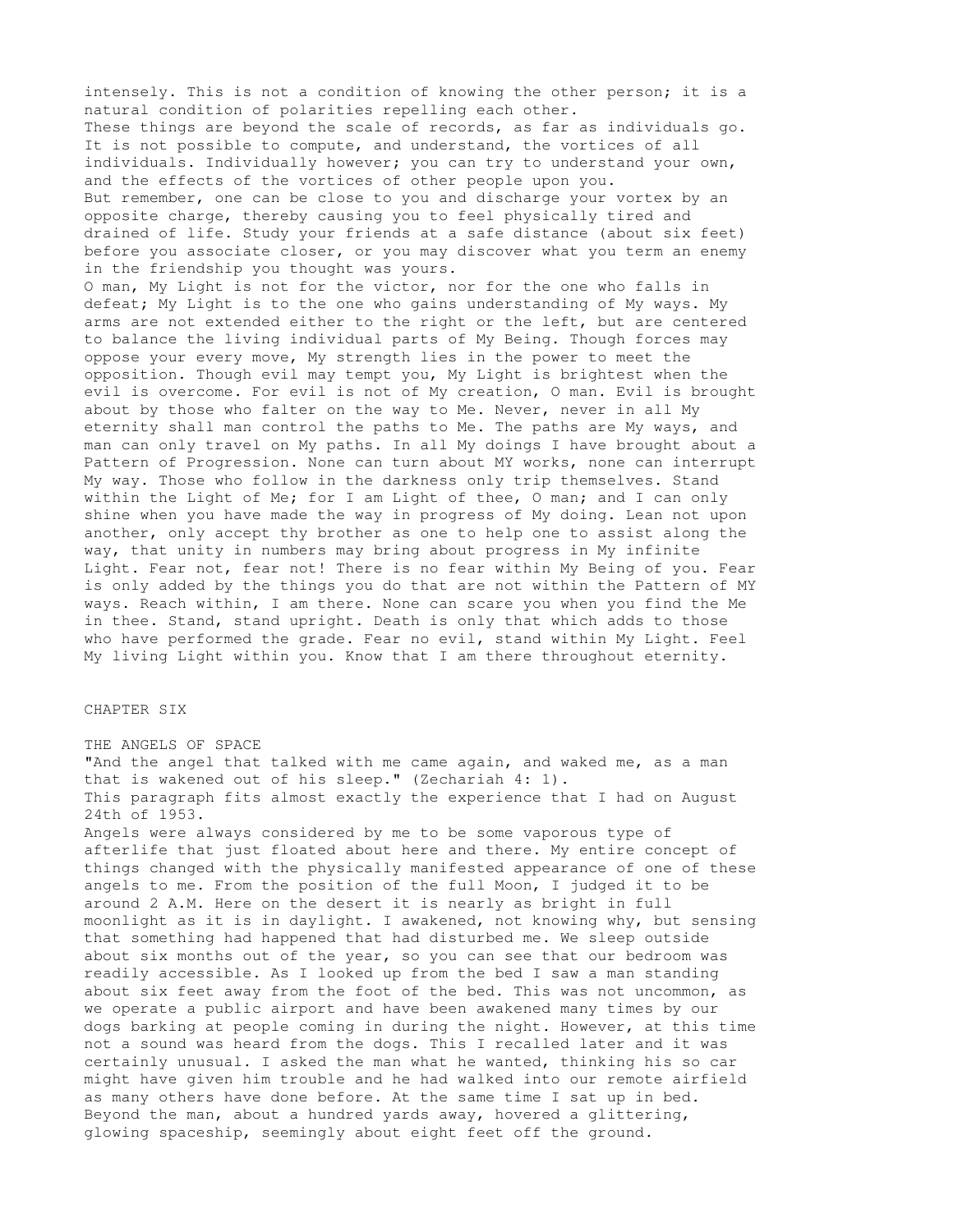intensely. This is not a condition of knowing the other person; it is a natural condition of polarities repelling each other. These things are beyond the scale of records, as far as individuals go. It is not possible to compute, and understand, the vortices of all individuals. Individually however; you can try to understand your own, and the effects of the vortices of other people upon you. But remember, one can be close to you and discharge your vortex by an opposite charge, thereby causing you to feel physically tired and drained of life. Study your friends at a safe distance (about six feet) before you associate closer, or you may discover what you term an enemy in the friendship you thought was yours. O man, My Light is not for the victor, nor for the one who falls in defeat; My Light is to the one who gains understanding of My ways. My arms are not extended either to the right or the left, but are centered to balance the living individual parts of My Being. Though forces may oppose your every move, My strength lies in the power to meet the opposition. Though evil may tempt you, My Light is brightest when the evil is overcome. For evil is not of My creation, O man. Evil is brought about by those who falter on the way to Me. Never, never in all My eternity shall man control the paths to Me. The paths are My ways, and man can only travel on My paths. In all My doings I have brought about a Pattern of Progression. None can turn about MY works, none can interrupt My way. Those who follow in the darkness only trip themselves. Stand within the Light of Me; for I am Light of thee, O man; and I can only shine when you have made the way in progress of My doing. Lean not upon another, only accept thy brother as one to help one to assist along the way, that unity in numbers may bring about progress in My infinite Light. Fear not, fear not! There is no fear within My Being of you. Fear is only added by the things you do that are not within the Pattern of MY ways. Reach within, I am there. None can scare you when you find the Me in thee. Stand, stand upright. Death is only that which adds to those who have performed the grade. Fear no evil, stand within My Light. Feel

## CHAPTER SIX

THE ANGELS OF SPACE "And the angel that talked with me came again, and waked me, as a man that is wakened out of his sleep." (Zechariah 4: 1). This paragraph fits almost exactly the experience that I had on August 24th of 1953. Angels were always considered by me to be some vaporous type of afterlife that just floated about here and there. My entire concept of things changed with the physically manifested appearance of one of these angels to me. From the position of the full Moon, I judged it to be around 2 A.M. Here on the desert it is nearly as bright in full moonlight as it is in daylight. I awakened, not knowing why, but sensing that something had happened that had disturbed me. We sleep outside about six months out of the year, so you can see that our bedroom was readily accessible. As I looked up from the bed I saw a man standing about six feet away from the foot of the bed. This was not uncommon, as we operate a public airport and have been awakened many times by our dogs barking at people coming in during the night. However, at this time not a sound was heard from the dogs. This I recalled later and it was certainly unusual. I asked the man what he wanted, thinking his so car might have given him trouble and he had walked into our remote airfield as many others have done before. At the same time I sat up in bed. Beyond the man, about a hundred yards away, hovered a glittering, glowing spaceship, seemingly about eight feet off the ground.

My living Light within you. Know that I am there throughout eternity.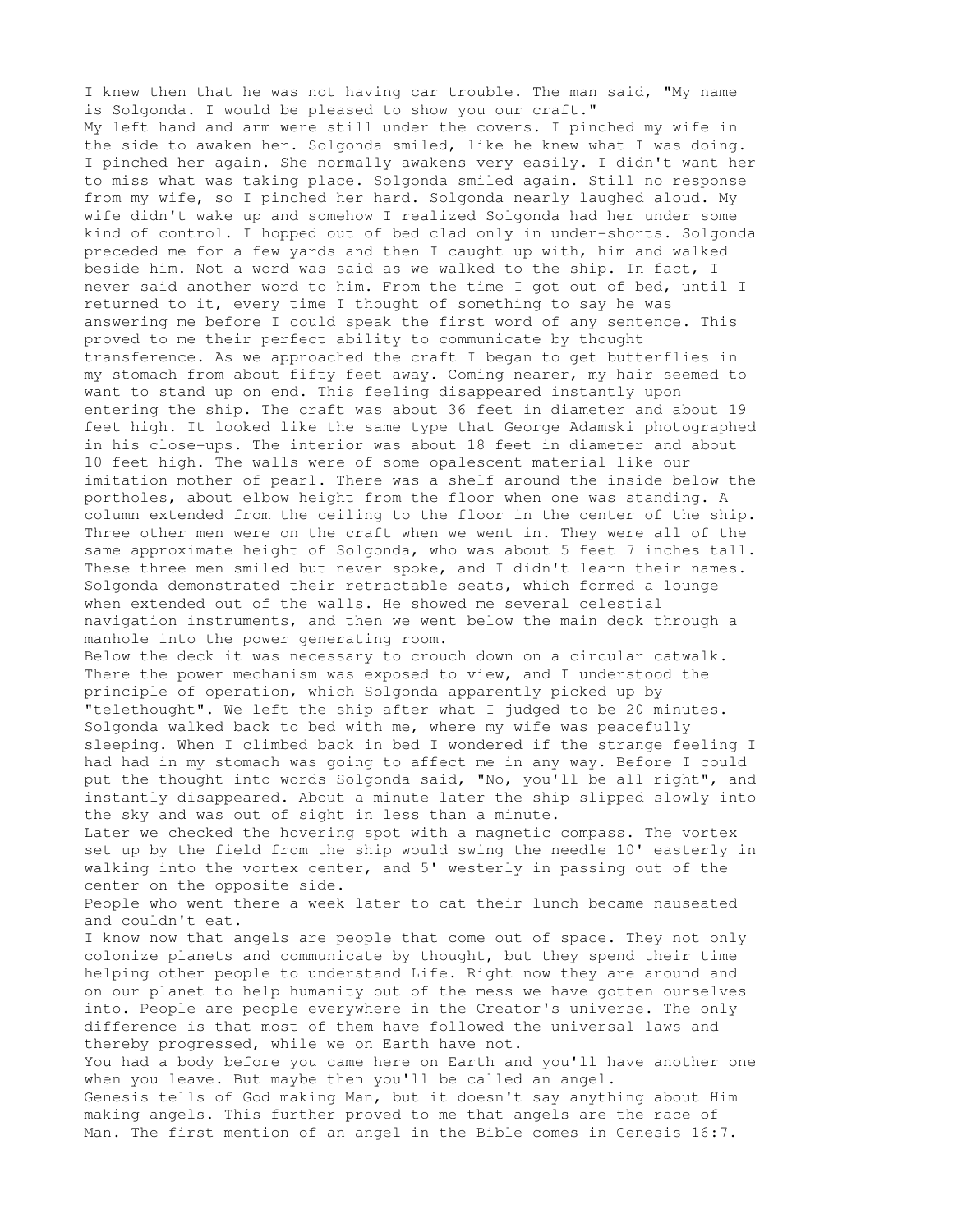I knew then that he was not having car trouble. The man said, "My name is Solgonda. I would be pleased to show you our craft." My left hand and arm were still under the covers. I pinched my wife in the side to awaken her. Solgonda smiled, like he knew what I was doing. I pinched her again. She normally awakens very easily. I didn't want her to miss what was taking place. Solgonda smiled again. Still no response from my wife, so I pinched her hard. Solgonda nearly laughed aloud. My wife didn't wake up and somehow I realized Solgonda had her under some kind of control. I hopped out of bed clad only in under-shorts. Solgonda preceded me for a few yards and then I caught up with, him and walked beside him. Not a word was said as we walked to the ship. In fact, I never said another word to him. From the time I got out of bed, until I returned to it, every time I thought of something to say he was answering me before I could speak the first word of any sentence. This proved to me their perfect ability to communicate by thought transference. As we approached the craft I began to get butterflies in my stomach from about fifty feet away. Coming nearer, my hair seemed to want to stand up on end. This feeling disappeared instantly upon entering the ship. The craft was about 36 feet in diameter and about 19 feet high. It looked like the same type that George Adamski photographed in his close-ups. The interior was about 18 feet in diameter and about 10 feet high. The walls were of some opalescent material like our imitation mother of pearl. There was a shelf around the inside below the portholes, about elbow height from the floor when one was standing. A column extended from the ceiling to the floor in the center of the ship. Three other men were on the craft when we went in. They were all of the same approximate height of Solgonda, who was about 5 feet 7 inches tall. These three men smiled but never spoke, and I didn't learn their names. Solgonda demonstrated their retractable seats, which formed a lounge when extended out of the walls. He showed me several celestial navigation instruments, and then we went below the main deck through a manhole into the power generating room. Below the deck it was necessary to crouch down on a circular catwalk. There the power mechanism was exposed to view, and I understood the principle of operation, which Solgonda apparently picked up by "telethought". We left the ship after what I judged to be 20 minutes. Solgonda walked back to bed with me, where my wife was peacefully sleeping. When I climbed back in bed I wondered if the strange feeling I had had in my stomach was going to affect me in any way. Before I could put the thought into words Solgonda said, "No, you'll be all right", and instantly disappeared. About a minute later the ship slipped slowly into the sky and was out of sight in less than a minute. Later we checked the hovering spot with a magnetic compass. The vortex set up by the field from the ship would swing the needle 10' easterly in walking into the vortex center, and 5' westerly in passing out of the center on the opposite side. People who went there a week later to cat their lunch became nauseated and couldn't eat. I know now that angels are people that come out of space. They not only colonize planets and communicate by thought, but they spend their time helping other people to understand Life. Right now they are around and on our planet to help humanity out of the mess we have gotten ourselves into. People are people everywhere in the Creator's universe. The only difference is that most of them have followed the universal laws and thereby progressed, while we on Earth have not. You had a body before you came here on Earth and you'll have another one when you leave. But maybe then you'll be called an angel. Genesis tells of God making Man, but it doesn't say anything about Him making angels. This further proved to me that angels are the race of Man. The first mention of an angel in the Bible comes in Genesis 16:7.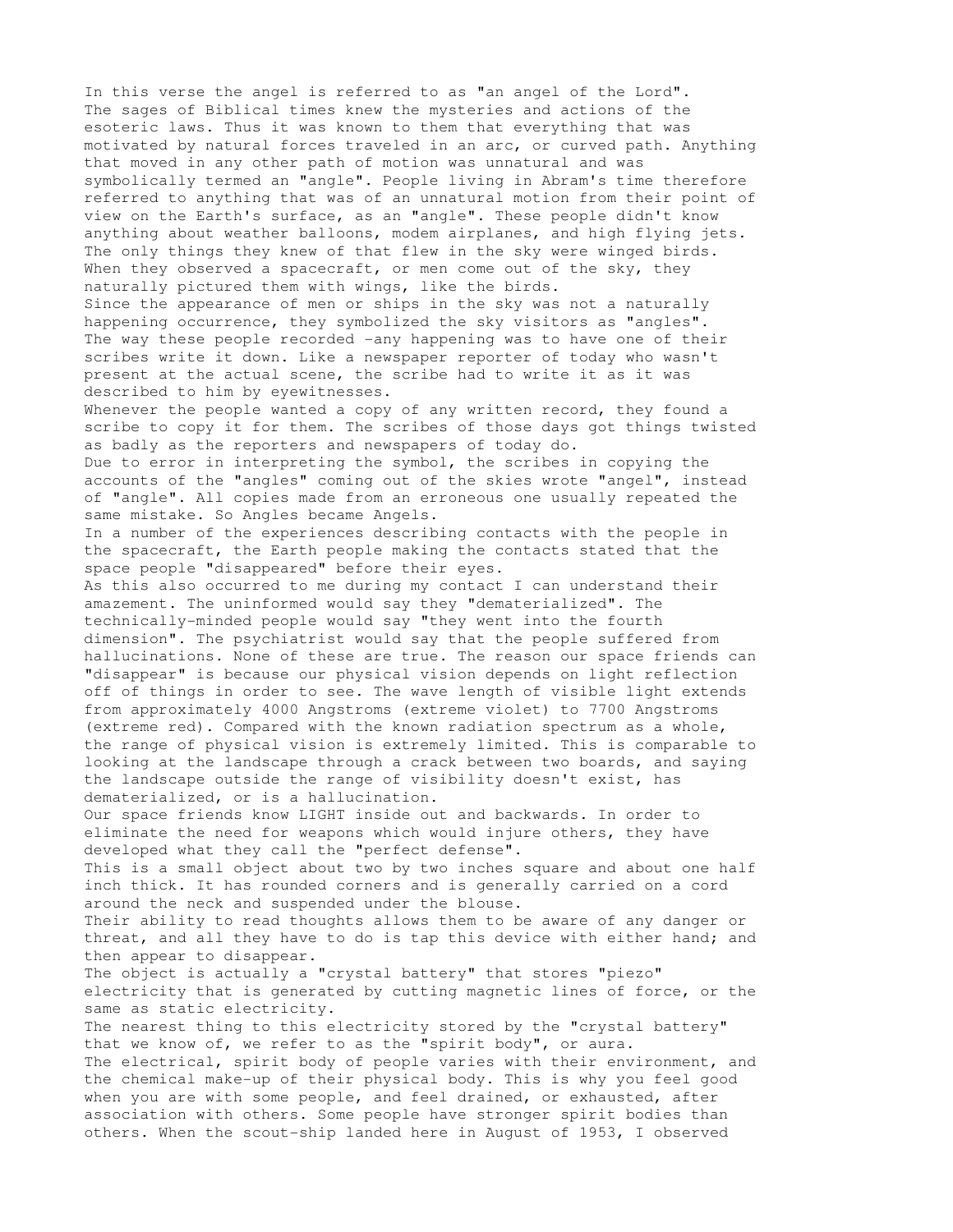In this verse the angel is referred to as "an angel of the Lord". The sages of Biblical times knew the mysteries and actions of the esoteric laws. Thus it was known to them that everything that was motivated by natural forces traveled in an arc, or curved path. Anything that moved in any other path of motion was unnatural and was symbolically termed an "angle". People living in Abram's time therefore referred to anything that was of an unnatural motion from their point of view on the Earth's surface, as an "angle". These people didn't know anything about weather balloons, modem airplanes, and high flying jets. The only things they knew of that flew in the sky were winged birds. When they observed a spacecraft, or men come out of the sky, they naturally pictured them with wings, like the birds. Since the appearance of men or ships in the sky was not a naturally happening occurrence, they symbolized the sky visitors as "angles". The way these people recorded -any happening was to have one of their scribes write it down. Like a newspaper reporter of today who wasn't present at the actual scene, the scribe had to write it as it was described to him by eyewitnesses. Whenever the people wanted a copy of any written record, they found a scribe to copy it for them. The scribes of those days got things twisted as badly as the reporters and newspapers of today do. Due to error in interpreting the symbol, the scribes in copying the accounts of the "angles" coming out of the skies wrote "angel", instead of "angle". All copies made from an erroneous one usually repeated the same mistake. So Angles became Angels. In a number of the experiences describing contacts with the people in the spacecraft, the Earth people making the contacts stated that the space people "disappeared" before their eyes. As this also occurred to me during my contact I can understand their amazement. The uninformed would say they "dematerialized". The technically-minded people would say "they went into the fourth dimension". The psychiatrist would say that the people suffered from hallucinations. None of these are true. The reason our space friends can "disappear" is because our physical vision depends on light reflection off of things in order to see. The wave length of visible light extends from approximately 4000 Angstroms (extreme violet) to 7700 Angstroms (extreme red). Compared with the known radiation spectrum as a whole, the range of physical vision is extremely limited. This is comparable to looking at the landscape through a crack between two boards, and saying the landscape outside the range of visibility doesn't exist, has dematerialized, or is a hallucination. Our space friends know LIGHT inside out and backwards. In order to eliminate the need for weapons which would injure others, they have developed what they call the "perfect defense". This is a small object about two by two inches square and about one half inch thick. It has rounded corners and is generally carried on a cord around the neck and suspended under the blouse. Their ability to read thoughts allows them to be aware of any danger or threat, and all they have to do is tap this device with either hand; and then appear to disappear. The object is actually a "crystal battery" that stores "piezo" electricity that is generated by cutting magnetic lines of force, or the same as static electricity. The nearest thing to this electricity stored by the "crystal battery" that we know of, we refer to as the "spirit body", or aura. The electrical, spirit body of people varies with their environment, and the chemical make-up of their physical body. This is why you feel good when you are with some people, and feel drained, or exhausted, after association with others. Some people have stronger spirit bodies than others. When the scout-ship landed here in August of 1953, I observed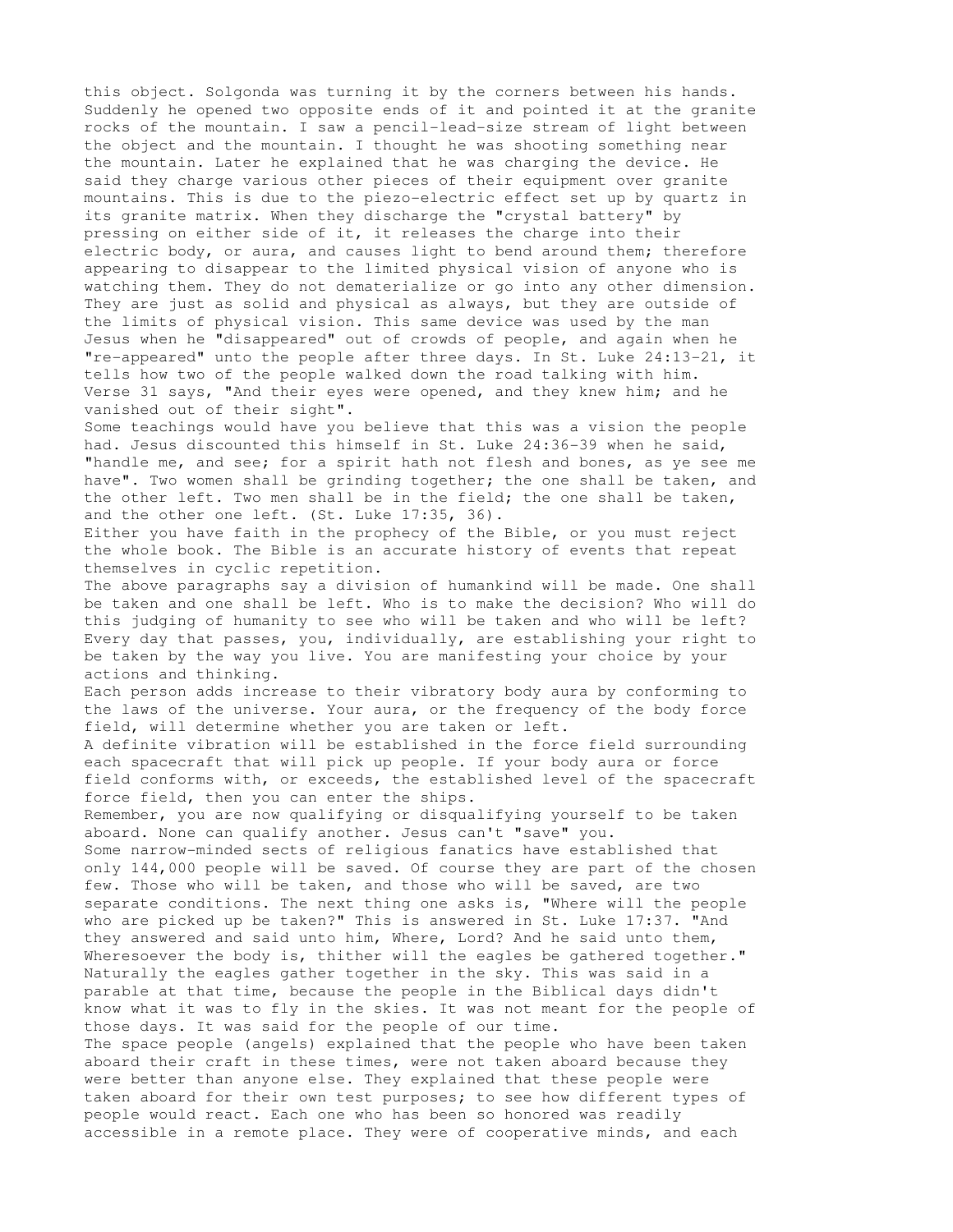this object. Solgonda was turning it by the corners between his hands. Suddenly he opened two opposite ends of it and pointed it at the granite rocks of the mountain. I saw a pencil-lead-size stream of light between the object and the mountain. I thought he was shooting something near the mountain. Later he explained that he was charging the device. He said they charge various other pieces of their equipment over granite mountains. This is due to the piezo-electric effect set up by quartz in its granite matrix. When they discharge the "crystal battery" by pressing on either side of it, it releases the charge into their electric body, or aura, and causes light to bend around them; therefore appearing to disappear to the limited physical vision of anyone who is watching them. They do not dematerialize or go into any other dimension. They are just as solid and physical as always, but they are outside of the limits of physical vision. This same device was used by the man Jesus when he "disappeared" out of crowds of people, and again when he "re-appeared" unto the people after three days. In St. Luke 24:13-21, it tells how two of the people walked down the road talking with him. Verse 31 says, "And their eyes were opened, and they knew him; and he vanished out of their sight". Some teachings would have you believe that this was a vision the people had. Jesus discounted this himself in St. Luke 24:36-39 when he said, "handle me, and see; for a spirit hath not flesh and bones, as ye see me have". Two women shall be grinding together; the one shall be taken, and

the other left. Two men shall be in the field; the one shall be taken, and the other one left. (St. Luke 17:35, 36). Either you have faith in the prophecy of the Bible, or you must reject the whole book. The Bible is an accurate history of events that repeat

themselves in cyclic repetition. The above paragraphs say a division of humankind will be made. One shall be taken and one shall be left. Who is to make the decision? Who will do

this judging of humanity to see who will be taken and who will be left? Every day that passes, you, individually, are establishing your right to be taken by the way you live. You are manifesting your choice by your actions and thinking.

Each person adds increase to their vibratory body aura by conforming to the laws of the universe. Your aura, or the frequency of the body force field, will determine whether you are taken or left.

A definite vibration will be established in the force field surrounding each spacecraft that will pick up people. If your body aura or force field conforms with, or exceeds, the established level of the spacecraft force field, then you can enter the ships.

Remember, you are now qualifying or disqualifying yourself to be taken aboard. None can qualify another. Jesus can't "save" you.

Some narrow-minded sects of religious fanatics have established that only 144,000 people will be saved. Of course they are part of the chosen few. Those who will be taken, and those who will be saved, are two separate conditions. The next thing one asks is, "Where will the people who are picked up be taken?" This is answered in St. Luke 17:37. "And they answered and said unto him, Where, Lord? And he said unto them, Wheresoever the body is, thither will the eagles be gathered together." Naturally the eagles gather together in the sky. This was said in a parable at that time, because the people in the Biblical days didn't know what it was to fly in the skies. It was not meant for the people of those days. It was said for the people of our time.

The space people (angels) explained that the people who have been taken aboard their craft in these times, were not taken aboard because they were better than anyone else. They explained that these people were taken aboard for their own test purposes; to see how different types of people would react. Each one who has been so honored was readily accessible in a remote place. They were of cooperative minds, and each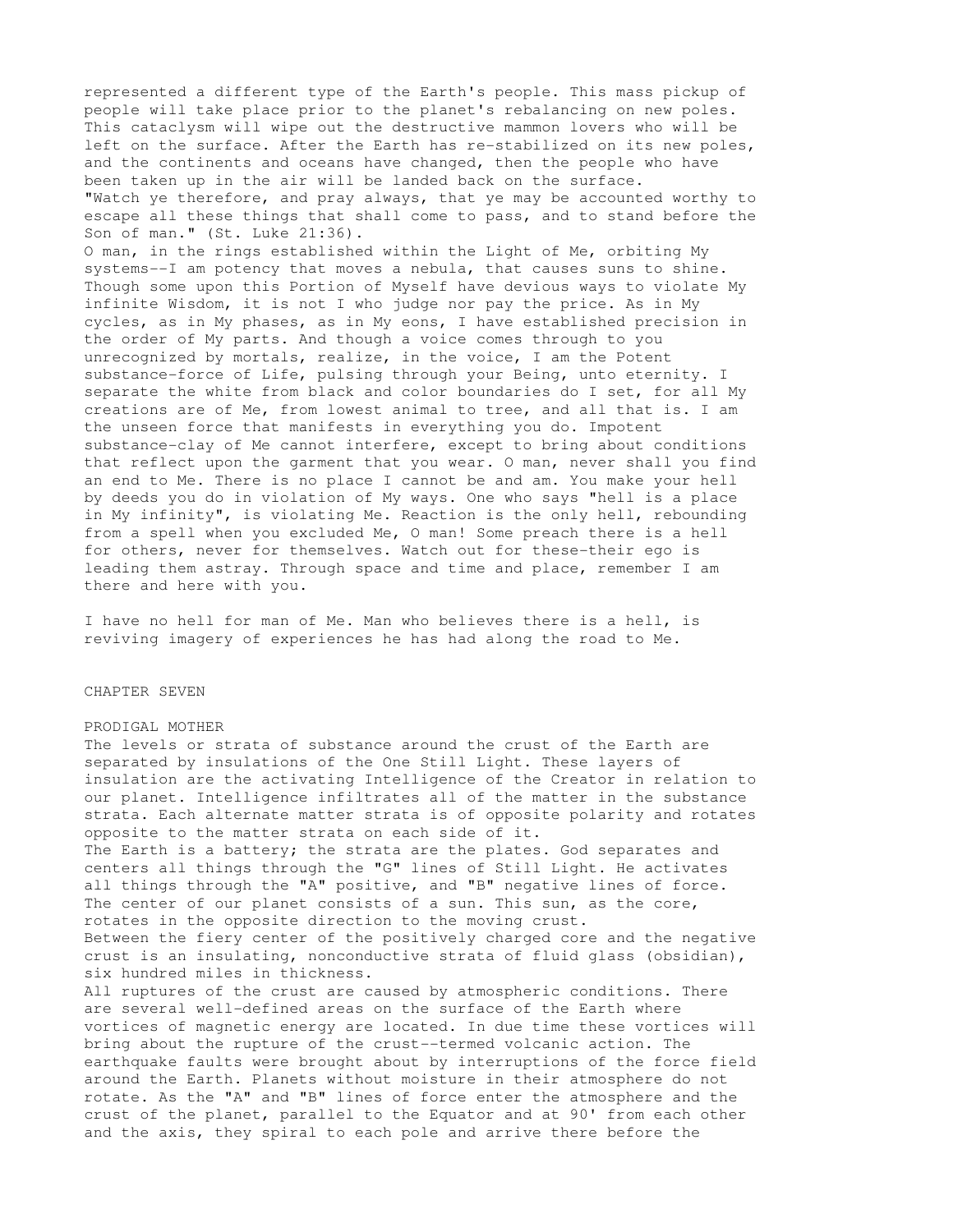represented a different type of the Earth's people. This mass pickup of people will take place prior to the planet's rebalancing on new poles. This cataclysm will wipe out the destructive mammon lovers who will be left on the surface. After the Earth has re-stabilized on its new poles, and the continents and oceans have changed, then the people who have been taken up in the air will be landed back on the surface. "Watch ye therefore, and pray always, that ye may be accounted worthy to escape all these things that shall come to pass, and to stand before the Son of man." (St. Luke 21:36). O man, in the rings established within the Light of Me, orbiting My systems--I am potency that moves a nebula, that causes suns to shine. Though some upon this Portion of Myself have devious ways to violate My infinite Wisdom, it is not I who judge nor pay the price. As in My cycles, as in My phases, as in My eons, I have established precision in the order of My parts. And though a voice comes through to you unrecognized by mortals, realize, in the voice, I am the Potent substance-force of Life, pulsing through your Being, unto eternity. I separate the white from black and color boundaries do I set, for all My creations are of Me, from lowest animal to tree, and all that is. I am the unseen force that manifests in everything you do. Impotent substance-clay of Me cannot interfere, except to bring about conditions that reflect upon the garment that you wear. O man, never shall you find an end to Me. There is no place I cannot be and am. You make your hell by deeds you do in violation of My ways. One who says "hell is a place in My infinity", is violating Me. Reaction is the only hell, rebounding from a spell when you excluded Me, O man! Some preach there is a hell for others, never for themselves. Watch out for these-their ego is leading them astray. Through space and time and place, remember I am there and here with you.

I have no hell for man of Me. Man who believes there is a hell, is reviving imagery of experiences he has had along the road to Me.

# CHAPTER SEVEN

### PRODIGAL MOTHER

The levels or strata of substance around the crust of the Earth are separated by insulations of the One Still Light. These layers of insulation are the activating Intelligence of the Creator in relation to our planet. Intelligence infiltrates all of the matter in the substance strata. Each alternate matter strata is of opposite polarity and rotates opposite to the matter strata on each side of it. The Earth is a battery; the strata are the plates. God separates and centers all things through the "G" lines of Still Light. He activates all things through the "A" positive, and "B" negative lines of force. The center of our planet consists of a sun. This sun, as the core, rotates in the opposite direction to the moving crust. Between the fiery center of the positively charged core and the negative crust is an insulating, nonconductive strata of fluid glass (obsidian), six hundred miles in thickness. All ruptures of the crust are caused by atmospheric conditions. There are several well-defined areas on the surface of the Earth where vortices of magnetic energy are located. In due time these vortices will bring about the rupture of the crust--termed volcanic action. The earthquake faults were brought about by interruptions of the force field around the Earth. Planets without moisture in their atmosphere do not rotate. As the "A" and "B" lines of force enter the atmosphere and the crust of the planet, parallel to the Equator and at 90' from each other and the axis, they spiral to each pole and arrive there before the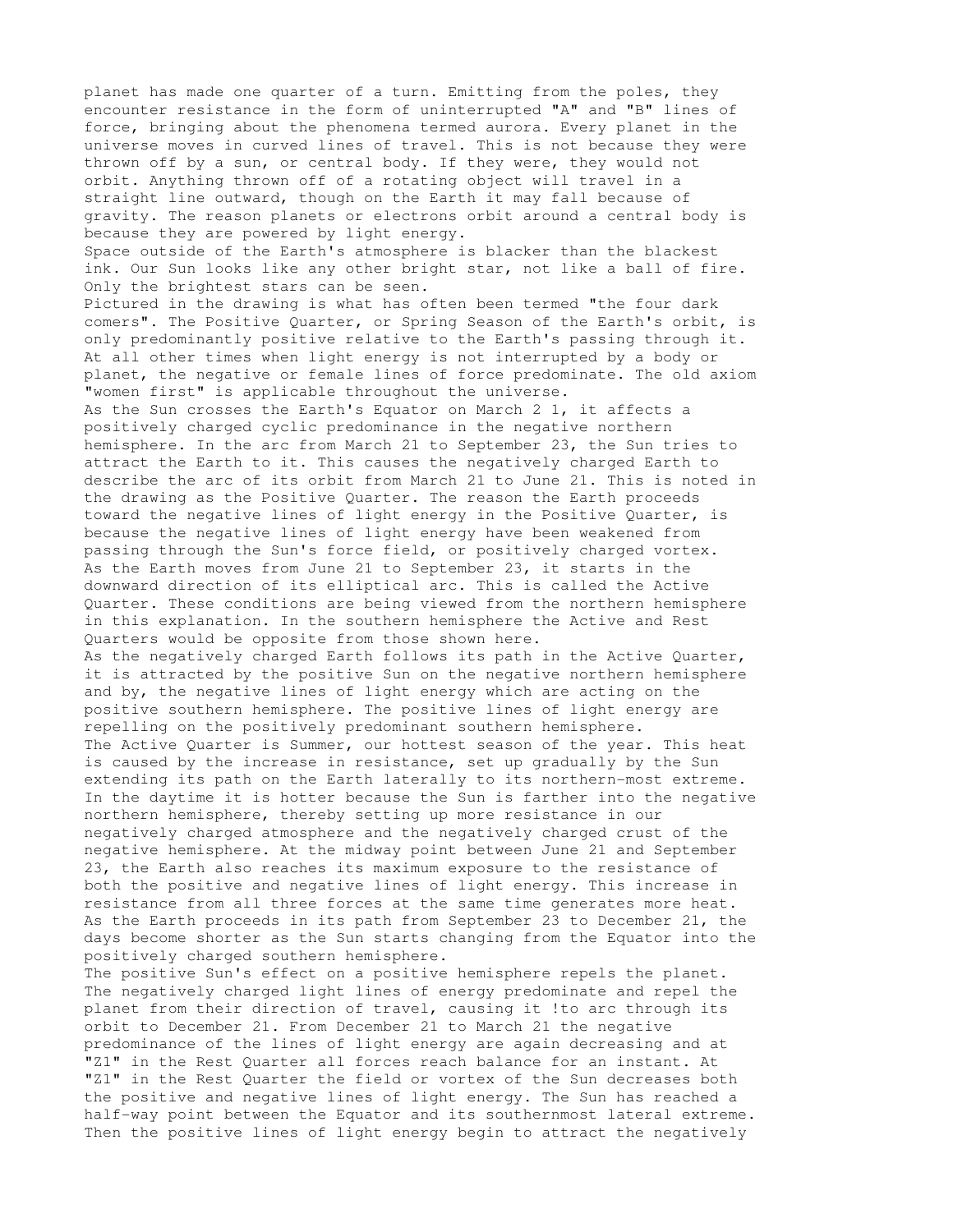planet has made one quarter of a turn. Emitting from the poles, they encounter resistance in the form of uninterrupted "A" and "B" lines of force, bringing about the phenomena termed aurora. Every planet in the universe moves in curved lines of travel. This is not because they were thrown off by a sun, or central body. If they were, they would not orbit. Anything thrown off of a rotating object will travel in a straight line outward, though on the Earth it may fall because of gravity. The reason planets or electrons orbit around a central body is because they are powered by light energy. Space outside of the Earth's atmosphere is blacker than the blackest

ink. Our Sun looks like any other bright star, not like a ball of fire. Only the brightest stars can be seen.

Pictured in the drawing is what has often been termed "the four dark comers". The Positive Quarter, or Spring Season of the Earth's orbit, is only predominantly positive relative to the Earth's passing through it. At all other times when light energy is not interrupted by a body or planet, the negative or female lines of force predominate. The old axiom "women first" is applicable throughout the universe.

As the Sun crosses the Earth's Equator on March 2 1, it affects a positively charged cyclic predominance in the negative northern hemisphere. In the arc from March 21 to September 23, the Sun tries to attract the Earth to it. This causes the negatively charged Earth to describe the arc of its orbit from March 21 to June 21. This is noted in the drawing as the Positive Quarter. The reason the Earth proceeds toward the negative lines of light energy in the Positive Quarter, is because the negative lines of light energy have been weakened from passing through the Sun's force field, or positively charged vortex. As the Earth moves from June 21 to September 23, it starts in the downward direction of its elliptical arc. This is called the Active Quarter. These conditions are being viewed from the northern hemisphere in this explanation. In the southern hemisphere the Active and Rest Quarters would be opposite from those shown here.

As the negatively charged Earth follows its path in the Active Quarter, it is attracted by the positive Sun on the negative northern hemisphere and by, the negative lines of light energy which are acting on the positive southern hemisphere. The positive lines of light energy are repelling on the positively predominant southern hemisphere. The Active Quarter is Summer, our hottest season of the year. This heat is caused by the increase in resistance, set up gradually by the Sun extending its path on the Earth laterally to its northern-most extreme. In the daytime it is hotter because the Sun is farther into the negative northern hemisphere, thereby setting up more resistance in our negatively charged atmosphere and the negatively charged crust of the negative hemisphere. At the midway point between June 21 and September 23, the Earth also reaches its maximum exposure to the resistance of both the positive and negative lines of light energy. This increase in resistance from all three forces at the same time generates more heat. As the Earth proceeds in its path from September 23 to December 21, the days become shorter as the Sun starts changing from the Equator into the positively charged southern hemisphere.

The positive Sun's effect on a positive hemisphere repels the planet. The negatively charged light lines of energy predominate and repel the planet from their direction of travel, causing it !to arc through its orbit to December 21. From December 21 to March 21 the negative predominance of the lines of light energy are again decreasing and at "Z1" in the Rest Quarter all forces reach balance for an instant. At "Z1" in the Rest Quarter the field or vortex of the Sun decreases both the positive and negative lines of light energy. The Sun has reached a half-way point between the Equator and its southernmost lateral extreme. Then the positive lines of light energy begin to attract the negatively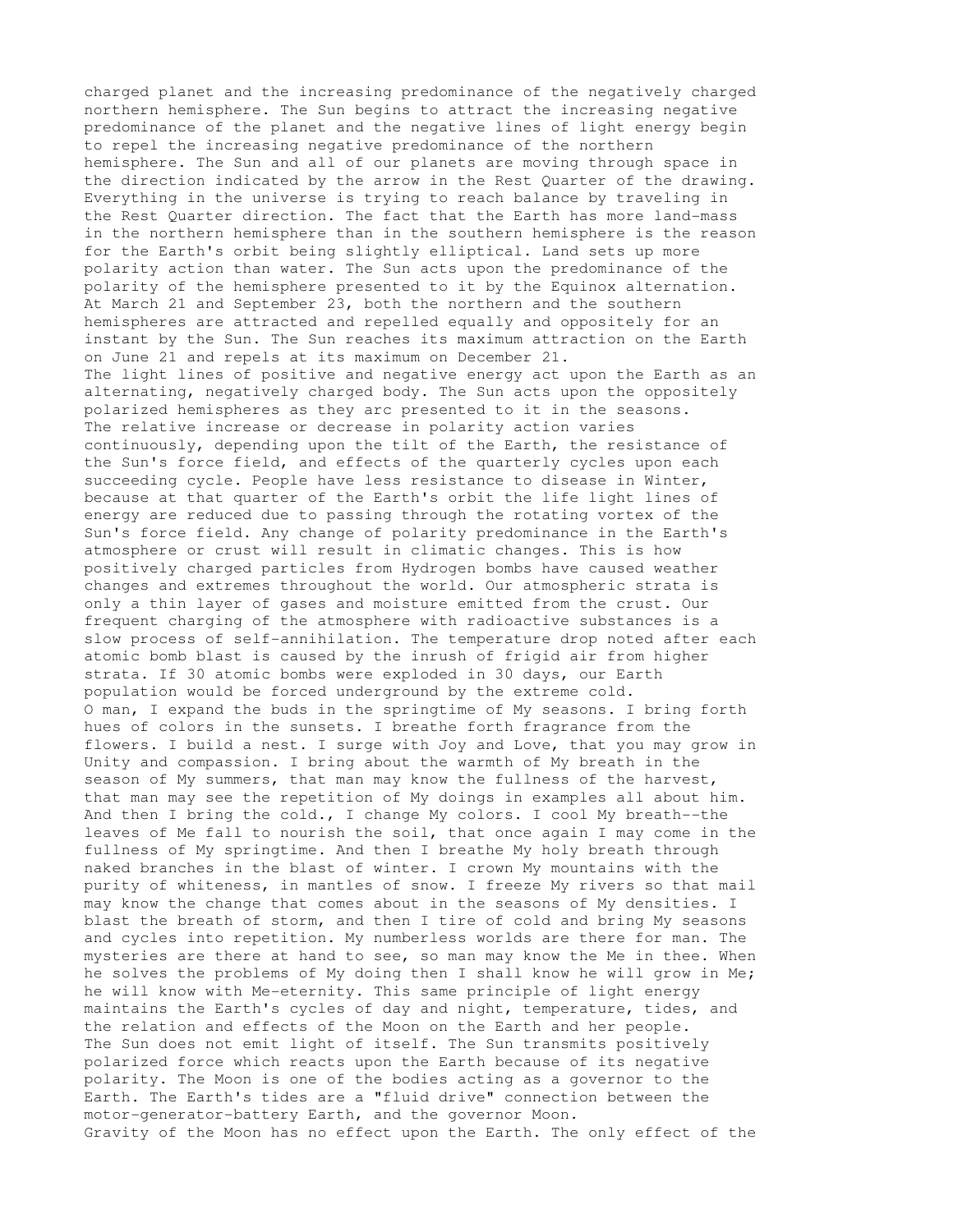charged planet and the increasing predominance of the negatively charged northern hemisphere. The Sun begins to attract the increasing negative predominance of the planet and the negative lines of light energy begin to repel the increasing negative predominance of the northern hemisphere. The Sun and all of our planets are moving through space in the direction indicated by the arrow in the Rest Quarter of the drawing. Everything in the universe is trying to reach balance by traveling in the Rest Quarter direction. The fact that the Earth has more land-mass in the northern hemisphere than in the southern hemisphere is the reason for the Earth's orbit being slightly elliptical. Land sets up more polarity action than water. The Sun acts upon the predominance of the polarity of the hemisphere presented to it by the Equinox alternation. At March 21 and September 23, both the northern and the southern hemispheres are attracted and repelled equally and oppositely for an instant by the Sun. The Sun reaches its maximum attraction on the Earth on June 21 and repels at its maximum on December 21. The light lines of positive and negative energy act upon the Earth as an alternating, negatively charged body. The Sun acts upon the oppositely polarized hemispheres as they arc presented to it in the seasons. The relative increase or decrease in polarity action varies continuously, depending upon the tilt of the Earth, the resistance of the Sun's force field, and effects of the quarterly cycles upon each succeeding cycle. People have less resistance to disease in Winter, because at that quarter of the Earth's orbit the life light lines of energy are reduced due to passing through the rotating vortex of the Sun's force field. Any change of polarity predominance in the Earth's atmosphere or crust will result in climatic changes. This is how positively charged particles from Hydrogen bombs have caused weather changes and extremes throughout the world. Our atmospheric strata is only a thin layer of gases and moisture emitted from the crust. Our frequent charging of the atmosphere with radioactive substances is a slow process of self-annihilation. The temperature drop noted after each atomic bomb blast is caused by the inrush of frigid air from higher strata. If 30 atomic bombs were exploded in 30 days, our Earth population would be forced underground by the extreme cold. O man, I expand the buds in the springtime of My seasons. I bring forth hues of colors in the sunsets. I breathe forth fragrance from the flowers. I build a nest. I surge with Joy and Love, that you may grow in Unity and compassion. I bring about the warmth of My breath in the season of My summers, that man may know the fullness of the harvest, that man may see the repetition of My doings in examples all about him. And then I bring the cold., I change My colors. I cool My breath--the leaves of Me fall to nourish the soil, that once again I may come in the fullness of My springtime. And then I breathe My holy breath through naked branches in the blast of winter. I crown My mountains with the purity of whiteness, in mantles of snow. I freeze My rivers so that mail may know the change that comes about in the seasons of My densities. I blast the breath of storm, and then I tire of cold and bring My seasons and cycles into repetition. My numberless worlds are there for man. The mysteries are there at hand to see, so man may know the Me in thee. When he solves the problems of My doing then I shall know he will grow in Me; he will know with Me-eternity. This same principle of light energy maintains the Earth's cycles of day and night, temperature, tides, and the relation and effects of the Moon on the Earth and her people. The Sun does not emit light of itself. The Sun transmits positively polarized force which reacts upon the Earth because of its negative polarity. The Moon is one of the bodies acting as a governor to the Earth. The Earth's tides are a "fluid drive" connection between the motor-generator-battery Earth, and the governor Moon. Gravity of the Moon has no effect upon the Earth. The only effect of the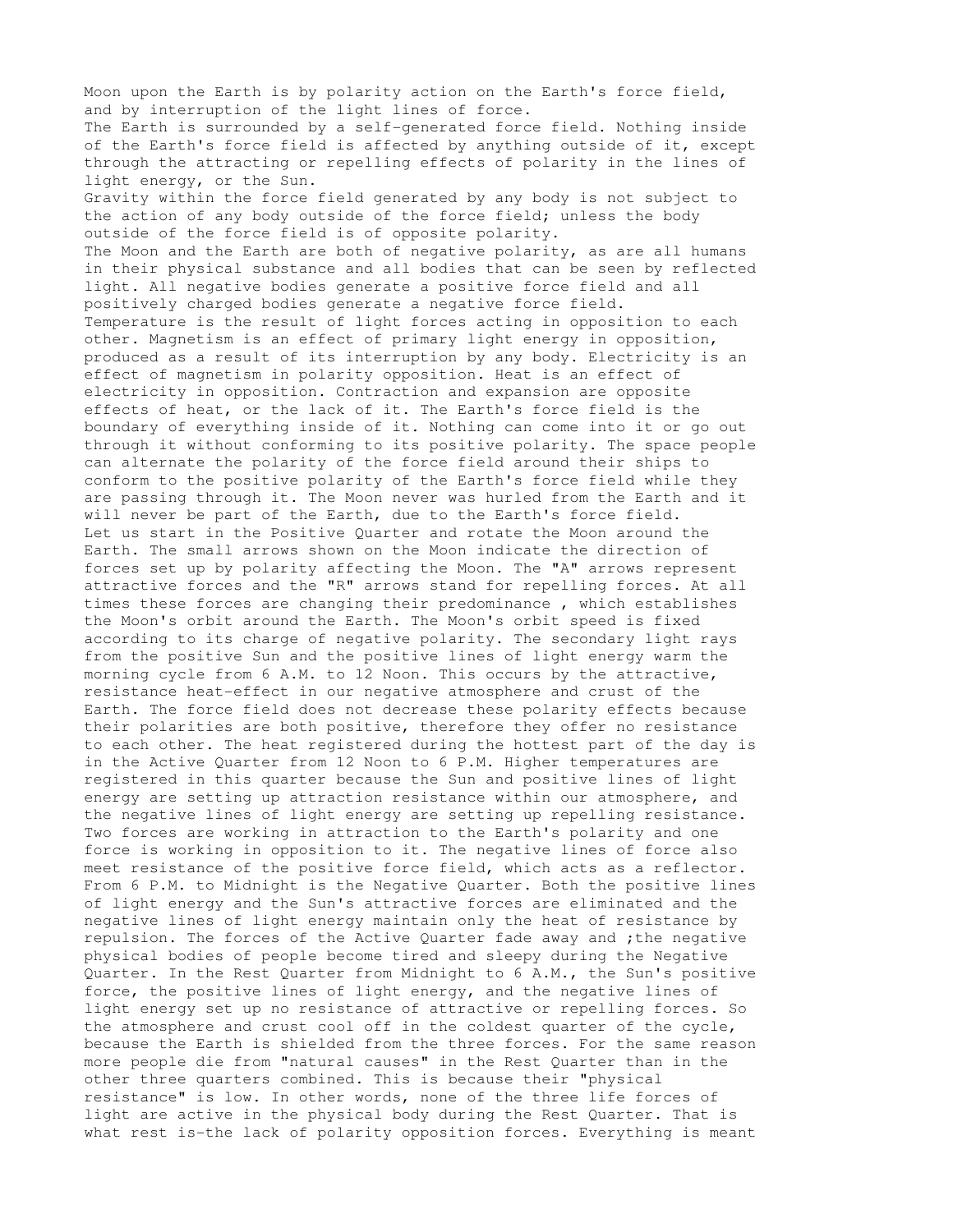Moon upon the Earth is by polarity action on the Earth's force field, and by interruption of the light lines of force. The Earth is surrounded by a self-generated force field. Nothing inside of the Earth's force field is affected by anything outside of it, except through the attracting or repelling effects of polarity in the lines of light energy, or the Sun. Gravity within the force field generated by any body is not subject to the action of any body outside of the force field; unless the body outside of the force field is of opposite polarity. The Moon and the Earth are both of negative polarity, as are all humans in their physical substance and all bodies that can be seen by reflected light. All negative bodies generate a positive force field and all positively charged bodies generate a negative force field. Temperature is the result of light forces acting in opposition to each other. Magnetism is an effect of primary light energy in opposition, produced as a result of its interruption by any body. Electricity is an effect of magnetism in polarity opposition. Heat is an effect of electricity in opposition. Contraction and expansion are opposite effects of heat, or the lack of it. The Earth's force field is the boundary of everything inside of it. Nothing can come into it or go out through it without conforming to its positive polarity. The space people can alternate the polarity of the force field around their ships to conform to the positive polarity of the Earth's force field while they are passing through it. The Moon never was hurled from the Earth and it will never be part of the Earth, due to the Earth's force field. Let us start in the Positive Quarter and rotate the Moon around the Earth. The small arrows shown on the Moon indicate the direction of forces set up by polarity affecting the Moon. The "A" arrows represent attractive forces and the "R" arrows stand for repelling forces. At all times these forces are changing their predominance , which establishes the Moon's orbit around the Earth. The Moon's orbit speed is fixed according to its charge of negative polarity. The secondary light rays from the positive Sun and the positive lines of light energy warm the morning cycle from 6 A.M. to 12 Noon. This occurs by the attractive, resistance heat-effect in our negative atmosphere and crust of the Earth. The force field does not decrease these polarity effects because their polarities are both positive, therefore they offer no resistance to each other. The heat registered during the hottest part of the day is in the Active Quarter from 12 Noon to 6 P.M. Higher temperatures are registered in this quarter because the Sun and positive lines of light energy are setting up attraction resistance within our atmosphere, and the negative lines of light energy are setting up repelling resistance. Two forces are working in attraction to the Earth's polarity and one force is working in opposition to it. The negative lines of force also meet resistance of the positive force field, which acts as a reflector. From 6 P.M. to Midnight is the Negative Quarter. Both the positive lines of light energy and the Sun's attractive forces are eliminated and the negative lines of light energy maintain only the heat of resistance by repulsion. The forces of the Active Quarter fade away and ;the negative physical bodies of people become tired and sleepy during the Negative Quarter. In the Rest Quarter from Midnight to 6 A.M., the Sun's positive force, the positive lines of light energy, and the negative lines of light energy set up no resistance of attractive or repelling forces. So the atmosphere and crust cool off in the coldest quarter of the cycle, because the Earth is shielded from the three forces. For the same reason more people die from "natural causes" in the Rest Quarter than in the other three quarters combined. This is because their "physical resistance" is low. In other words, none of the three life forces of light are active in the physical body during the Rest Quarter. That is what rest is-the lack of polarity opposition forces. Everything is meant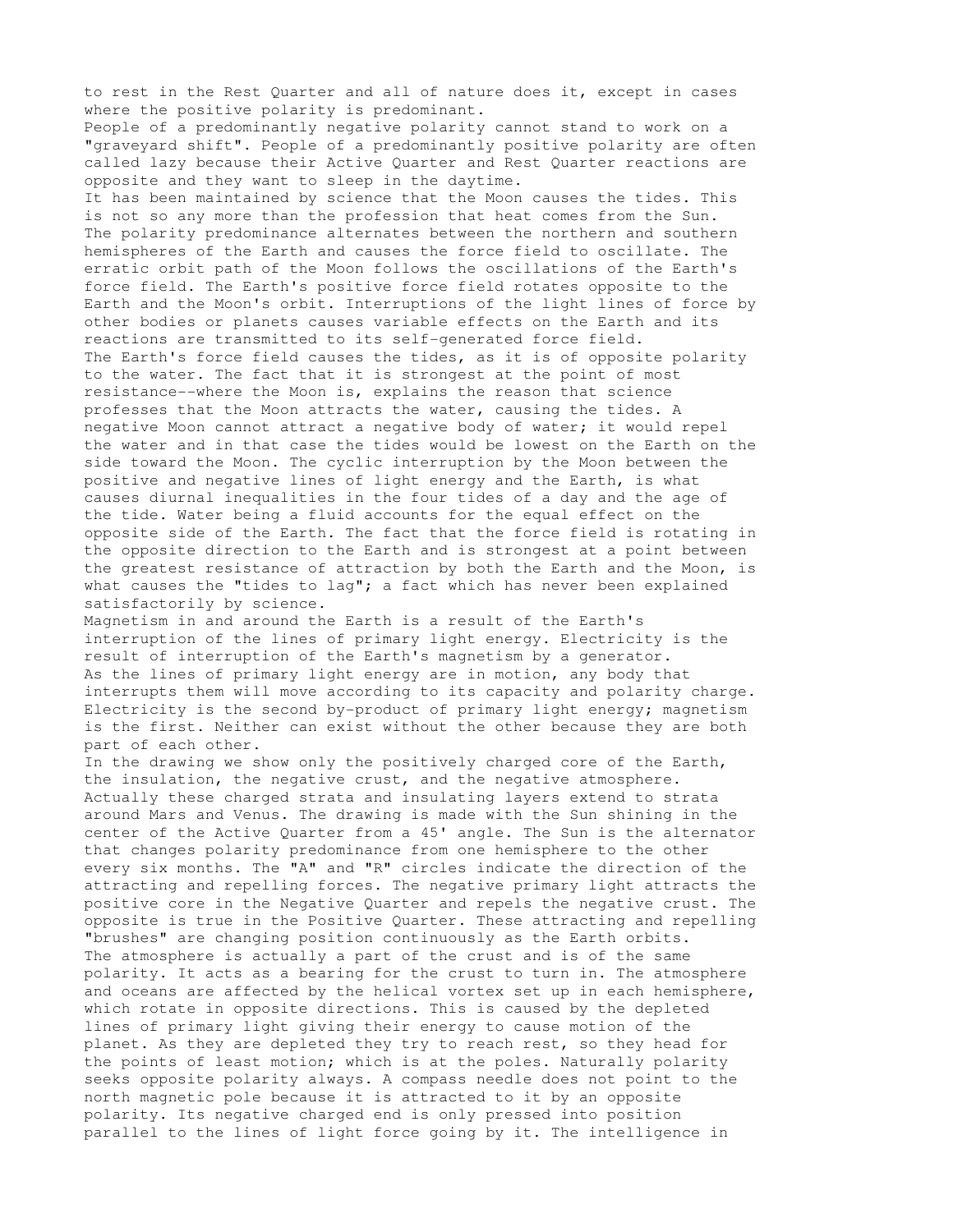to rest in the Rest Quarter and all of nature does it, except in cases where the positive polarity is predominant.

People of a predominantly negative polarity cannot stand to work on a "graveyard shift". People of a predominantly positive polarity are often called lazy because their Active Quarter and Rest Quarter reactions are opposite and they want to sleep in the daytime.

It has been maintained by science that the Moon causes the tides. This is not so any more than the profession that heat comes from the Sun. The polarity predominance alternates between the northern and southern hemispheres of the Earth and causes the force field to oscillate. The erratic orbit path of the Moon follows the oscillations of the Earth's force field. The Earth's positive force field rotates opposite to the Earth and the Moon's orbit. Interruptions of the light lines of force by other bodies or planets causes variable effects on the Earth and its reactions are transmitted to its self-generated force field. The Earth's force field causes the tides, as it is of opposite polarity to the water. The fact that it is strongest at the point of most resistance--where the Moon is, explains the reason that science professes that the Moon attracts the water, causing the tides. A negative Moon cannot attract a negative body of water; it would repel the water and in that case the tides would be lowest on the Earth on the side toward the Moon. The cyclic interruption by the Moon between the positive and negative lines of light energy and the Earth, is what causes diurnal inequalities in the four tides of a day and the age of the tide. Water being a fluid accounts for the equal effect on the opposite side of the Earth. The fact that the force field is rotating in the opposite direction to the Earth and is strongest at a point between the greatest resistance of attraction by both the Earth and the Moon, is what causes the "tides to lag"; a fact which has never been explained satisfactorily by science.

Magnetism in and around the Earth is a result of the Earth's interruption of the lines of primary light energy. Electricity is the result of interruption of the Earth's magnetism by a generator. As the lines of primary light energy are in motion, any body that interrupts them will move according to its capacity and polarity charge. Electricity is the second by-product of primary light energy; magnetism is the first. Neither can exist without the other because they are both part of each other.

In the drawing we show only the positively charged core of the Earth, the insulation, the negative crust, and the negative atmosphere. Actually these charged strata and insulating layers extend to strata around Mars and Venus. The drawing is made with the Sun shining in the center of the Active Quarter from a 45' angle. The Sun is the alternator that changes polarity predominance from one hemisphere to the other every six months. The "A" and "R" circles indicate the direction of the attracting and repelling forces. The negative primary light attracts the positive core in the Negative Quarter and repels the negative crust. The opposite is true in the Positive Quarter. These attracting and repelling "brushes" are changing position continuously as the Earth orbits. The atmosphere is actually a part of the crust and is of the same polarity. It acts as a bearing for the crust to turn in. The atmosphere and oceans are affected by the helical vortex set up in each hemisphere, which rotate in opposite directions. This is caused by the depleted lines of primary light giving their energy to cause motion of the planet. As they are depleted they try to reach rest, so they head for the points of least motion; which is at the poles. Naturally polarity seeks opposite polarity always. A compass needle does not point to the north magnetic pole because it is attracted to it by an opposite polarity. Its negative charged end is only pressed into position parallel to the lines of light force going by it. The intelligence in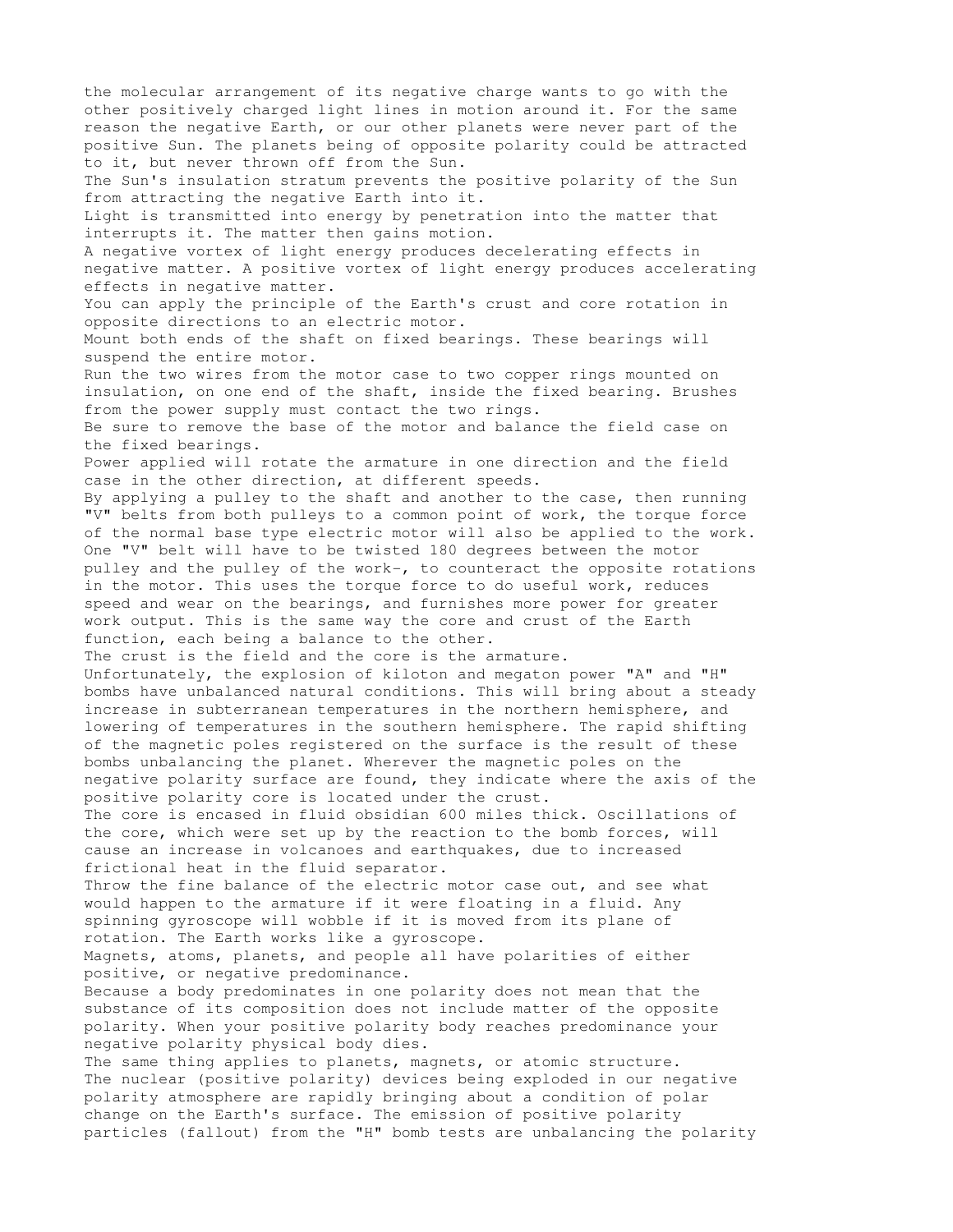the molecular arrangement of its negative charge wants to go with the other positively charged light lines in motion around it. For the same reason the negative Earth, or our other planets were never part of the positive Sun. The planets being of opposite polarity could be attracted to it, but never thrown off from the Sun. The Sun's insulation stratum prevents the positive polarity of the Sun from attracting the negative Earth into it. Light is transmitted into energy by penetration into the matter that interrupts it. The matter then gains motion. A negative vortex of light energy produces decelerating effects in negative matter. A positive vortex of light energy produces accelerating effects in negative matter. You can apply the principle of the Earth's crust and core rotation in opposite directions to an electric motor. Mount both ends of the shaft on fixed bearings. These bearings will suspend the entire motor. Run the two wires from the motor case to two copper rings mounted on insulation, on one end of the shaft, inside the fixed bearing. Brushes from the power supply must contact the two rings. Be sure to remove the base of the motor and balance the field case on the fixed bearings. Power applied will rotate the armature in one direction and the field case in the other direction, at different speeds. By applying a pulley to the shaft and another to the case, then running "V" belts from both pulleys to a common point of work, the torque force of the normal base type electric motor will also be applied to the work. One "V" belt will have to be twisted 180 degrees between the motor pulley and the pulley of the work-, to counteract the opposite rotations in the motor. This uses the torque force to do useful work, reduces speed and wear on the bearings, and furnishes more power for greater work output. This is the same way the core and crust of the Earth function, each being a balance to the other. The crust is the field and the core is the armature. Unfortunately, the explosion of kiloton and megaton power "A" and "H" bombs have unbalanced natural conditions. This will bring about a steady increase in subterranean temperatures in the northern hemisphere, and lowering of temperatures in the southern hemisphere. The rapid shifting of the magnetic poles registered on the surface is the result of these bombs unbalancing the planet. Wherever the magnetic poles on the negative polarity surface are found, they indicate where the axis of the positive polarity core is located under the crust. The core is encased in fluid obsidian 600 miles thick. Oscillations of the core, which were set up by the reaction to the bomb forces, will cause an increase in volcanoes and earthquakes, due to increased frictional heat in the fluid separator. Throw the fine balance of the electric motor case out, and see what would happen to the armature if it were floating in a fluid. Any spinning gyroscope will wobble if it is moved from its plane of rotation. The Earth works like a gyroscope. Magnets, atoms, planets, and people all have polarities of either positive, or negative predominance. Because a body predominates in one polarity does not mean that the substance of its composition does not include matter of the opposite polarity. When your positive polarity body reaches predominance your negative polarity physical body dies. The same thing applies to planets, magnets, or atomic structure. The nuclear (positive polarity) devices being exploded in our negative polarity atmosphere are rapidly bringing about a condition of polar change on the Earth's surface. The emission of positive polarity particles (fallout) from the "H" bomb tests are unbalancing the polarity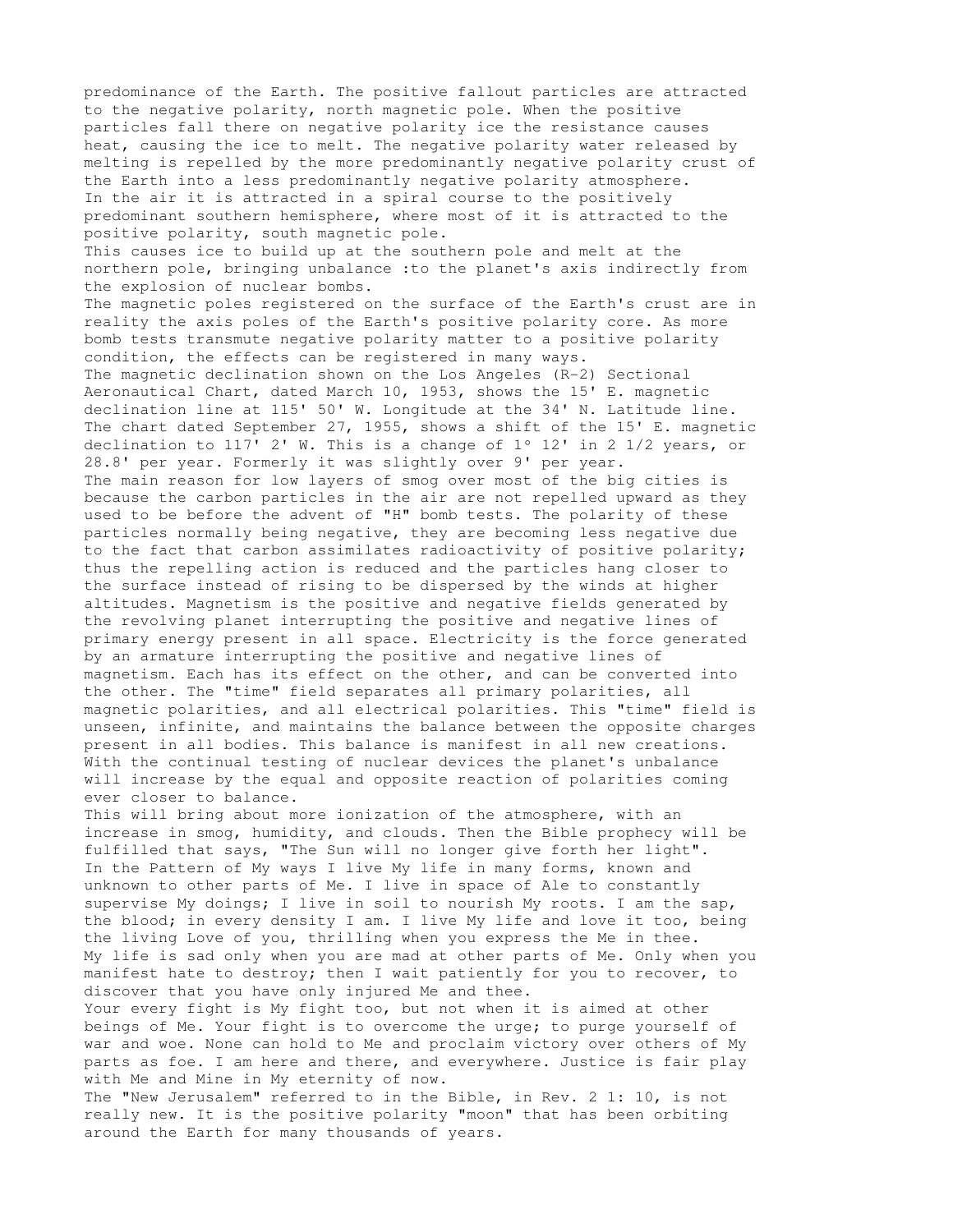predominance of the Earth. The positive fallout particles are attracted to the negative polarity, north magnetic pole. When the positive particles fall there on negative polarity ice the resistance causes heat, causing the ice to melt. The negative polarity water released by melting is repelled by the more predominantly negative polarity crust of the Earth into a less predominantly negative polarity atmosphere. In the air it is attracted in a spiral course to the positively predominant southern hemisphere, where most of it is attracted to the positive polarity, south magnetic pole.

This causes ice to build up at the southern pole and melt at the northern pole, bringing unbalance :to the planet's axis indirectly from the explosion of nuclear bombs.

The magnetic poles registered on the surface of the Earth's crust are in reality the axis poles of the Earth's positive polarity core. As more bomb tests transmute negative polarity matter to a positive polarity condition, the effects can be registered in many ways.

The magnetic declination shown on the Los Angeles (R-2) Sectional Aeronautical Chart, dated March 10, 1953, shows the 15' E. magnetic declination line at 115' 50' W. Longitude at the 34' N. Latitude line. The chart dated September 27, 1955, shows a shift of the 15' E. magnetic declination to 117' 2' W. This is a change of 1º 12' in 2 1/2 years, or 28.8' per year. Formerly it was slightly over 9' per year. The main reason for low layers of smog over most of the big cities is because the carbon particles in the air are not repelled upward as they used to be before the advent of "H" bomb tests. The polarity of these particles normally being negative, they are becoming less negative due to the fact that carbon assimilates radioactivity of positive polarity; thus the repelling action is reduced and the particles hang closer to the surface instead of rising to be dispersed by the winds at higher altitudes. Magnetism is the positive and negative fields generated by the revolving planet interrupting the positive and negative lines of primary energy present in all space. Electricity is the force generated by an armature interrupting the positive and negative lines of magnetism. Each has its effect on the other, and can be converted into the other. The "time" field separates all primary polarities, all magnetic polarities, and all electrical polarities. This "time" field is unseen, infinite, and maintains the balance between the opposite charges present in all bodies. This balance is manifest in all new creations. With the continual testing of nuclear devices the planet's unbalance will increase by the equal and opposite reaction of polarities coming ever closer to balance.

This will bring about more ionization of the atmosphere, with an increase in smog, humidity, and clouds. Then the Bible prophecy will be fulfilled that says, "The Sun will no longer give forth her light". In the Pattern of My ways I live My life in many forms, known and unknown to other parts of Me. I live in space of Ale to constantly supervise My doings; I live in soil to nourish My roots. I am the sap, the blood; in every density I am. I live My life and love it too, being the living Love of you, thrilling when you express the Me in thee. My life is sad only when you are mad at other parts of Me. Only when you manifest hate to destroy; then I wait patiently for you to recover, to discover that you have only injured Me and thee.

Your every fight is My fight too, but not when it is aimed at other beings of Me. Your fight is to overcome the urge; to purge yourself of war and woe. None can hold to Me and proclaim victory over others of My parts as foe. I am here and there, and everywhere. Justice is fair play with Me and Mine in My eternity of now.

The "New Jerusalem" referred to in the Bible, in Rev. 2 1: 10, is not really new. It is the positive polarity "moon" that has been orbiting around the Earth for many thousands of years.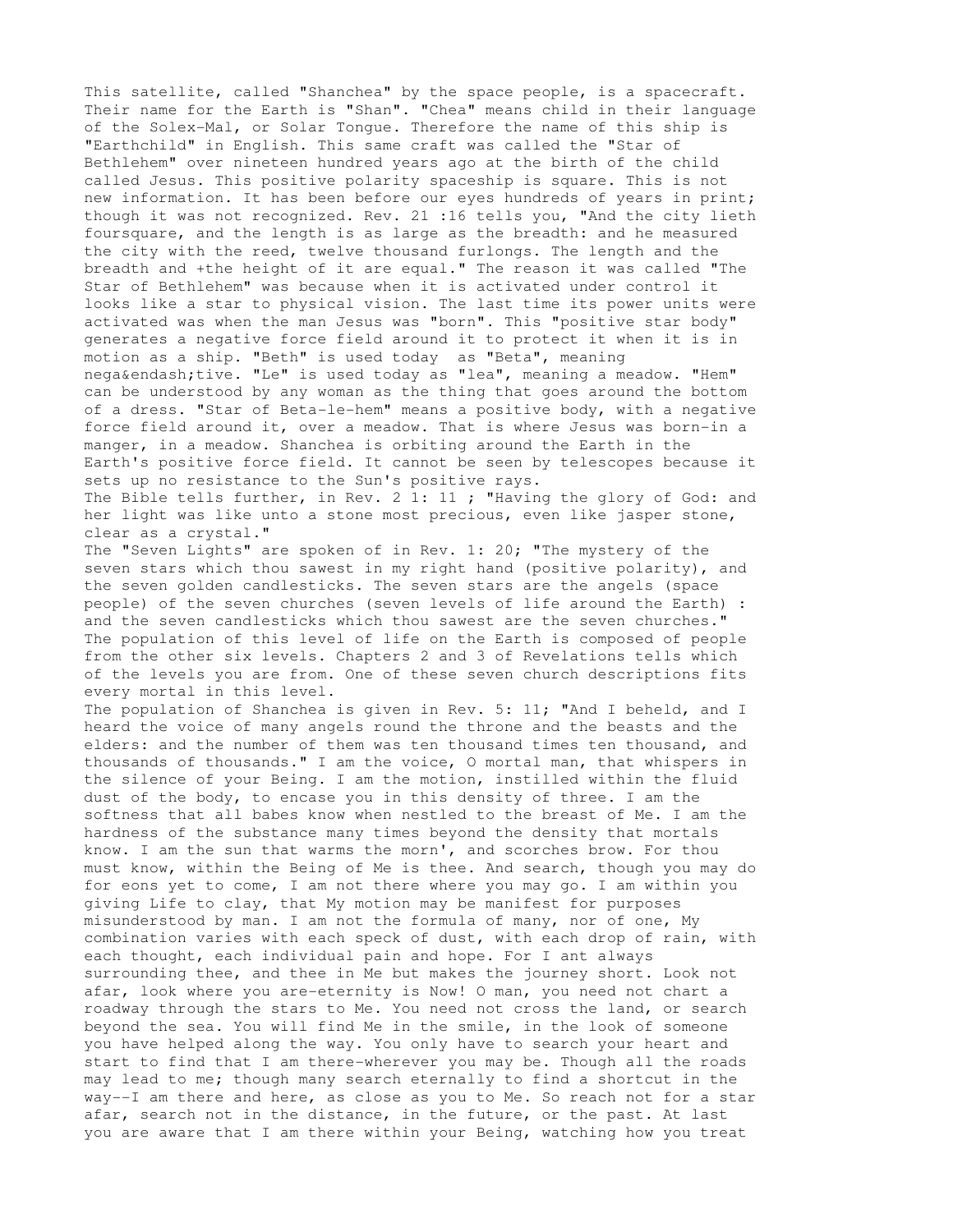This satellite, called "Shanchea" by the space people, is a spacecraft. Their name for the Earth is "Shan". "Chea" means child in their language of the Solex-Mal, or Solar Tongue. Therefore the name of this ship is "Earthchild" in English. This same craft was called the "Star of Bethlehem" over nineteen hundred years ago at the birth of the child called Jesus. This positive polarity spaceship is square. This is not new information. It has been before our eyes hundreds of years in print; though it was not recognized. Rev. 21 :16 tells you, "And the city lieth foursquare, and the length is as large as the breadth: and he measured the city with the reed, twelve thousand furlongs. The length and the breadth and +the height of it are equal." The reason it was called "The Star of Bethlehem" was because when it is activated under control it looks like a star to physical vision. The last time its power units were activated was when the man Jesus was "born". This "positive star body" generates a negative force field around it to protect it when it is in motion as a ship. "Beth" is used today as "Beta", meaning nega&endash;tive. "Le" is used today as "lea", meaning a meadow. "Hem" can be understood by any woman as the thing that goes around the bottom of a dress. "Star of Beta-le-hem" means a positive body, with a negative force field around it, over a meadow. That is where Jesus was born-in a manger, in a meadow. Shanchea is orbiting around the Earth in the Earth's positive force field. It cannot be seen by telescopes because it sets up no resistance to the Sun's positive rays. The Bible tells further, in Rev. 2 1: 11 ; "Having the glory of God: and her light was like unto a stone most precious, even like jasper stone, clear as a crystal." The "Seven Lights" are spoken of in Rev. 1: 20; "The mystery of the seven stars which thou sawest in my right hand (positive polarity), and the seven golden candlesticks. The seven stars are the angels (space people) of the seven churches (seven levels of life around the Earth) : and the seven candlesticks which thou sawest are the seven churches." The population of this level of life on the Earth is composed of people from the other six levels. Chapters 2 and 3 of Revelations tells which of the levels you are from. One of these seven church descriptions fits every mortal in this level. The population of Shanchea is given in Rev. 5: 11; "And I beheld, and I heard the voice of many angels round the throne and the beasts and the elders: and the number of them was ten thousand times ten thousand, and thousands of thousands." I am the voice, O mortal man, that whispers in the silence of your Being. I am the motion, instilled within the fluid dust of the body, to encase you in this density of three. I am the softness that all babes know when nestled to the breast of Me. I am the hardness of the substance many times beyond the density that mortals know. I am the sun that warms the morn', and scorches brow. For thou must know, within the Being of Me is thee. And search, though you may do for eons yet to come, I am not there where you may go. I am within you giving Life to clay, that My motion may be manifest for purposes misunderstood by man. I am not the formula of many, nor of one, My combination varies with each speck of dust, with each drop of rain, with each thought, each individual pain and hope. For I ant always surrounding thee, and thee in Me but makes the journey short. Look not afar, look where you are-eternity is Now! O man, you need not chart a roadway through the stars to Me. You need not cross the land, or search beyond the sea. You will find Me in the smile, in the look of someone you have helped along the way. You only have to search your heart and start to find that I am there-wherever you may be. Though all the roads may lead to me; though many search eternally to find a shortcut in the way--I am there and here, as close as you to Me. So reach not for a star afar, search not in the distance, in the future, or the past. At last you are aware that I am there within your Being, watching how you treat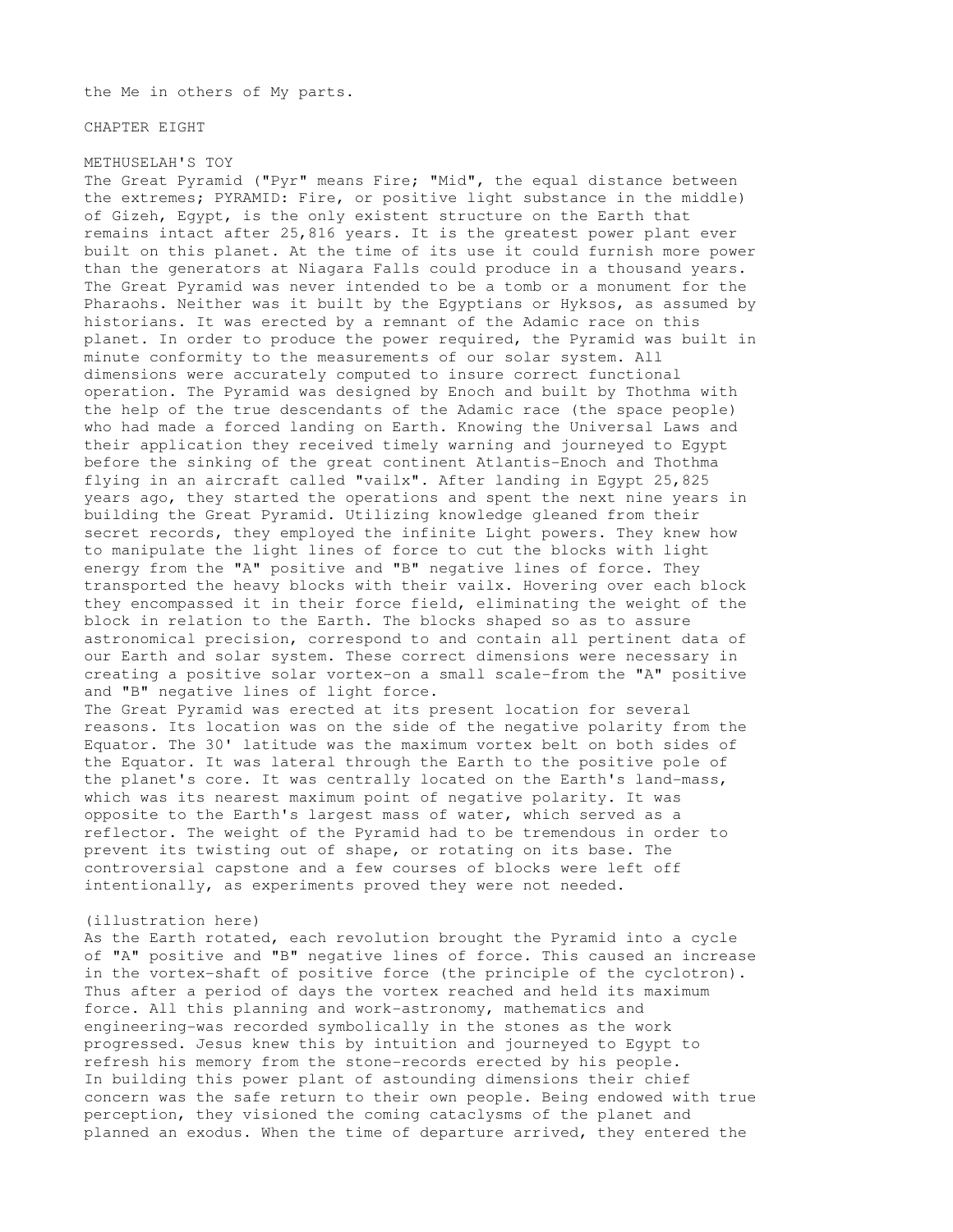the Me in others of My parts.

CHAPTER EIGHT

### METHUSELAH'S TOY

The Great Pyramid ("Pyr" means Fire; "Mid", the equal distance between the extremes; PYRAMID: Fire, or positive light substance in the middle) of Gizeh, Egypt, is the only existent structure on the Earth that remains intact after 25,816 years. It is the greatest power plant ever built on this planet. At the time of its use it could furnish more power than the generators at Niagara Falls could produce in a thousand years. The Great Pyramid was never intended to be a tomb or a monument for the Pharaohs. Neither was it built by the Egyptians or Hyksos, as assumed by historians. It was erected by a remnant of the Adamic race on this planet. In order to produce the power required, the Pyramid was built in minute conformity to the measurements of our solar system. All dimensions were accurately computed to insure correct functional operation. The Pyramid was designed by Enoch and built by Thothma with the help of the true descendants of the Adamic race (the space people) who had made a forced landing on Earth. Knowing the Universal Laws and their application they received timely warning and journeyed to Egypt before the sinking of the great continent Atlantis-Enoch and Thothma flying in an aircraft called "vailx". After landing in Egypt 25,825 years ago, they started the operations and spent the next nine years in building the Great Pyramid. Utilizing knowledge gleaned from their secret records, they employed the infinite Light powers. They knew how to manipulate the light lines of force to cut the blocks with light energy from the "A" positive and "B" negative lines of force. They transported the heavy blocks with their vailx. Hovering over each block they encompassed it in their force field, eliminating the weight of the block in relation to the Earth. The blocks shaped so as to assure astronomical precision, correspond to and contain all pertinent data of our Earth and solar system. These correct dimensions were necessary in creating a positive solar vortex-on a small scale-from the "A" positive and "B" negative lines of light force.

The Great Pyramid was erected at its present location for several reasons. Its location was on the side of the negative polarity from the Equator. The 30' latitude was the maximum vortex belt on both sides of the Equator. It was lateral through the Earth to the positive pole of the planet's core. It was centrally located on the Earth's land-mass, which was its nearest maximum point of negative polarity. It was opposite to the Earth's largest mass of water, which served as a reflector. The weight of the Pyramid had to be tremendous in order to prevent its twisting out of shape, or rotating on its base. The controversial capstone and a few courses of blocks were left off intentionally, as experiments proved they were not needed.

### (illustration here)

As the Earth rotated, each revolution brought the Pyramid into a cycle of "A" positive and "B" negative lines of force. This caused an increase in the vortex-shaft of positive force (the principle of the cyclotron). Thus after a period of days the vortex reached and held its maximum force. All this planning and work-astronomy, mathematics and engineering-was recorded symbolically in the stones as the work progressed. Jesus knew this by intuition and journeyed to Egypt to refresh his memory from the stone-records erected by his people. In building this power plant of astounding dimensions their chief concern was the safe return to their own people. Being endowed with true perception, they visioned the coming cataclysms of the planet and planned an exodus. When the time of departure arrived, they entered the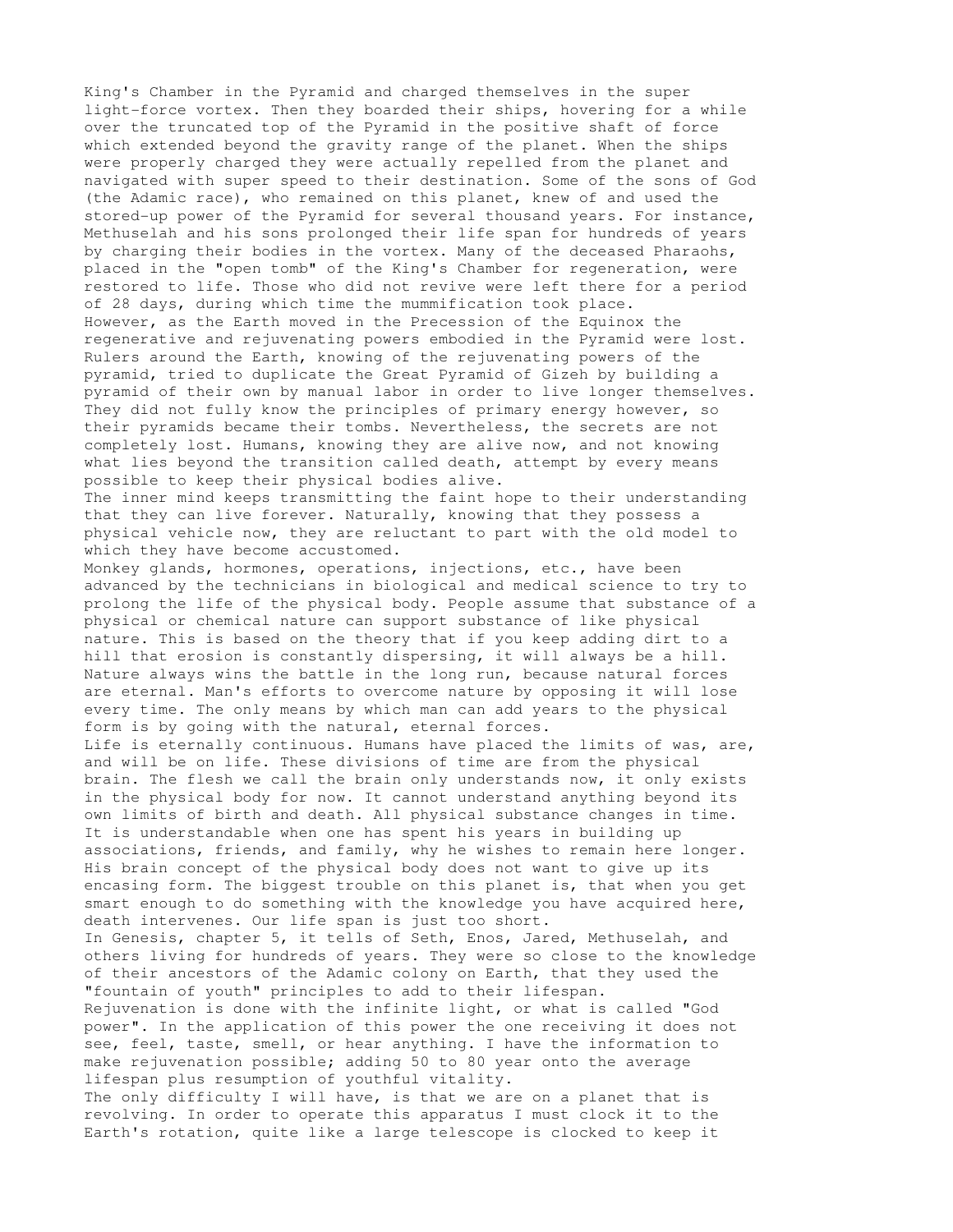King's Chamber in the Pyramid and charged themselves in the super light-force vortex. Then they boarded their ships, hovering for a while over the truncated top of the Pyramid in the positive shaft of force which extended beyond the gravity range of the planet. When the ships were properly charged they were actually repelled from the planet and navigated with super speed to their destination. Some of the sons of God (the Adamic race), who remained on this planet, knew of and used the stored-up power of the Pyramid for several thousand years. For instance, Methuselah and his sons prolonged their life span for hundreds of years by charging their bodies in the vortex. Many of the deceased Pharaohs, placed in the "open tomb" of the King's Chamber for regeneration, were restored to life. Those who did not revive were left there for a period of 28 days, during which time the mummification took place. However, as the Earth moved in the Precession of the Equinox the regenerative and rejuvenating powers embodied in the Pyramid were lost. Rulers around the Earth, knowing of the rejuvenating powers of the pyramid, tried to duplicate the Great Pyramid of Gizeh by building a pyramid of their own by manual labor in order to live longer themselves. They did not fully know the principles of primary energy however, so their pyramids became their tombs. Nevertheless, the secrets are not completely lost. Humans, knowing they are alive now, and not knowing what lies beyond the transition called death, attempt by every means possible to keep their physical bodies alive.

The inner mind keeps transmitting the faint hope to their understanding that they can live forever. Naturally, knowing that they possess a physical vehicle now, they are reluctant to part with the old model to which they have become accustomed.

Monkey glands, hormones, operations, injections, etc., have been advanced by the technicians in biological and medical science to try to prolong the life of the physical body. People assume that substance of a physical or chemical nature can support substance of like physical nature. This is based on the theory that if you keep adding dirt to a hill that erosion is constantly dispersing, it will always be a hill. Nature always wins the battle in the long run, because natural forces are eternal. Man's efforts to overcome nature by opposing it will lose every time. The only means by which man can add years to the physical form is by going with the natural, eternal forces.

Life is eternally continuous. Humans have placed the limits of was, are, and will be on life. These divisions of time are from the physical brain. The flesh we call the brain only understands now, it only exists in the physical body for now. It cannot understand anything beyond its own limits of birth and death. All physical substance changes in time. It is understandable when one has spent his years in building up associations, friends, and family, why he wishes to remain here longer. His brain concept of the physical body does not want to give up its encasing form. The biggest trouble on this planet is, that when you get smart enough to do something with the knowledge you have acquired here, death intervenes. Our life span is just too short.

In Genesis, chapter 5, it tells of Seth, Enos, Jared, Methuselah, and others living for hundreds of years. They were so close to the knowledge of their ancestors of the Adamic colony on Earth, that they used the "fountain of youth" principles to add to their lifespan.

Rejuvenation is done with the infinite light, or what is called "God power". In the application of this power the one receiving it does not see, feel, taste, smell, or hear anything. I have the information to make rejuvenation possible; adding 50 to 80 year onto the average lifespan plus resumption of youthful vitality.

The only difficulty I will have, is that we are on a planet that is revolving. In order to operate this apparatus I must clock it to the Earth's rotation, quite like a large telescope is clocked to keep it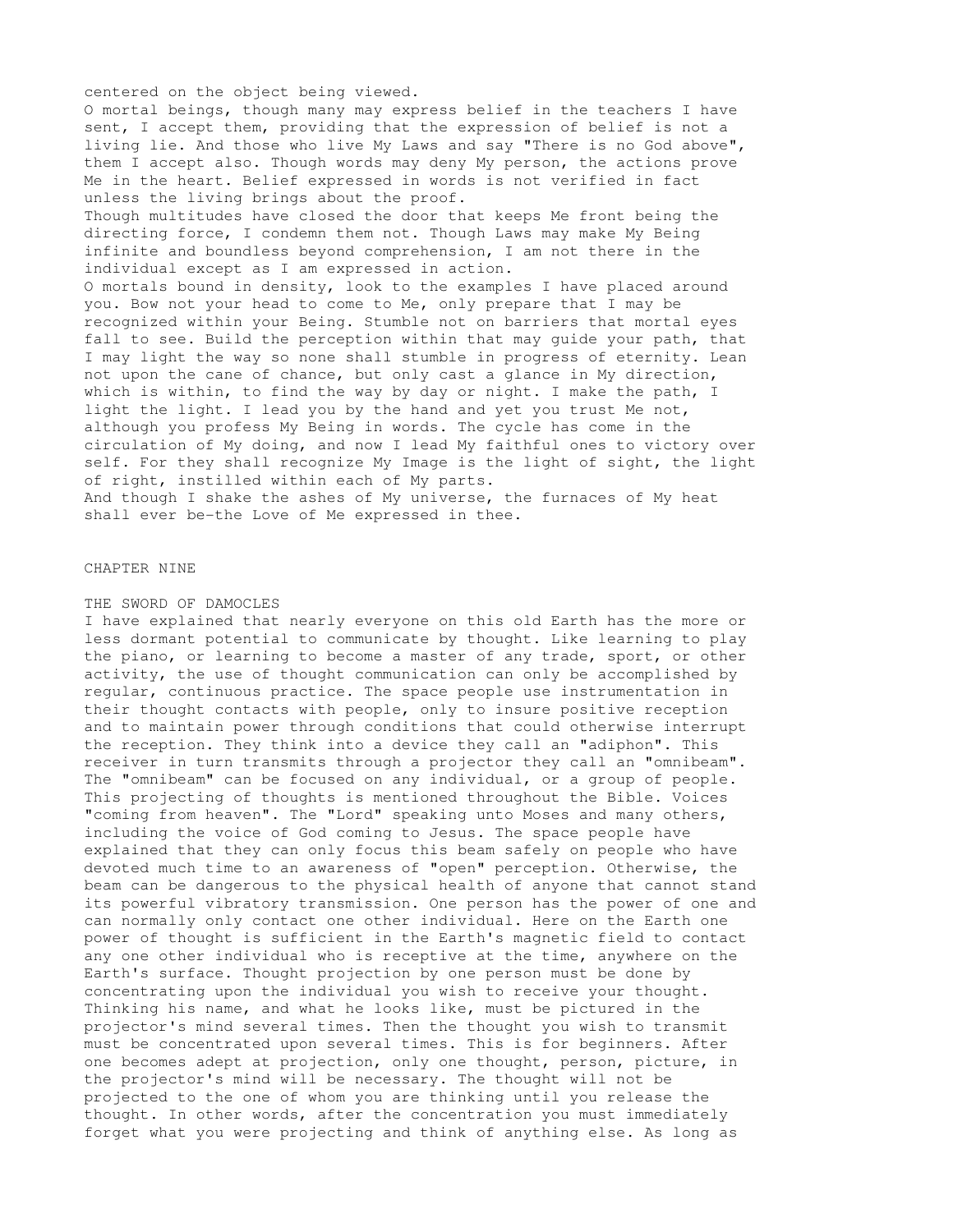centered on the object being viewed.

O mortal beings, though many may express belief in the teachers I have sent, I accept them, providing that the expression of belief is not a living lie. And those who live My Laws and say "There is no God above", them I accept also. Though words may deny My person, the actions prove Me in the heart. Belief expressed in words is not verified in fact unless the living brings about the proof.

Though multitudes have closed the door that keeps Me front being the directing force, I condemn them not. Though Laws may make My Being infinite and boundless beyond comprehension, I am not there in the individual except as I am expressed in action.

O mortals bound in density, look to the examples I have placed around you. Bow not your head to come to Me, only prepare that I may be recognized within your Being. Stumble not on barriers that mortal eyes fall to see. Build the perception within that may guide your path, that I may light the way so none shall stumble in progress of eternity. Lean not upon the cane of chance, but only cast a glance in My direction, which is within, to find the way by day or night. I make the path, I light the light. I lead you by the hand and yet you trust Me not, although you profess My Being in words. The cycle has come in the circulation of My doing, and now I lead My faithful ones to victory over self. For they shall recognize My Image is the light of sight, the light of right, instilled within each of My parts. And though I shake the ashes of My universe, the furnaces of My heat

shall ever be-the Love of Me expressed in thee.

# CHAPTER NINE

### THE SWORD OF DAMOCLES

I have explained that nearly everyone on this old Earth has the more or less dormant potential to communicate by thought. Like learning to play the piano, or learning to become a master of any trade, sport, or other activity, the use of thought communication can only be accomplished by regular, continuous practice. The space people use instrumentation in their thought contacts with people, only to insure positive reception and to maintain power through conditions that could otherwise interrupt the reception. They think into a device they call an "adiphon". This receiver in turn transmits through a projector they call an "omnibeam". The "omnibeam" can be focused on any individual, or a group of people. This projecting of thoughts is mentioned throughout the Bible. Voices "coming from heaven". The "Lord" speaking unto Moses and many others, including the voice of God coming to Jesus. The space people have explained that they can only focus this beam safely on people who have devoted much time to an awareness of "open" perception. Otherwise, the beam can be dangerous to the physical health of anyone that cannot stand its powerful vibratory transmission. One person has the power of one and can normally only contact one other individual. Here on the Earth one power of thought is sufficient in the Earth's magnetic field to contact any one other individual who is receptive at the time, anywhere on the Earth's surface. Thought projection by one person must be done by concentrating upon the individual you wish to receive your thought. Thinking his name, and what he looks like, must be pictured in the projector's mind several times. Then the thought you wish to transmit must be concentrated upon several times. This is for beginners. After one becomes adept at projection, only one thought, person, picture, in the projector's mind will be necessary. The thought will not be projected to the one of whom you are thinking until you release the thought. In other words, after the concentration you must immediately forget what you were projecting and think of anything else. As long as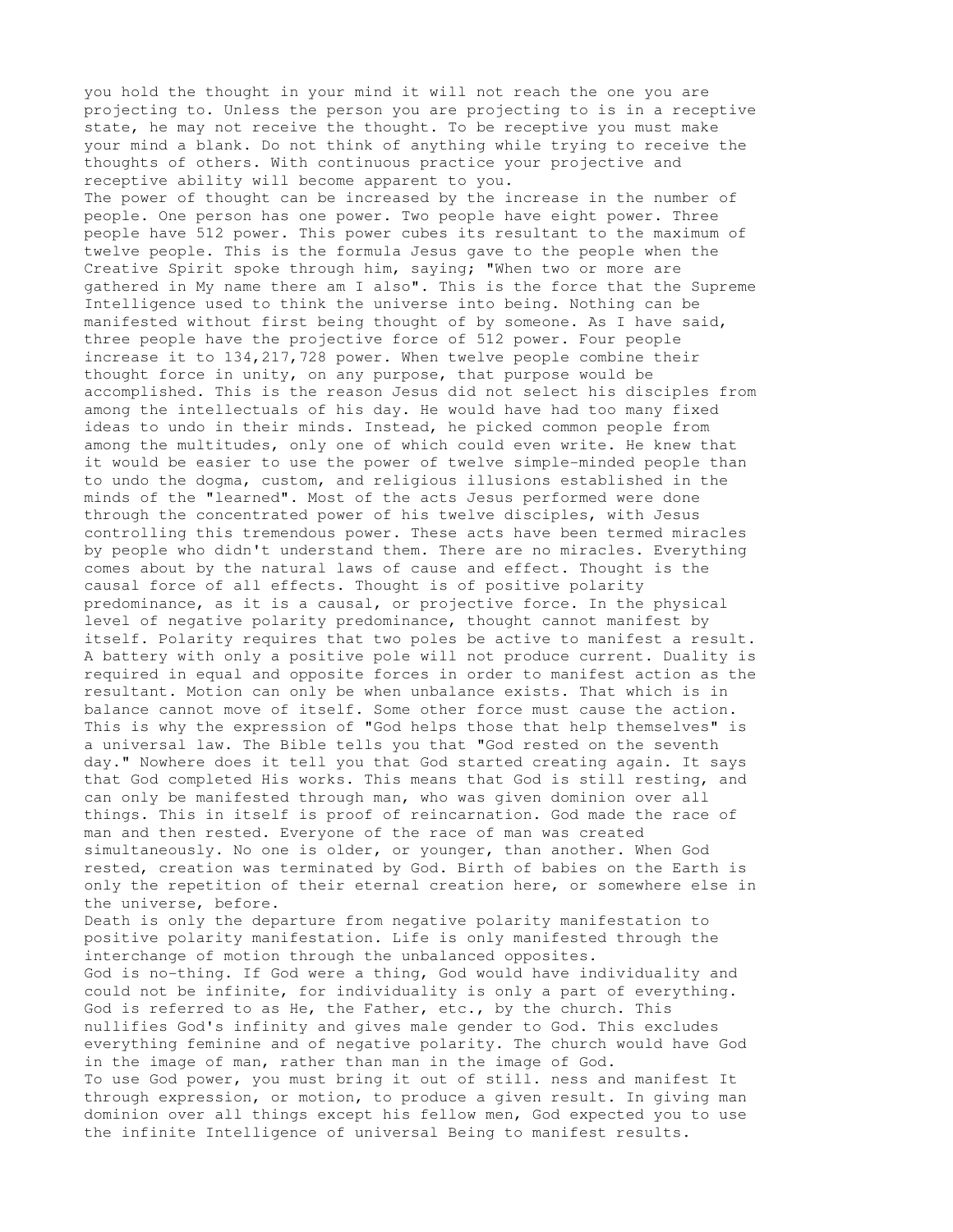you hold the thought in your mind it will not reach the one you are projecting to. Unless the person you are projecting to is in a receptive state, he may not receive the thought. To be receptive you must make your mind a blank. Do not think of anything while trying to receive the thoughts of others. With continuous practice your projective and receptive ability will become apparent to you. The power of thought can be increased by the increase in the number of people. One person has one power. Two people have eight power. Three people have 512 power. This power cubes its resultant to the maximum of twelve people. This is the formula Jesus gave to the people when the Creative Spirit spoke through him, saying; "When two or more are gathered in My name there am I also". This is the force that the Supreme Intelligence used to think the universe into being. Nothing can be manifested without first being thought of by someone. As I have said, three people have the projective force of 512 power. Four people increase it to 134,217,728 power. When twelve people combine their thought force in unity, on any purpose, that purpose would be accomplished. This is the reason Jesus did not select his disciples from among the intellectuals of his day. He would have had too many fixed ideas to undo in their minds. Instead, he picked common people from among the multitudes, only one of which could even write. He knew that it would be easier to use the power of twelve simple-minded people than to undo the dogma, custom, and religious illusions established in the minds of the "learned". Most of the acts Jesus performed were done through the concentrated power of his twelve disciples, with Jesus controlling this tremendous power. These acts have been termed miracles by people who didn't understand them. There are no miracles. Everything comes about by the natural laws of cause and effect. Thought is the causal force of all effects. Thought is of positive polarity predominance, as it is a causal, or projective force. In the physical level of negative polarity predominance, thought cannot manifest by itself. Polarity requires that two poles be active to manifest a result. A battery with only a positive pole will not produce current. Duality is required in equal and opposite forces in order to manifest action as the resultant. Motion can only be when unbalance exists. That which is in balance cannot move of itself. Some other force must cause the action. This is why the expression of "God helps those that help themselves" is a universal law. The Bible tells you that "God rested on the seventh day." Nowhere does it tell you that God started creating again. It says that God completed His works. This means that God is still resting, and can only be manifested through man, who was given dominion over all things. This in itself is proof of reincarnation. God made the race of man and then rested. Everyone of the race of man was created simultaneously. No one is older, or younger, than another. When God rested, creation was terminated by God. Birth of babies on the Earth is only the repetition of their eternal creation here, or somewhere else in the universe, before. Death is only the departure from negative polarity manifestation to positive polarity manifestation. Life is only manifested through the interchange of motion through the unbalanced opposites. God is no-thing. If God were a thing, God would have individuality and could not be infinite, for individuality is only a part of everything. God is referred to as He, the Father, etc., by the church. This nullifies God's infinity and gives male gender to God. This excludes everything feminine and of negative polarity. The church would have God in the image of man, rather than man in the image of God. To use God power, you must bring it out of still. ness and manifest It through expression, or motion, to produce a given result. In giving man dominion over all things except his fellow men, God expected you to use the infinite Intelligence of universal Being to manifest results.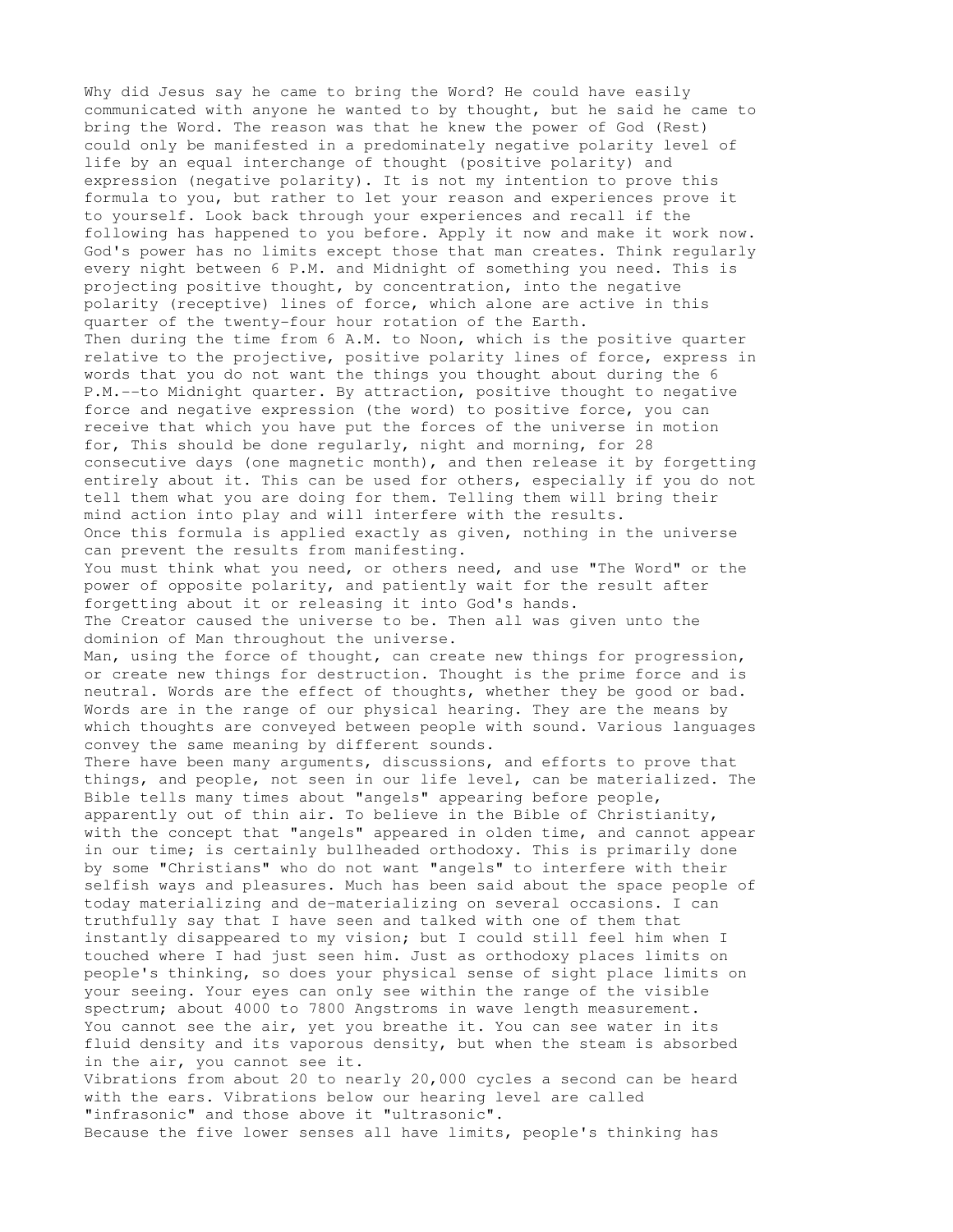Why did Jesus say he came to bring the Word? He could have easily communicated with anyone he wanted to by thought, but he said he came to bring the Word. The reason was that he knew the power of God (Rest) could only be manifested in a predominately negative polarity level of life by an equal interchange of thought (positive polarity) and expression (negative polarity). It is not my intention to prove this formula to you, but rather to let your reason and experiences prove it to yourself. Look back through your experiences and recall if the following has happened to you before. Apply it now and make it work now. God's power has no limits except those that man creates. Think regularly every night between 6 P.M. and Midnight of something you need. This is projecting positive thought, by concentration, into the negative polarity (receptive) lines of force, which alone are active in this quarter of the twenty-four hour rotation of the Earth. Then during the time from 6 A.M. to Noon, which is the positive quarter relative to the projective, positive polarity lines of force, express in words that you do not want the things you thought about during the 6 P.M.--to Midnight quarter. By attraction, positive thought to negative force and negative expression (the word) to positive force, you can receive that which you have put the forces of the universe in motion for, This should be done regularly, night and morning, for 28 consecutive days (one magnetic month), and then release it by forgetting entirely about it. This can be used for others, especially if you do not tell them what you are doing for them. Telling them will bring their mind action into play and will interfere with the results. Once this formula is applied exactly as given, nothing in the universe can prevent the results from manifesting. You must think what you need, or others need, and use "The Word" or the power of opposite polarity, and patiently wait for the result after forgetting about it or releasing it into God's hands. The Creator caused the universe to be. Then all was given unto the dominion of Man throughout the universe. Man, using the force of thought, can create new things for progression, or create new things for destruction. Thought is the prime force and is neutral. Words are the effect of thoughts, whether they be good or bad. Words are in the range of our physical hearing. They are the means by which thoughts are conveyed between people with sound. Various languages convey the same meaning by different sounds. There have been many arguments, discussions, and efforts to prove that things, and people, not seen in our life level, can be materialized. The Bible tells many times about "angels" appearing before people, apparently out of thin air. To believe in the Bible of Christianity, with the concept that "angels" appeared in olden time, and cannot appear in our time; is certainly bullheaded orthodoxy. This is primarily done by some "Christians" who do not want "angels" to interfere with their selfish ways and pleasures. Much has been said about the space people of today materializing and de-materializing on several occasions. I can truthfully say that I have seen and talked with one of them that instantly disappeared to my vision; but I could still feel him when I touched where I had just seen him. Just as orthodoxy places limits on people's thinking, so does your physical sense of sight place limits on your seeing. Your eyes can only see within the range of the visible spectrum; about 4000 to 7800 Angstroms in wave length measurement. You cannot see the air, yet you breathe it. You can see water in its fluid density and its vaporous density, but when the steam is absorbed in the air, you cannot see it. Vibrations from about 20 to nearly 20,000 cycles a second can be heard with the ears. Vibrations below our hearing level are called "infrasonic" and those above it "ultrasonic".

Because the five lower senses all have limits, people's thinking has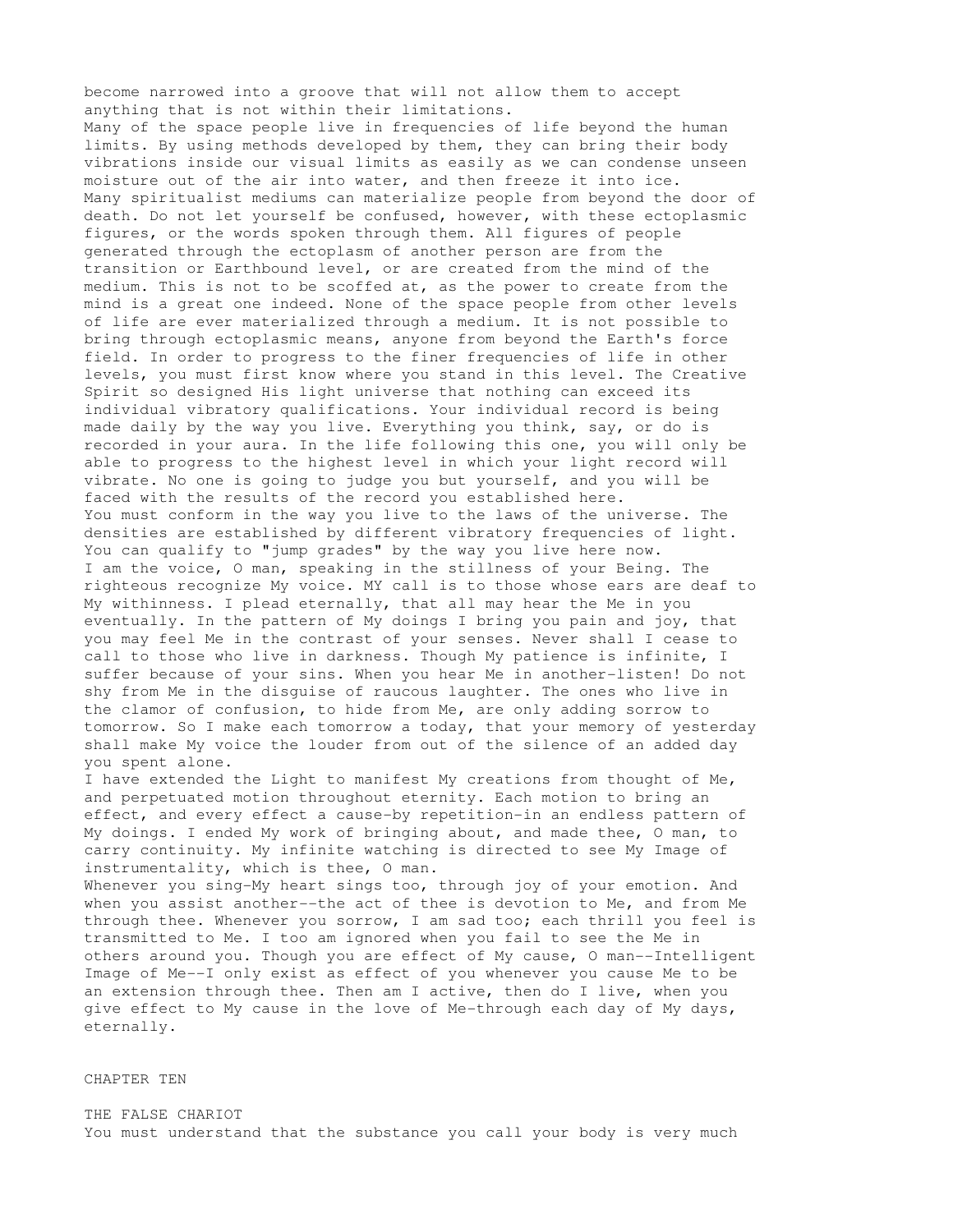become narrowed into a groove that will not allow them to accept anything that is not within their limitations.

Many of the space people live in frequencies of life beyond the human limits. By using methods developed by them, they can bring their body vibrations inside our visual limits as easily as we can condense unseen moisture out of the air into water, and then freeze it into ice. Many spiritualist mediums can materialize people from beyond the door of death. Do not let yourself be confused, however, with these ectoplasmic figures, or the words spoken through them. All figures of people generated through the ectoplasm of another person are from the transition or Earthbound level, or are created from the mind of the medium. This is not to be scoffed at, as the power to create from the mind is a great one indeed. None of the space people from other levels of life are ever materialized through a medium. It is not possible to bring through ectoplasmic means, anyone from beyond the Earth's force field. In order to progress to the finer frequencies of life in other levels, you must first know where you stand in this level. The Creative Spirit so designed His light universe that nothing can exceed its individual vibratory qualifications. Your individual record is being made daily by the way you live. Everything you think, say, or do is recorded in your aura. In the life following this one, you will only be able to progress to the highest level in which your light record will vibrate. No one is going to judge you but yourself, and you will be faced with the results of the record you established here. You must conform in the way you live to the laws of the universe. The densities are established by different vibratory frequencies of light. You can qualify to "jump grades" by the way you live here now. I am the voice, O man, speaking in the stillness of your Being. The righteous recognize My voice. MY call is to those whose ears are deaf to My withinness. I plead eternally, that all may hear the Me in you eventually. In the pattern of My doings I bring you pain and joy, that you may feel Me in the contrast of your senses. Never shall I cease to call to those who live in darkness. Though My patience is infinite, I suffer because of your sins. When you hear Me in another-listen! Do not shy from Me in the disguise of raucous laughter. The ones who live in the clamor of confusion, to hide from Me, are only adding sorrow to tomorrow. So I make each tomorrow a today, that your memory of yesterday shall make My voice the louder from out of the silence of an added day you spent alone.

I have extended the Light to manifest My creations from thought of Me, and perpetuated motion throughout eternity. Each motion to bring an effect, and every effect a cause-by repetition-in an endless pattern of My doings. I ended My work of bringing about, and made thee, O man, to carry continuity. My infinite watching is directed to see My Image of instrumentality, which is thee, O man.

Whenever you sing-My heart sings too, through joy of your emotion. And when you assist another--the act of thee is devotion to Me, and from Me through thee. Whenever you sorrow, I am sad too; each thrill you feel is transmitted to Me. I too am ignored when you fail to see the Me in others around you. Though you are effect of My cause, O man--Intelligent Image of Me--I only exist as effect of you whenever you cause Me to be an extension through thee. Then am I active, then do I live, when you give effect to My cause in the love of Me-through each day of My days, eternally.

CHAPTER TEN

THE FALSE CHARIOT You must understand that the substance you call your body is very much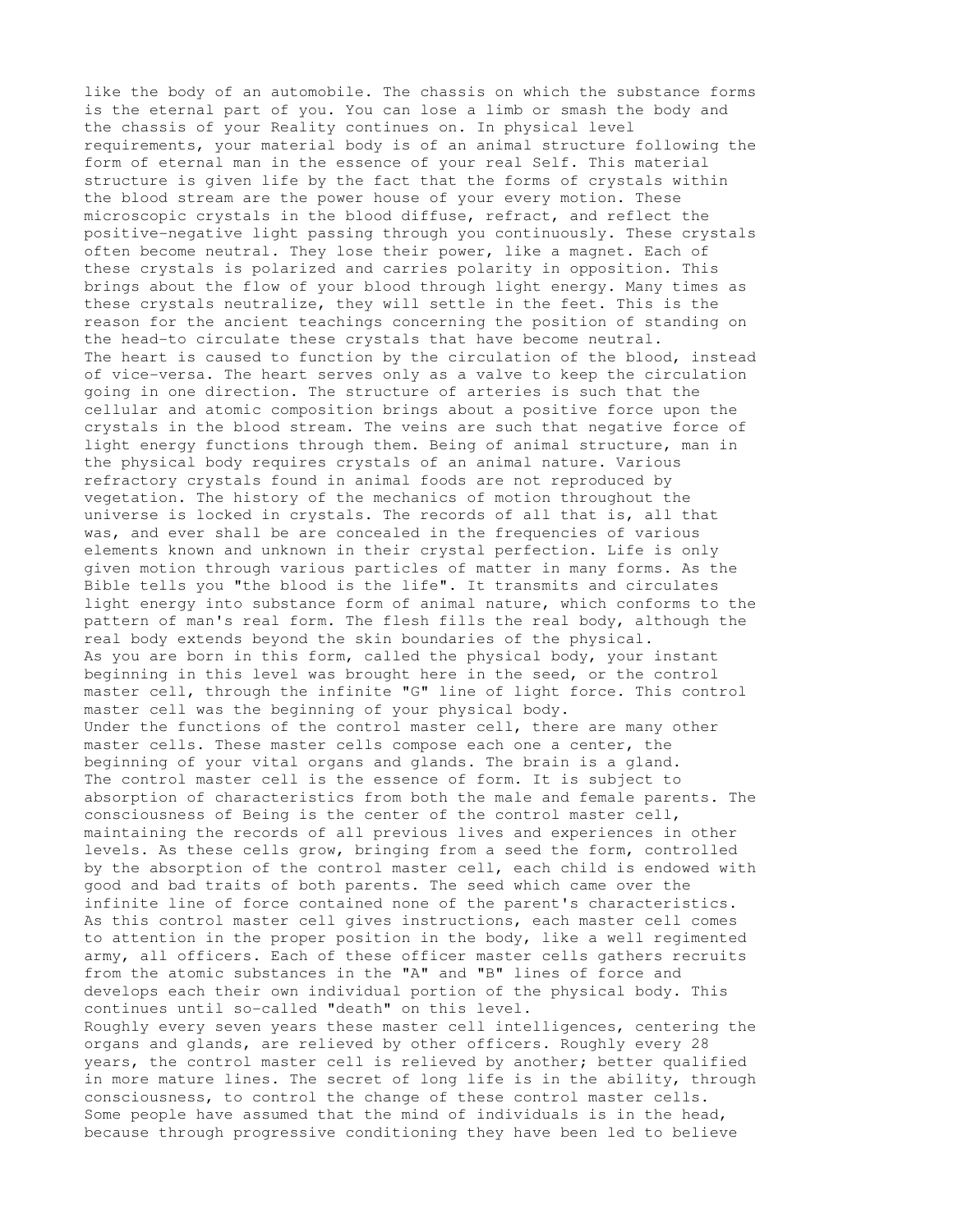like the body of an automobile. The chassis on which the substance forms is the eternal part of you. You can lose a limb or smash the body and the chassis of your Reality continues on. In physical level requirements, your material body is of an animal structure following the form of eternal man in the essence of your real Self. This material structure is given life by the fact that the forms of crystals within the blood stream are the power house of your every motion. These microscopic crystals in the blood diffuse, refract, and reflect the positive-negative light passing through you continuously. These crystals often become neutral. They lose their power, like a magnet. Each of these crystals is polarized and carries polarity in opposition. This brings about the flow of your blood through light energy. Many times as these crystals neutralize, they will settle in the feet. This is the reason for the ancient teachings concerning the position of standing on the head-to circulate these crystals that have become neutral. The heart is caused to function by the circulation of the blood, instead of vice-versa. The heart serves only as a valve to keep the circulation going in one direction. The structure of arteries is such that the cellular and atomic composition brings about a positive force upon the crystals in the blood stream. The veins are such that negative force of light energy functions through them. Being of animal structure, man in the physical body requires crystals of an animal nature. Various refractory crystals found in animal foods are not reproduced by vegetation. The history of the mechanics of motion throughout the universe is locked in crystals. The records of all that is, all that was, and ever shall be are concealed in the frequencies of various elements known and unknown in their crystal perfection. Life is only given motion through various particles of matter in many forms. As the Bible tells you "the blood is the life". It transmits and circulates light energy into substance form of animal nature, which conforms to the pattern of man's real form. The flesh fills the real body, although the real body extends beyond the skin boundaries of the physical. As you are born in this form, called the physical body, your instant beginning in this level was brought here in the seed, or the control master cell, through the infinite "G" line of light force. This control master cell was the beginning of your physical body. Under the functions of the control master cell, there are many other master cells. These master cells compose each one a center, the beginning of your vital organs and glands. The brain is a gland. The control master cell is the essence of form. It is subject to absorption of characteristics from both the male and female parents. The consciousness of Being is the center of the control master cell, maintaining the records of all previous lives and experiences in other levels. As these cells grow, bringing from a seed the form, controlled by the absorption of the control master cell, each child is endowed with good and bad traits of both parents. The seed which came over the infinite line of force contained none of the parent's characteristics. As this control master cell gives instructions, each master cell comes to attention in the proper position in the body, like a well regimented army, all officers. Each of these officer master cells gathers recruits from the atomic substances in the "A" and "B" lines of force and develops each their own individual portion of the physical body. This continues until so-called "death" on this level. Roughly every seven years these master cell intelligences, centering the organs and glands, are relieved by other officers. Roughly every 28 years, the control master cell is relieved by another; better qualified in more mature lines. The secret of long life is in the ability, through consciousness, to control the change of these control master cells. Some people have assumed that the mind of individuals is in the head, because through progressive conditioning they have been led to believe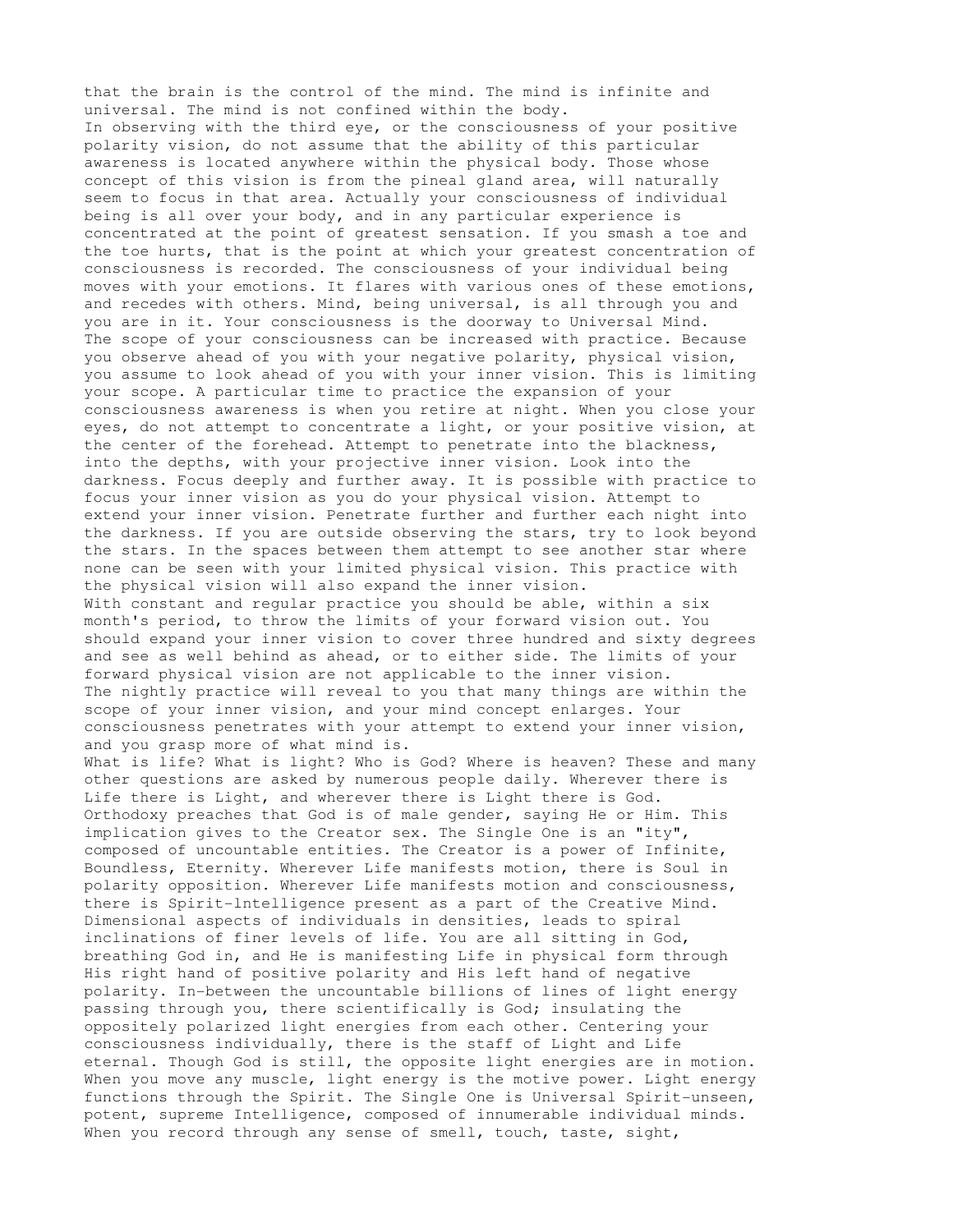that the brain is the control of the mind. The mind is infinite and universal. The mind is not confined within the body. In observing with the third eye, or the consciousness of your positive polarity vision, do not assume that the ability of this particular awareness is located anywhere within the physical body. Those whose concept of this vision is from the pineal gland area, will naturally seem to focus in that area. Actually your consciousness of individual being is all over your body, and in any particular experience is concentrated at the point of greatest sensation. If you smash a toe and the toe hurts, that is the point at which your greatest concentration of consciousness is recorded. The consciousness of your individual being moves with your emotions. It flares with various ones of these emotions, and recedes with others. Mind, being universal, is all through you and you are in it. Your consciousness is the doorway to Universal Mind. The scope of your consciousness can be increased with practice. Because you observe ahead of you with your negative polarity, physical vision, you assume to look ahead of you with your inner vision. This is limiting your scope. A particular time to practice the expansion of your consciousness awareness is when you retire at night. When you close your eyes, do not attempt to concentrate a light, or your positive vision, at the center of the forehead. Attempt to penetrate into the blackness, into the depths, with your projective inner vision. Look into the darkness. Focus deeply and further away. It is possible with practice to focus your inner vision as you do your physical vision. Attempt to extend your inner vision. Penetrate further and further each night into the darkness. If you are outside observing the stars, try to look beyond the stars. In the spaces between them attempt to see another star where none can be seen with your limited physical vision. This practice with the physical vision will also expand the inner vision. With constant and reqular practice you should be able, within a six month's period, to throw the limits of your forward vision out. You should expand your inner vision to cover three hundred and sixty degrees and see as well behind as ahead, or to either side. The limits of your forward physical vision are not applicable to the inner vision. The nightly practice will reveal to you that many things are within the scope of your inner vision, and your mind concept enlarges. Your consciousness penetrates with your attempt to extend your inner vision, and you grasp more of what mind is. What is life? What is light? Who is God? Where is heaven? These and many other questions are asked by numerous people daily. Wherever there is Life there is Light, and wherever there is Light there is God. Orthodoxy preaches that God is of male gender, saying He or Him. This implication gives to the Creator sex. The Single One is an "ity", composed of uncountable entities. The Creator is a power of Infinite, Boundless, Eternity. Wherever Life manifests motion, there is Soul in polarity opposition. Wherever Life manifests motion and consciousness, there is Spirit-lntelligence present as a part of the Creative Mind. Dimensional aspects of individuals in densities, leads to spiral inclinations of finer levels of life. You are all sitting in God, breathing God in, and He is manifesting Life in physical form through His right hand of positive polarity and His left hand of negative polarity. In-between the uncountable billions of lines of light energy passing through you, there scientifically is God; insulating the oppositely polarized light energies from each other. Centering your consciousness individually, there is the staff of Light and Life eternal. Though God is still, the opposite light energies are in motion. When you move any muscle, light energy is the motive power. Light energy functions through the Spirit. The Single One is Universal Spirit-unseen, potent, supreme Intelligence, composed of innumerable individual minds. When you record through any sense of smell, touch, taste, sight,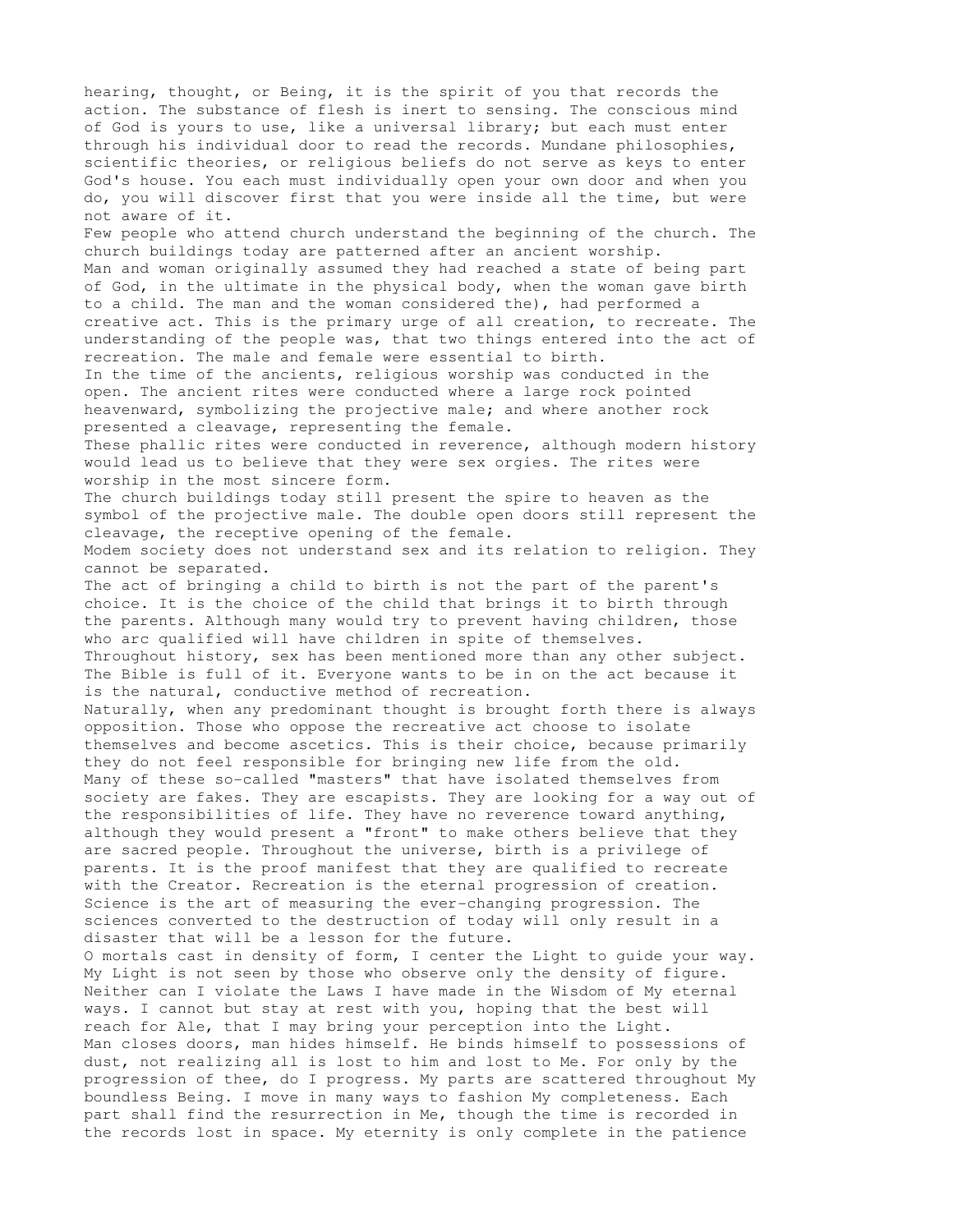hearing, thought, or Being, it is the spirit of you that records the action. The substance of flesh is inert to sensing. The conscious mind of God is yours to use, like a universal library; but each must enter through his individual door to read the records. Mundane philosophies, scientific theories, or religious beliefs do not serve as keys to enter God's house. You each must individually open your own door and when you do, you will discover first that you were inside all the time, but were not aware of it. Few people who attend church understand the beginning of the church. The church buildings today are patterned after an ancient worship. Man and woman originally assumed they had reached a state of being part of God, in the ultimate in the physical body, when the woman gave birth to a child. The man and the woman considered the), had performed a creative act. This is the primary urge of all creation, to recreate. The understanding of the people was, that two things entered into the act of recreation. The male and female were essential to birth. In the time of the ancients, religious worship was conducted in the open. The ancient rites were conducted where a large rock pointed heavenward, symbolizing the projective male; and where another rock presented a cleavage, representing the female. These phallic rites were conducted in reverence, although modern history would lead us to believe that they were sex orgies. The rites were worship in the most sincere form. The church buildings today still present the spire to heaven as the symbol of the projective male. The double open doors still represent the cleavage, the receptive opening of the female. Modem society does not understand sex and its relation to religion. They cannot be separated. The act of bringing a child to birth is not the part of the parent's choice. It is the choice of the child that brings it to birth through the parents. Although many would try to prevent having children, those who arc qualified will have children in spite of themselves. Throughout history, sex has been mentioned more than any other subject. The Bible is full of it. Everyone wants to be in on the act because it is the natural, conductive method of recreation. Naturally, when any predominant thought is brought forth there is always opposition. Those who oppose the recreative act choose to isolate themselves and become ascetics. This is their choice, because primarily they do not feel responsible for bringing new life from the old. Many of these so-called "masters" that have isolated themselves from society are fakes. They are escapists. They are looking for a way out of the responsibilities of life. They have no reverence toward anything, although they would present a "front" to make others believe that they are sacred people. Throughout the universe, birth is a privilege of parents. It is the proof manifest that they are qualified to recreate with the Creator. Recreation is the eternal progression of creation. Science is the art of measuring the ever-changing progression. The sciences converted to the destruction of today will only result in a disaster that will be a lesson for the future. O mortals cast in density of form, I center the Light to guide your way. My Light is not seen by those who observe only the density of figure. Neither can I violate the Laws I have made in the Wisdom of My eternal ways. I cannot but stay at rest with you, hoping that the best will reach for Ale, that I may bring your perception into the Light. Man closes doors, man hides himself. He binds himself to possessions of dust, not realizing all is lost to him and lost to Me. For only by the progression of thee, do I progress. My parts are scattered throughout My boundless Being. I move in many ways to fashion My completeness. Each part shall find the resurrection in Me, though the time is recorded in the records lost in space. My eternity is only complete in the patience